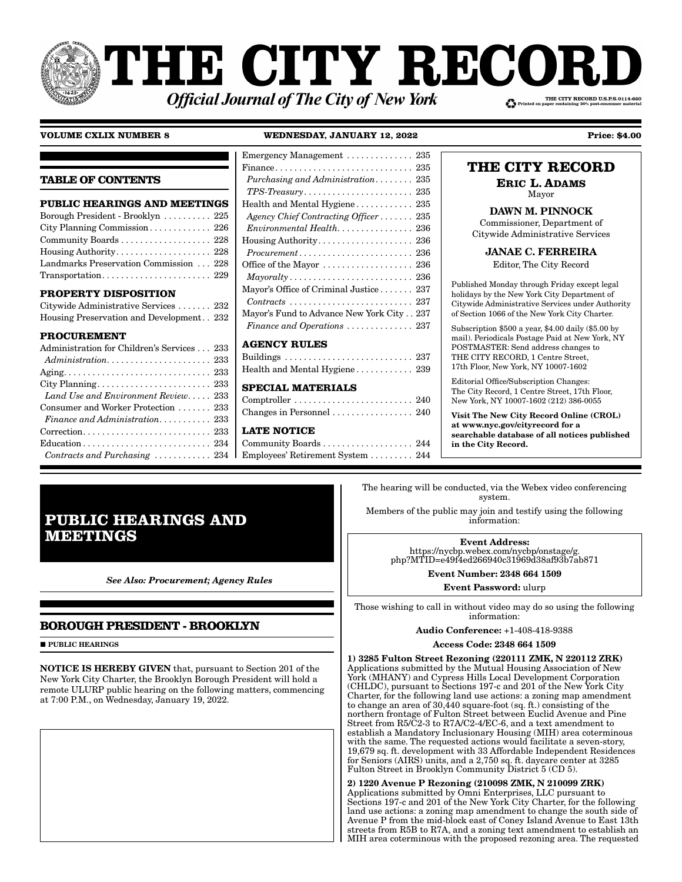# **THE CITY RECOI** THE CITY RECORD U.S.P.S.0114-660 **Official Journal of The City of New York**

**TABLE OF CONTENTS**

**PROPERTY DISPOSITION**

**PROCUREMENT**

**PUBLIC HEARINGS AND MEETINGS** Borough President - Brooklyn . . . . . . . . . . 225 City Planning Commission . . . . . . . . . . . . . 226 Community Boards . . . . . . . . . . . . . . . . . . . 228 Housing Authority . . . . . . . . . . . . . . . . . . . . 228 Landmarks Preservation Commission . . . 228 Transportation........................... 229

Citywide Administrative Services . . . . . . . 232 Housing Preservation and Development . . 232

Administration for Children's Services . . . 233 *Administration*. . . . . . . . . . . . . . . . . . . . . . 233 Aging . . . . . . . . . . . . . . . . . . . . . . . . . . . . . . . 233 City Planning . . . . . . . . . . . . . . . . . . . . . . . . 233 *Land Use and Environment Review*. . . . . 233 Consumer and Worker Protection . . . . . . . 233 *Finance and Administration* . . . . . . . . . . . 233 Correction . . . . . . . . . . . . . . . . . . . . . . . . . . . 233 Education . . . . . . . . . . . . . . . . . . . . . . . . . . . 234 *Contracts and Purchasing* . . . . . . . . . . . . 234

#### **VOLUME CXLIX NUMBER 8 WEDNESDAY, JANUARY 12, 2022 Price: \$4.00**

| Emergency Management  235                                                  |  |
|----------------------------------------------------------------------------|--|
|                                                                            |  |
| Purchasing and Administration 235                                          |  |
| $TPS\text{-}Treasury \ldots \ldots \ldots \ldots \ldots \ldots \ldots 235$ |  |
| Health and Mental Hygiene 235                                              |  |
| Agency Chief Contracting Officer 235                                       |  |
| Environmental Health 236                                                   |  |
|                                                                            |  |
| $Procurrent \ldots \ldots \ldots \ldots \ldots \ldots \ldots 236$          |  |
| Office of the Mayor $\dots\dots\dots\dots\dots\dots 236$                   |  |
|                                                                            |  |
| Mayor's Office of Criminal Justice 237                                     |  |
| $Contracts \ldots \ldots \ldots \ldots \ldots \ldots \ldots \ldots 237$    |  |
| Mayor's Fund to Advance New York City237                                   |  |
| Finance and Operations  237                                                |  |
| <b>AGENCY RULES</b>                                                        |  |
|                                                                            |  |
| Health and Mental Hygiene 239                                              |  |
|                                                                            |  |
| <b>SPECIAL MATERIALS</b>                                                   |  |
| Comptroller  240                                                           |  |
| Changes in Personnel  240                                                  |  |
| <b>LATE NOTICE</b>                                                         |  |
| Community Boards 244                                                       |  |
| Employees' Retirement System  244                                          |  |

## **THE CITY RECORD**

**ERIC L. ADAMS** Mayor

DAWN M. PINNOCK

Commissioner, Department of Citywide Administrative Services

JANAE C. FERREIRA

Editor, The City Record

Published Monday through Friday except legal holidays by the New York City Department of Citywide Administrative Services under Authority of Section 1066 of the New York City Charter.

Subscription \$500 a year, \$4.00 daily (\$5.00 by mail). Periodicals Postage Paid at New York, NY POSTMASTER: Send address changes to THE CITY RECORD, 1 Centre Street, 17th Floor, New York, NY 10007-1602

Editorial Office/Subscription Changes: The City Record, 1 Centre Street, 17th Floor, New York, NY 10007-1602 (212) 386-0055

Visit The New City Record Online (CROL) at www.nyc.gov/cityrecord for a searchable database of all notices published in the City Record.

## **PUBLIC HEARINGS AND MEETINGS**

*See Also: Procurement; Agency Rules*

## **BOROUGH PRESIDENT - BROOKLYN**

**PUBLIC HEARINGS** 

NOTICE IS HEREBY GIVEN that, pursuant to Section 201 of the New York City Charter, the Brooklyn Borough President will hold a remote ULURP public hearing on the following matters, commencing at 7:00 P.M., on Wednesday, January 19, 2022.

The hearing will be conducted, via the Webex video conferencing system.

Members of the public may join and testify using the following information:

> Event Address: https://nycbp.webex.com/nycbp/onstage/g. php?MTID=e49f4ed266940c31969d38af93b7ab871

> > Event Number: 2348 664 1509

Event Password: ulurp

Those wishing to call in without video may do so using the following information:

Audio Conference: +1-408-418-9388

Access Code: 2348 664 1509

1) 3285 Fulton Street Rezoning (220111 ZMK, N 220112 ZRK) Applications submitted by the Mutual Housing Association of New York (MHANY) and Cypress Hills Local Development Corporation (CHLDC), pursuant to Sections 197-c and 201 of the New York City Charter, for the following land use actions: a zoning map amendment to change an area of  $30,440$  square-foot (sq. ft.) consisting of the northern frontage of Fulton Street between Euclid Avenue and Pine Street from R5/C2-3 to R7A/C2-4/EC-6, and a text amendment to establish a Mandatory Inclusionary Housing (MIH) area coterminous with the same. The requested actions would facilitate a seven-story, 19,679 sq. ft. development with 33 Affordable Independent Residences for Seniors (AIRS) units, and a 2,750 sq. ft. daycare center at 3285 Fulton Street in Brooklyn Community District 5 (CD 5).

2) 1220 Avenue P Rezoning (210098 ZMK, N 210099 ZRK)

Applications submitted by Omni Enterprises, LLC pursuant to Sections 197-c and 201 of the New York City Charter, for the following land use actions: a zoning map amendment to change the south side of Avenue P from the mid-block east of Coney Island Avenue to East 13th streets from R5B to R7A, and a zoning text amendment to establish an MIH area coterminous with the proposed rezoning area. The requested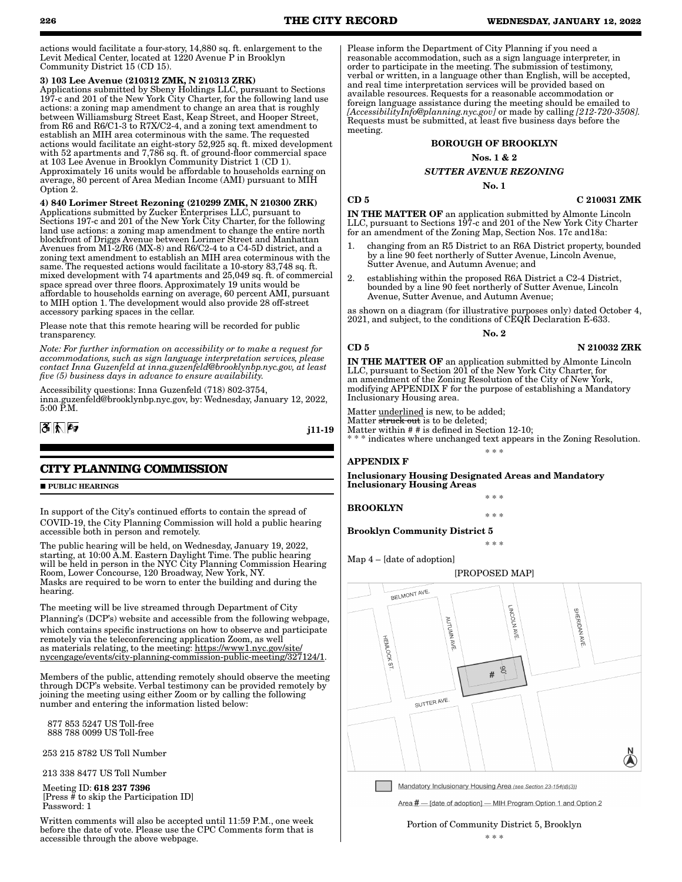actions would facilitate a four-story, 14,880 sq. ft. enlargement to the Levit Medical Center, located at 1220 Avenue P in Brooklyn Community District 15 (CD 15).

#### 3) 103 Lee Avenue (210312 ZMK, N 210313 ZRK)

Applications submitted by Sbeny Holdings LLC, pursuant to Sections 197-c and 201 of the New York City Charter, for the following land use actions: a zoning map amendment to change an area that is roughly between Williamsburg Street East, Keap Street, and Hooper Street, from R6 and R6/C1-3 to R7X/C2-4, and a zoning text amendment to establish an MIH area coterminous with the same. The requested actions would facilitate an eight-story 52,925 sq. ft. mixed development with 52 apartments and 7,786 sq. ft. of ground-floor commercial space at 103 Lee Avenue in Brooklyn Community District 1 (CD 1). Approximately 16 units would be affordable to households earning on average, 80 percent of Area Median Income (AMI) pursuant to MIH Option 2.

4) 840 Lorimer Street Rezoning (210299 ZMK, N 210300 ZRK) Applications submitted by Zucker Enterprises LLC, pursuant to Sections 197-c and 201 of the New York City Charter, for the following land use actions: a zoning map amendment to change the entire north blockfront of Driggs Avenue between Lorimer Street and Manhattan Avenues from M1-2/R6 (MX-8) and R6/C2-4 to a C4-5D district, and a zoning text amendment to establish an MIH area coterminous with the same. The requested actions would facilitate a 10-story 83,748 sq. ft. mixed development with 74 apartments and 25,049 sq. ft. of commercial space spread over three floors. Approximately 19 units would be affordable to households earning on average, 60 percent AMI, pursuant to MIH option 1. The development would also provide 28 off-street accessory parking spaces in the cellar.

Please note that this remote hearing will be recorded for public transparency.

*Note: For further information on accessibility or to make a request for accommodations, such as sign language interpretation services, please contact Inna Guzenfeld at inna.guzenfeld@brooklynbp.nyc.gov, at least five (5) business days in advance to ensure availability.*

Accessibility questions: Inna Guzenfeld (718) 802-3754, inna.guzenfeld@brooklynbp.nyc.gov, by: Wednesday, January 12, 2022, 5:00 P.M.



j11-19

## **CITY PLANNING COMMISSION**

**PUBLIC HEARINGS** 

In support of the City's continued efforts to contain the spread of COVID-19, the City Planning Commission will hold a public hearing accessible both in person and remotely.

The public hearing will be held, on Wednesday, January 19, 2022, starting, at 10:00 A.M. Eastern Daylight Time. The public hearing will be held in person in the NYC City Planning Commission Hearing Room, Lower Concourse, 120 Broadway, New York, NY. Masks are required to be worn to enter the building and during the hearing.

The meeting will be live streamed through Department of City Planning's (DCP's) website and accessible from the following webpage, which contains specific instructions on how to observe and participate remotely via the teleconferencing application Zoom, as well as materials relating, to the meeting: https://www1.nyc.gov/site/ nycengage/events/city-planning-commission-public-meeting/327124/1.

Members of the public, attending remotely should observe the meeting through DCP's website. Verbal testimony can be provided remotely by joining the meeting using either Zoom or by calling the following number and entering the information listed below:

 877 853 5247 US Toll-free 888 788 0099 US Toll-free

253 215 8782 US Toll Number

213 338 8477 US Toll Number

 Meeting ID: 618 237 7396 [Press # to skip the Participation ID] Password: 1

Written comments will also be accepted until 11:59 P.M., one week before the date of vote. Please use the CPC Comments form that is accessible through the above webpage.

Please inform the Department of City Planning if you need a reasonable accommodation, such as a sign language interpreter, in order to participate in the meeting. The submission of testimony, verbal or written, in a language other than English, will be accepted, and real time interpretation services will be provided based on available resources. Requests for a reasonable accommodation or foreign language assistance during the meeting should be emailed to *[AccessibilityInfo@planning.nyc.gov]* or made by calling *[212-720-3508].*  Requests must be submitted, at least five business days before the meeting.

#### BOROUGH OF BROOKLYN

Nos. 1 & 2

#### *SUTTER AVENUE REZONING*

No. 1

 $CD 5$  C 210031 ZMK

IN THE MATTER OF an application submitted by Almonte Lincoln LLC, pursuant to Sections 197-c and 201 of the New York City Charter for an amendment of the Zoning Map, Section Nos. 17c and18a:

- changing from an R5 District to an R6A District property, bounded by a line 90 feet northerly of Sutter Avenue, Lincoln Avenue, Sutter Avenue, and Autumn Avenue; and
- 2. establishing within the proposed R6A District a C2-4 District, bounded by a line 90 feet northerly of Sutter Avenue, Lincoln Avenue, Sutter Avenue, and Autumn Avenue;

as shown on a diagram (for illustrative purposes only) dated October 4, 2021, and subject, to the conditions of CEQR Declaration E-633.

No. 2

#### CD 5 N 210032 ZRK

IN THE MATTER OF an application submitted by Almonte Lincoln LLC, pursuant to Section 201 of the New York City Charter, for an amendment of the Zoning Resolution of the City of New York, modifying APPENDIX F for the purpose of establishing a Mandatory Inclusionary Housing area.

Matter <u>underlined</u> is new, to be added;

Matter <del>struck out</del> is to be deleted;

Matter within # # is defined in Section 12-10;

\* \* \* indicates where unchanged text appears in the Zoning Resolution. \* \* \*

\* \* \*

\* \* \*

#### APPENDIX F

Inclusionary Housing Designated Areas and Mandatory Inclusionary Housing Areas

BROOKLYN

\* \* \*

Brooklyn Community District 5

Map 4 – [date of adoption]



Area # - [date of adoption] - MIH Program Option 1 and Option 2

Portion of Community District 5, Brooklyn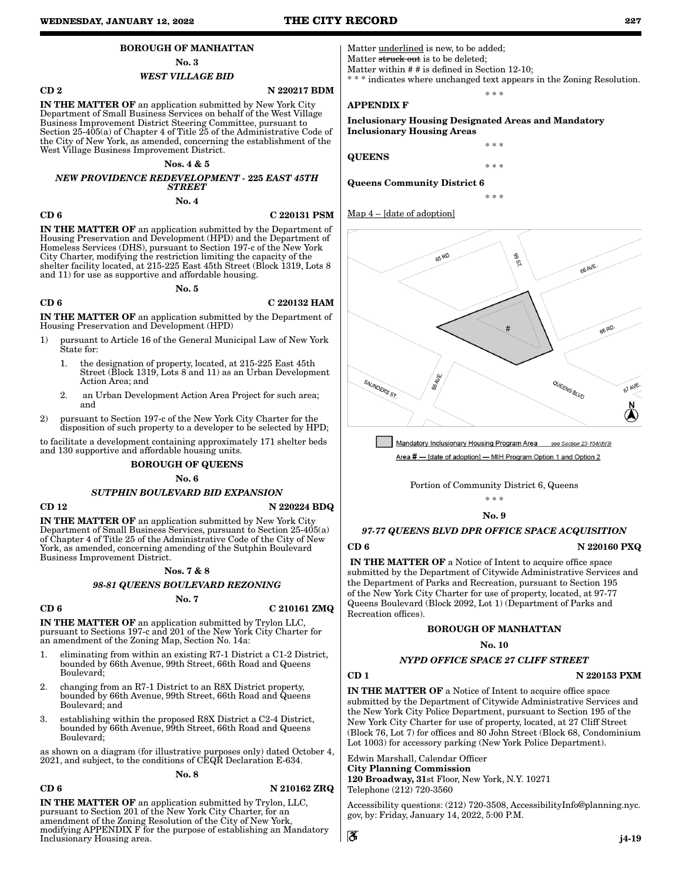#### BOROUGH OF MANHATTAN

No. 3

#### *WEST VILLAGE BID*

CD 2 N 220217 BDM

IN THE MATTER OF an application submitted by New York City Department of Small Business Services on behalf of the West Village Business Improvement District Steering Committee, pursuant to Section 25-405(a) of Chapter 4 of Title  $25$  of the Administrative Code of the City of New York, as amended, concerning the establishment of the West Village Business Improvement District.

#### Nos. 4 & 5

#### *NEW PROVIDENCE REDEVELOPMENT -* 225 *EAST 45TH STREET*

No. 4

#### CD 6 C 220131 PSM

IN THE MATTER OF an application submitted by the Department of Housing Preservation and Development (HPD) and the Department of Homeless Services (DHS), pursuant to Section 197-c of the New York City Charter, modifying the restriction limiting the capacity of the shelter facility located, at 215-225 East 45th Street (Block 1319, Lots 8 and 11) for use as supportive and affordable housing.

#### No. 5

#### CD 6 C 220132 HAM

IN THE MATTER OF an application submitted by the Department of Housing Preservation and Development (HPD)

- 1) pursuant to Article 16 of the General Municipal Law of New York State for:
	- 1. the designation of property, located, at 215-225 East 45th Street (Block 1319, Lots 8 and 11) as an Urban Development Action Area; and
	- 2. an Urban Development Action Area Project for such area; and
- 2) pursuant to Section 197-c of the New York City Charter for the disposition of such property to a developer to be selected by HPD;

to facilitate a development containing approximately 171 shelter beds and 130 supportive and affordable housing units.

#### BOROUGH OF QUEENS

No. 6

#### *SUTPHIN BOULEVARD BID EXPANSION*

#### $\overline{N}$  220224 BDQ

IN THE MATTER OF an application submitted by New York City Department of Small Business Services, pursuant to Section 25-405(a) of Chapter 4 of Title 25 of the Administrative Code of the City of New York, as amended, concerning amending of the Sutphin Boulevard Business Improvement District.

#### Nos. 7 & 8

No. 7

*98-81 QUEENS BOULEVARD REZONING*

 $CD 6$  C 210161 ZMQ

IN THE MATTER OF an application submitted by Trylon LLC, pursuant to Sections 197-c and 201 of the New York City Charter for an amendment of the Zoning Map, Section No. 14a:

- 1. eliminating from within an existing R7-1 District a C1-2 District, bounded by 66th Avenue, 99th Street, 66th Road and Queens Boulevard;
- 2. changing from an R7-1 District to an R8X District property, bounded by 66th Avenue, 99th Street, 66th Road and Queens Boulevard; and
- 3. establishing within the proposed R8X District a C2-4 District, bounded by 66th Avenue, 99th Street, 66th Road and Queens Boulevard;

as shown on a diagram (for illustrative purposes only) dated October 4, 2021, and subject, to the conditions of CEQR Declaration E-634.

#### No. 8

#### CD 6 N 210162 ZRQ

IN THE MATTER OF an application submitted by Trylon, LLC, pursuant to Section 201 of the New York City Charter, for an amendment of the Zoning Resolution of the City of New York, modifying APPENDIX F for the purpose of establishing an Mandatory Inclusionary Housing area.

Matter underlined is new, to be added; Matter struck out is to be deleted; Matter within # # is defined in Section 12-10;

\* indicates where unchanged text appears in the Zoning Resolution. \* \* \*

\* \* \*

\* \* \*

\* \* \*

APPENDIX F

Inclusionary Housing Designated Areas and Mandatory Inclusionary Housing Areas

**QUEENS** 

Queens Community District 6



Mandatory Inclusionary Housing Program Area see Section 23-154(d)(3) Area # - [date of adoption] - MIH Program Option 1 and Option 2

Portion of Community District 6, Queens

### \* \* \*

#### No. 9

### *97-77 QUEENS BLVD DPR OFFICE SPACE ACQUISITION*

CD 6 N 220160 PXQ

IN THE MATTER OF a Notice of Intent to acquire office space submitted by the Department of Citywide Administrative Services and the Department of Parks and Recreation, pursuant to Section 195 of the New York City Charter for use of property, located, at 97-77 Queens Boulevard (Block 2092, Lot 1) (Department of Parks and Recreation offices).

#### BOROUGH OF MANHATTAN

#### No. 10

### *NYPD OFFICE SPACE 27 CLIFF STREET*

CD 1 N 220153 PXM

IN THE MATTER OF a Notice of Intent to acquire office space submitted by the Department of Citywide Administrative Services and the New York City Police Department, pursuant to Section 195 of the New York City Charter for use of property, located, at 27 Cliff Street (Block 76, Lot 7) for offices and 80 John Street (Block 68, Condominium Lot 1003) for accessory parking (New York Police Department).

Edwin Marshall, Calendar Officer City Planning Commission 120 Broadway, 31st Floor, New York, N.Y. 10271 Telephone (212) 720-3560

Accessibility questions: (212) 720-3508, AccessibilityInfo@planning.nyc. gov, by: Friday, January 14, 2022, 5:00 P.M.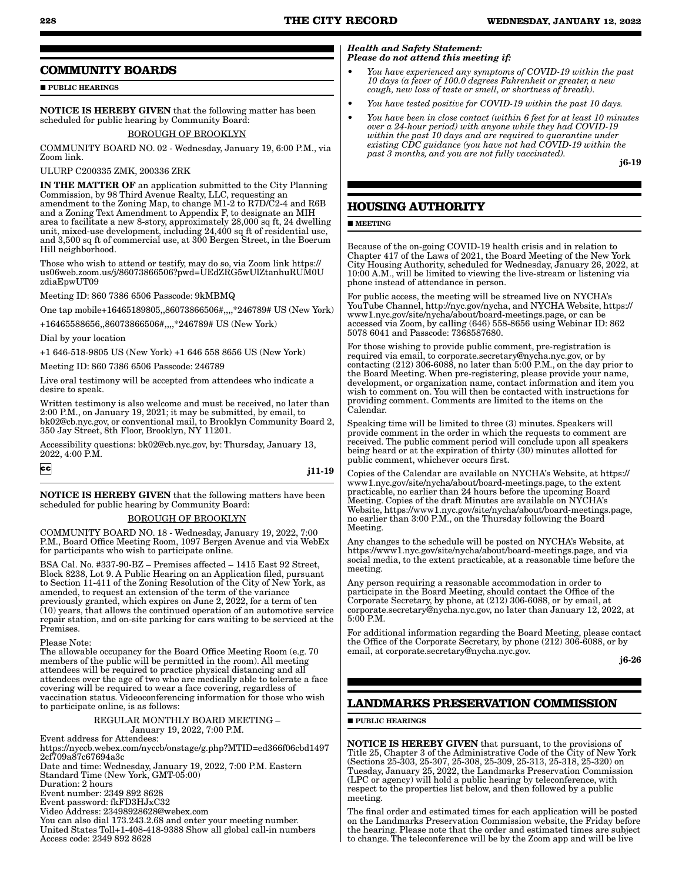### **COMMUNITY BOARDS**

**PUBLIC HEARINGS** 

NOTICE IS HEREBY GIVEN that the following matter has been scheduled for public hearing by Community Board:

#### BOROUGH OF BROOKLYN

COMMUNITY BOARD NO. 02 - Wednesday, January 19, 6:00 P.M., via Zoom link.

#### ULURP C200335 ZMK, 200336 ZRK

IN THE MATTER OF an application submitted to the City Planning Commission, by 98 Third Avenue Realty, LLC, requesting an amendment to the Zoning Map, to change M1-2 to R7D/C2-4 and R6B and a Zoning Text Amendment to Appendix F, to designate an MIH area to facilitate a new 8-story, approximately 28,000 sq ft, 24 dwelling unit, mixed-use development, including 24,400 sq ft of residential use, and 3,500 sq ft of commercial use, at 300 Bergen Street, in the Boerum Hill neighborhood.

Those who wish to attend or testify, may do so, via Zoom link https:// us06web.zoom.us/j/86073866506?pwd=UEdZRG5wUlZtanhuRUM0U zdiaEpwUT09

Meeting ID: 860 7386 6506 Passcode: 9kMBMQ

One tap mobile+16465189805,,86073866506#,,,,\*246789# US (New York) +16465588656,,86073866506#,,,,\*246789# US (New York)

Dial by your location

+1 646-518-9805 US (New York) +1 646 558 8656 US (New York)

Meeting ID: 860 7386 6506 Passcode: 246789

Live oral testimony will be accepted from attendees who indicate a desire to speak.

Written testimony is also welcome and must be received, no later than 2:00 P.M., on January 19, 2021; it may be submitted, by email, to bk02@cb.nyc.gov, or conventional mail, to Brooklyn Community Board 2, 350 Jay Street, 8th Floor, Brooklyn, NY 11201.

Accessibility questions: bk02@cb.nyc.gov, by: Thursday, January 13, 2022, 4:00 P.M.

 $|cc|$ 

#### j11-19

NOTICE IS HEREBY GIVEN that the following matters have been scheduled for public hearing by Community Board:

#### BOROUGH OF BROOKLYN

COMMUNITY BOARD NO. 18 - Wednesday, January 19, 2022, 7:00 P.M., Board Office Meeting Room, 1097 Bergen Avenue and via WebEx for participants who wish to participate online.

BSA Cal. No. #337-90-BZ – Premises affected – 1415 East 92 Street, Block 8238, Lot 9. A Public Hearing on an Application filed, pursuant to Section 11-411 of the Zoning Resolution of the City of New York, as amended, to request an extension of the term of the variance previously granted, which expires on June 2, 2022, for a term of ten (10) years, that allows the continued operation of an automotive service repair station, and on-site parking for cars waiting to be serviced at the Premises.

Please Note:

The allowable occupancy for the Board Office Meeting Room (e.g. 70 members of the public will be permitted in the room). All meeting attendees will be required to practice physical distancing and all attendees over the age of two who are medically able to tolerate a face covering will be required to wear a face covering, regardless of vaccination status. Videoconferencing information for those who wish to participate online, is as follows:

#### REGULAR MONTHLY BOARD MEETING – January 19, 2022, 7:00 P.M.

Event address for Attendees:

https://nyccb.webex.com/nyccb/onstage/g.php?MTID=ed366f06cbd1497 2cf709a87c67694a3c

- Date and time: Wednesday, January 19, 2022, 7:00 P.M. Eastern Standard Time (New York, GMT-05:00)
- Duration: 2 hours

Event number: 2349 892 8628

Event password: fkFD3HJxC32

Video Address: 23498928628@webex.com

You can also dial 173.243.2.68 and enter your meeting number. United States Toll+1-408-418-9388 Show all global call-in numbers Access code: 2349 892 8628

#### *Health and Safety Statement: Please do not attend this meeting if:*

- *You have experienced any symptoms of COVID-19 within the past 10 days (a fever of 100.0 degrees Fahrenheit or greater, a new cough, new loss of taste or smell, or shortness of breath).*
- *You have tested positive for COVID-19 within the past 10 days.*
- *You have been in close contact (within 6 feet for at least 10 minutes over a 24-hour period) with anyone while they had COVID-19 within the past 10 days and are required to quarantine under existing CDC guidance (you have not had COVID-19 within the past 3 months, and you are not fully vaccinated).*

j6-19

## **HOUSING AUTHORITY**

#### **MEETING**

Because of the on-going COVID-19 health crisis and in relation to Chapter 417 of the Laws of 2021, the Board Meeting of the New York City Housing Authority, scheduled for Wednesday, January 26, 2022, at 10:00 A.M., will be limited to viewing the live-stream or listening via phone instead of attendance in person.

For public access, the meeting will be streamed live on NYCHA's YouTube Channel, http://nyc.gov/nycha, and NYCHA Website, https:// www1.nyc.gov/site/nycha/about/board-meetings.page, or can be accessed via Zoom, by calling (646) 558-8656 using Webinar ID: 862 5078 6041 and Passcode: 7368587680.

For those wishing to provide public comment, pre-registration is required via email, to corporate.secretary@nycha.nyc.gov, or by contacting (212) 306-6088, no later than 5:00 P.M., on the day prior to the Board Meeting. When pre-registering, please provide your name, development, or organization name, contact information and item you wish to comment on. You will then be contacted with instructions for providing comment. Comments are limited to the items on the Calendar.

Speaking time will be limited to three (3) minutes. Speakers will provide comment in the order in which the requests to comment are received. The public comment period will conclude upon all speakers being heard or at the expiration of thirty (30) minutes allotted for public comment, whichever occurs first.

Copies of the Calendar are available on NYCHA's Website, at https:// www1.nyc.gov/site/nycha/about/board-meetings.page, to the extent practicable, no earlier than 24 hours before the upcoming Board Meeting. Copies of the draft Minutes are available on NYCHA's Website, https://www1.nyc.gov/site/nycha/about/board-meetings.page, no earlier than 3:00 P.M., on the Thursday following the Board Meeting.

Any changes to the schedule will be posted on NYCHA's Website, at https://www1.nyc.gov/site/nycha/about/board-meetings.page, and via social media, to the extent practicable, at a reasonable time before the meeting.

Any person requiring a reasonable accommodation in order to participate in the Board Meeting, should contact the Office of the Corporate Secretary, by phone, at (212) 306-6088, or by email, at corporate.secretary@nycha.nyc.gov, no later than January 12, 2022, at 5:00 P.M.

For additional information regarding the Board Meeting, please contact the Office of the Corporate Secretary, by phone (212) 306-6088, or by email, at corporate.secretary@nycha.nyc.gov.

j6-26

## **LANDMARKS PRESERVATION COMMISSION**

#### **PUBLIC HEARINGS**

NOTICE IS HEREBY GIVEN that pursuant, to the provisions of Title 25, Chapter 3 of the Administrative Code of the City of New York (Sections 25-303, 25-307, 25-308, 25-309, 25-313, 25-318, 25-320) on Tuesday, January 25, 2022, the Landmarks Preservation Commission (LPC or agency) will hold a public hearing by teleconference, with respect to the properties list below, and then followed by a public meeting.

The final order and estimated times for each application will be posted on the Landmarks Preservation Commission website, the Friday before the hearing. Please note that the order and estimated times are subject to change. The teleconference will be by the Zoom app and will be live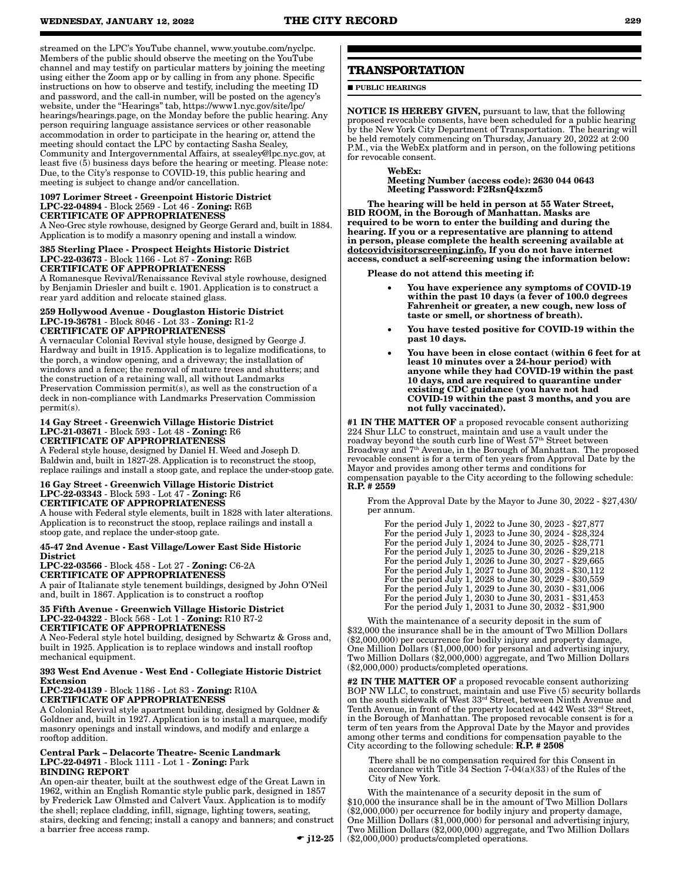streamed on the LPC's YouTube channel, www.youtube.com/nyclpc. Members of the public should observe the meeting on the YouTube channel and may testify on particular matters by joining the meeting using either the Zoom app or by calling in from any phone. Specific instructions on how to observe and testify, including the meeting ID and password, and the call-in number, will be posted on the agency's website, under the "Hearings" tab, https://www1.nyc.gov/site/lpc/ hearings/hearings.page, on the Monday before the public hearing. Any person requiring language assistance services or other reasonable accommodation in order to participate in the hearing or, attend the meeting should contact the LPC by contacting Sasha Sealey, Community and Intergovernmental Affairs, at ssealey@lpc.nyc.gov, at least five (5) business days before the hearing or meeting. Please note: Due, to the City's response to COVID-19, this public hearing and meeting is subject to change and/or cancellation.

#### 1097 Lorimer Street - Greenpoint Historic District LPC-22-04894 - Block 2569 - Lot 46 - Zoning: R6B CERTIFICATE OF APPROPRIATENESS

A Neo-Grec style rowhouse, designed by George Gerard and, built in 1884. Application is to modify a masonry opening and install a window.

#### 385 Sterling Place - Prospect Heights Historic District LPC-22-03673 - Block 1166 - Lot 87 - Zoning: R6B CERTIFICATE OF APPROPRIATENESS

A Romanesque Revival/Renaissance Revival style rowhouse, designed by Benjamin Driesler and built c. 1901. Application is to construct a rear yard addition and relocate stained glass.

#### 259 Hollywood Avenue - Douglaston Historic District LPC-19-36781 - Block 8046 - Lot 33 - Zoning: R1-2 CERTIFICATE OF APPROPRIATENESS

A vernacular Colonial Revival style house, designed by George J. Hardway and built in 1915. Application is to legalize modifications, to the porch, a window opening, and a driveway; the installation of windows and a fence; the removal of mature trees and shutters; and the construction of a retaining wall, all without Landmarks Preservation Commission permit(s), as well as the construction of a deck in non-compliance with Landmarks Preservation Commission permit(s).

#### 14 Gay Street - Greenwich Village Historic District LPC-21-03671 - Block 593 - Lot 48 - Zoning: R6 CERTIFICATE OF APPROPRIATENESS

A Federal style house, designed by Daniel H. Weed and Joseph D. Baldwin and, built in 1827-28. Application is to reconstruct the stoop, replace railings and install a stoop gate, and replace the under-stoop gate.

#### 16 Gay Street - Greenwich Village Historic District LPC-22-03343 - Block 593 - Lot 47 - Zoning: R6 CERTIFICATE OF APPROPRIATENESS

A house with Federal style elements, built in 1828 with later alterations. Application is to reconstruct the stoop, replace railings and install a stoop gate, and replace the under-stoop gate.

#### 45-47 2nd Avenue - East Village/Lower East Side Historic **District**

LPC-22-03566 - Block 458 - Lot 27 - Zoning: C6-2A CERTIFICATE OF APPROPRIATENESS A pair of Italianate style tenement buildings, designed by John O'Neil and, built in 1867. Application is to construct a rooftop

#### 35 Fifth Avenue - Greenwich Village Historic District LPC-22-04322 - Block 568 - Lot 1 - Zoning: R10 R7-2 CERTIFICATE OF APPROPRIATENESS

A Neo-Federal style hotel building, designed by Schwartz & Gross and, built in 1925. Application is to replace windows and install rooftop mechanical equipment.

#### 393 West End Avenue - West End - Collegiate Historic District Extension

LPC-22-04139 - Block 1186 - Lot 83 - Zoning: R10A CERTIFICATE OF APPROPRIATENESS

A Colonial Revival style apartment building, designed by Goldner & Goldner and, built in 1927. Application is to install a marquee, modify masonry openings and install windows, and modify and enlarge a rooftop addition.

#### Central Park – Delacorte Theatre- Scenic Landmark LPC-22-04971 - Block 1111 - Lot 1 - Zoning: Park BINDING REPORT

An open-air theater, built at the southwest edge of the Great Lawn in 1962, within an English Romantic style public park, designed in 1857 by Frederick Law Olmsted and Calvert Vaux. Application is to modify the shell; replace cladding, infill, signage, lighting towers, seating, stairs, decking and fencing; install a canopy and banners; and construct a barrier free access ramp.

 $\bullet$  i12-25  $\vert$ 

## **TRANSPORTATION**

**PUBLIC HEARINGS** 

NOTICE IS HEREBY GIVEN, pursuant to law, that the following proposed revocable consents, have been scheduled for a public hearing by the New York City Department of Transportation. The hearing will be held remotely commencing on Thursday, January 20, 2022 at 2:00 P.M., via the WebEx platform and in person, on the following petitions for revocable consent.

#### WebEx:

Meeting Number (access code): 2630 044 0643 Meeting Password: F2RsnQ4xzm5

The hearing will be held in person at 55 Water Street, BID ROOM, in the Borough of Manhattan. Masks are required to be worn to enter the building and during the hearing. If you or a representative are planning to attend in person, please complete the health screening available at dotcovidvisitorscreening.info. If you do not have internet access, conduct a self-screening using the information below:

Please do not attend this meeting if:

- You have experience any symptoms of COVID-19 within the past 10 days (a fever of 100.0 degrees Fahrenheit or greater, a new cough, new loss of taste or smell, or shortness of breath).
- You have tested positive for COVID-19 within the past 10 days.
- You have been in close contact (within 6 feet for at least 10 minutes over a 24-hour period) with anyone while they had COVID-19 within the past 10 days, and are required to quarantine under existing CDC guidance (you have not had COVID-19 within the past 3 months, and you are not fully vaccinated).

#1 IN THE MATTER OF a proposed revocable consent authorizing 224 Shur LLC to construct, maintain and use a vault under the roadway beyond the south curb line of West 57<sup>th</sup> Street between Broadway and  $7<sup>th</sup>$  Avenue, in the Borough of Manhattan. The proposed revocable consent is for a term of ten years from Approval Date by the Mayor and provides among other terms and conditions for compensation payable to the City according to the following schedule:

#### R.P. # 2559

From the Approval Date by the Mayor to June 30, 2022 - \$27,430/ per annum.

For the period July 1, 2022 to June 30, 2023 - \$27,877 For the period July 1, 2023 to June 30, 2024 - \$28,324 For the period July 1, 2024 to June 30, 2025 - \$28,771 For the period July 1, 2025 to June 30, 2026 - \$29,218 For the period July 1, 2026 to June 30, 2027 - \$29,665 For the period July 1, 2027 to June 30, 2028 - \$30,112 For the period July 1, 2028 to June 30, 2029 - \$30,559 For the period July 1, 2029 to June 30, 2030 - \$31,006 For the period July 1, 2030 to June 30, 2031 - \$31,453 For the period July 1, 2031 to June 30, 2032 - \$31,900

With the maintenance of a security deposit in the sum of \$32,000 the insurance shall be in the amount of Two Million Dollars (\$2,000,000) per occurrence for bodily injury and property damage, One Million Dollars (\$1,000,000) for personal and advertising injury, Two Million Dollars (\$2,000,000) aggregate, and Two Million Dollars (\$2,000,000) products/completed operations.

#2 IN THE MATTER OF a proposed revocable consent authorizing BOP NW LLC, to construct, maintain and use Five (5) security bollards on the south sidewalk of West 33rd Street, between Ninth Avenue and Tenth Avenue, in front of the property located at 442 West 33<sup>rd</sup> Street, in the Borough of Manhattan. The proposed revocable consent is for a term of ten years from the Approval Date by the Mayor and provides among other terms and conditions for compensation payable to the City according to the following schedule:  $\hat{\mathbf{R}}.\mathbf{P}.\mathbf{\#2508}$ 

There shall be no compensation required for this Consent in accordance with Title  $34$  Section  $7-04(a)(33)$  of the Rules of the City of New York.

With the maintenance of a security deposit in the sum of \$10,000 the insurance shall be in the amount of Two Million Dollars (\$2,000,000) per occurrence for bodily injury and property damage, One Million Dollars (\$1,000,000) for personal and advertising injury, Two Million Dollars (\$2,000,000) aggregate, and Two Million Dollars (\$2,000,000) products/completed operations.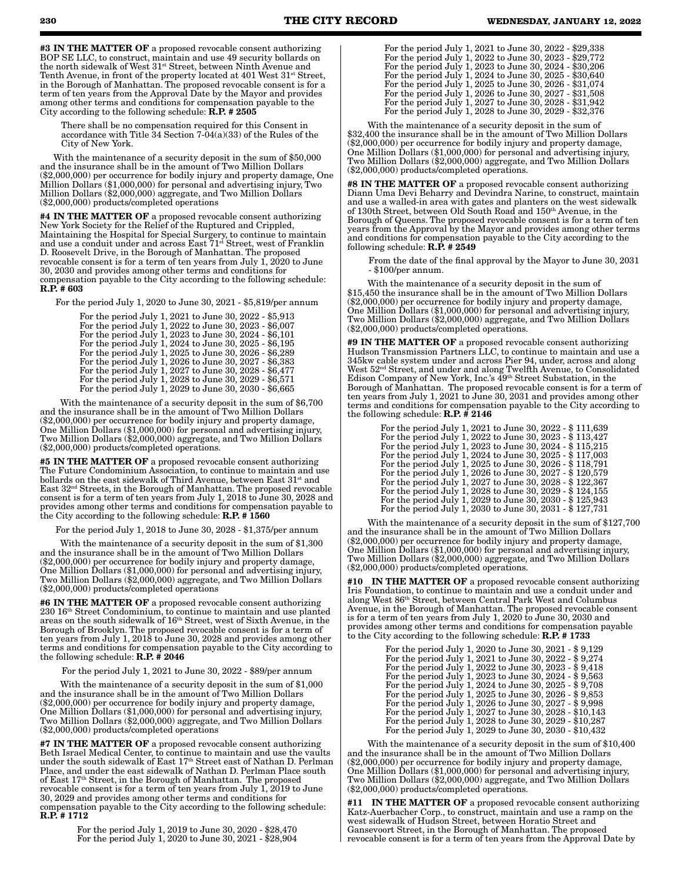#3 IN THE MATTER OF a proposed revocable consent authorizing BOP SE LLC, to construct, maintain and use 49 security bollards on the north sidewalk of West 31st Street, between Ninth Avenue and Tenth Avenue, in front of the property located at  $401$  West  $31<sup>st</sup>$  Street, in the Borough of Manhattan. The proposed revocable consent is for a term of ten years from the Approval Date by the Mayor and provides among other terms and conditions for compensation payable to the City according to the following schedule:  $\dot{R}$ ,  $P$ ,  $\#$  2505

There shall be no compensation required for this Consent in accordance with Title 34 Section 7-04(a)(33) of the Rules of the City of New York.

With the maintenance of a security deposit in the sum of \$50,000 and the insurance shall be in the amount of Two Million Dollars (\$2,000,000) per occurrence for bodily injury and property damage, One Million Dollars (\$1,000,000) for personal and advertising injury, Two Million Dollars (\$2,000,000) aggregate, and Two Million Dollars (\$2,000,000) products/completed operations

#4 IN THE MATTER OF a proposed revocable consent authorizing New York Society for the Relief of the Ruptured and Crippled, Maintaining the Hospital for Special Surgery, to continue to maintain and use a conduit under and across East  $71^{st}$  Street, west of Franklin D. Roosevelt Drive, in the Borough of Manhattan. The proposed revocable consent is for a term of ten years from July  $\hat{1}$ ,  $2020$  to June 30, 2030 and provides among other terms and conditions for compensation payable to the City according to the following schedule: R.P. # 603

For the period July 1, 2020 to June 30, 2021 - \$5,819/per annum

| For the period July 1, 2021 to June 30, 2022 - \$5,913 |
|--------------------------------------------------------|
| For the period July 1, 2022 to June 30, 2023 - \$6,007 |
| For the period July 1, 2023 to June 30, 2024 - \$6,101 |
| For the period July 1, 2024 to June 30, 2025 - \$6,195 |
| For the period July 1, 2025 to June 30, 2026 - \$6,289 |
| For the period July 1, 2026 to June 30, 2027 - \$6,383 |
| For the period July 1, 2027 to June 30, 2028 - \$6,477 |
| For the period July 1, 2028 to June 30, 2029 - \$6,571 |
| For the period July 1, 2029 to June 30, 2030 - \$6,665 |

With the maintenance of a security deposit in the sum of \$6,700 and the insurance shall be in the amount of Two Million Dollars (\$2,000,000) per occurrence for bodily injury and property damage, One Million Dollars (\$1,000,000) for personal and advertising injury, Two Million Dollars (\$2,000,000) aggregate, and Two Million Dollars (\$2,000,000) products/completed operations.

#5 IN THE MATTER OF a proposed revocable consent authorizing The Future Condominium Association, to continue to maintain and use bollards on the east sidewalk of Third Avenue, between East 31<sup>st</sup> and East 32nd Streets, in the Borough of Manhattan. The proposed revocable consent is for a term of ten years from July 1, 2018 to June 30, 2028 and provides among other terms and conditions for compensation payable to the City according to the following schedule: R.P. # 1560

For the period July 1, 2018 to June 30, 2028 - \$1,375/per annum

With the maintenance of a security deposit in the sum of \$1,300 and the insurance shall be in the amount of Two Million Dollars (\$2,000,000) per occurrence for bodily injury and property damage, One Million Dollars (\$1,000,000) for personal and advertising injury, Two Million Dollars (\$2,000,000) aggregate, and Two Million Dollars (\$2,000,000) products/completed operations

#6 IN THE MATTER OF a proposed revocable consent authorizing 230 16th Street Condominium, to continue to maintain and use planted areas on the south sidewalk of 16th Street, west of Sixth Avenue, in the Borough of Brooklyn. The proposed revocable consent is for a term of ten years from July 1, 2018 to June 30, 2028 and provides among other terms and conditions for compensation payable to the City according to the following schedule: R.P. # 2046

For the period July 1, 2021 to June 30, 2022 - \$89/per annum

With the maintenance of a security deposit in the sum of \$1,000 and the insurance shall be in the amount of Two Million Dollars (\$2,000,000) per occurrence for bodily injury and property damage, One Million Dollars (\$1,000,000) for personal and advertising injury, Two Million Dollars (\$2,000,000) aggregate, and Two Million Dollars (\$2,000,000) products/completed operations

#7 IN THE MATTER OF a proposed revocable consent authorizing Beth Israel Medical Center, to continue to maintain and use the vaults under the south sidewalk of East 17<sup>th</sup> Street east of Nathan D. Perlman Place, and under the east sidewalk of Nathan D. Perlman Place south of East 17th Street, in the Borough of Manhattan. The proposed revocable consent is for a term of ten years from July 1, 2019 to June 30, 2029 and provides among other terms and conditions for compensation payable to the City according to the following schedule: R.P. # 1712

> For the period July 1, 2019 to June 30, 2020 - \$28,470 For the period July 1, 2020 to June 30, 2021 - \$28,904

| For the period July 1, 2021 to June 30, 2022 - \$29,338<br>For the period July 1, 2022 to June 30, 2023 - \$29,772<br>For the period July 1, 2023 to June 30, 2024 - \$30,206<br>For the period July 1, 2024 to June 30, 2025 - \$30,640<br>For the period July 1, 2025 to June 30, 2026 - \$31,074<br>For the period July 1, 2026 to June 30, 2027 - \$31,508 |
|----------------------------------------------------------------------------------------------------------------------------------------------------------------------------------------------------------------------------------------------------------------------------------------------------------------------------------------------------------------|
| For the period July 1, 2027 to June 30, 2028 - \$31,942<br>For the period July 1, 2028 to June 30, 2029 - \$32,376                                                                                                                                                                                                                                             |

With the maintenance of a security deposit in the sum of \$32,400 the insurance shall be in the amount of Two Million Dollars (\$2,000,000) per occurrence for bodily injury and property damage, One Million Dollars (\$1,000,000) for personal and advertising injury, Two Million Dollars (\$2,000,000) aggregate, and Two Million Dollars (\$2,000,000) products/completed operations.

#8 IN THE MATTER OF a proposed revocable consent authorizing Diann Uma Devi Beharry and Devindra Narine, to construct, maintain and use a walled-in area with gates and planters on the west sidewalk of 130th Street, between Old South Road and 150th Avenue, in the Borough of Queens. The proposed revocable consent is for a term of ten years from the Approval by the Mayor and provides among other terms and conditions for compensation payable to the City according to the following schedule:  $\mathbf{R}.\dot{\mathbf{P}}$ . # 2549

From the date of the final approval by the Mayor to June 30, 2031 - \$100/per annum.

With the maintenance of a security deposit in the sum of \$15,450 the insurance shall be in the amount of Two Million Dollars (\$2,000,000) per occurrence for bodily injury and property damage, One Million Dollars (\$1,000,000) for personal and advertising injury, Two Million Dollars (\$2,000,000) aggregate, and Two Million Dollars (\$2,000,000) products/completed operations.

#9 IN THE MATTER OF a proposed revocable consent authorizing Hudson Transmission Partners LLC, to continue to maintain and use a 345kw cable system under and across Pier 94, under, across and along West 52nd Street, and under and along Twelfth Avenue, to Consolidated Edison Company of New York, Inc.'s 49th Street Substation, in the Borough of Manhattan. The proposed revocable consent is for a term of ten years from July 1, 2021 to June 30, 2031 and provides among other terms and conditions for compensation payable to the City according to the following schedule:  $R.P. \# 2146$ 

| For the period July 1, 2021 to June 30, 2022 - \$111,639 |
|----------------------------------------------------------|
| For the period July 1, 2022 to June 30, 2023 - \$113,427 |
| For the period July 1, 2023 to June 30, 2024 - \$115,215 |
| For the period July 1, 2024 to June 30, 2025 - \$117,003 |
| For the period July 1, 2025 to June 30, 2026 - \$118,791 |
| For the period July 1, 2026 to June 30, 2027 - \$120,579 |
| For the period July 1, 2027 to June 30, 2028 - \$122,367 |
| For the period July 1, 2028 to June 30, 2029 - \$124,155 |
| For the period July 1, 2029 to June 30, 2030 - \$125,943 |
| For the period July 1, 2030 to June 30, 2031 - \$127,731 |

With the maintenance of a security deposit in the sum of \$127,700 and the insurance shall be in the amount of Two Million Dollars (\$2,000,000) per occurrence for bodily injury and property damage, One Million Dollars (\$1,000,000) for personal and advertising injury, Two Million Dollars (\$2,000,000) aggregate, and Two Million Dollars (\$2,000,000) products/completed operations.

#10 IN THE MATTER OF a proposed revocable consent authorizing Iris Foundation, to continue to maintain and use a conduit under and along West 86th Street, between Central Park West and Columbus Avenue, in the Borough of Manhattan. The proposed revocable consent is for a term of ten years from July 1, 2020 to June 30, 2030 and provides among other terms and conditions for compensation payable to the City according to the following schedule: R.P. # 1733

| For the period July 1, 2020 to June 30, 2021 - \$9,129  |
|---------------------------------------------------------|
| For the period July 1, 2021 to June 30, 2022 - \$9,274  |
| For the period July 1, 2022 to June 30, 2023 - \$9,418  |
| For the period July 1, 2023 to June 30, 2024 - \$9,563  |
| For the period July 1, 2024 to June 30, 2025 - \$9,708  |
| For the period July 1, 2025 to June 30, 2026 - \$9,853  |
| For the period July 1, 2026 to June 30, 2027 - \$9,998  |
| For the period July 1, 2027 to June 30, 2028 - \$10,143 |
| For the period July 1, 2028 to June 30, 2029 - \$10,287 |
| For the period July 1, 2029 to June 30, 2030 - \$10,432 |

With the maintenance of a security deposit in the sum of \$10,400 and the insurance shall be in the amount of Two Million Dollars (\$2,000,000) per occurrence for bodily injury and property damage, One Million Dollars (\$1,000,000) for personal and advertising injury, Two Million Dollars (\$2,000,000) aggregate, and Two Million Dollars (\$2,000,000) products/completed operations.

#11 IN THE MATTER OF a proposed revocable consent authorizing Katz-Auerbacher Corp., to construct, maintain and use a ramp on the west sidewalk of Hudson Street, between Horatio Street and Gansevoort Street, in the Borough of Manhattan. The proposed revocable consent is for a term of ten years from the Approval Date by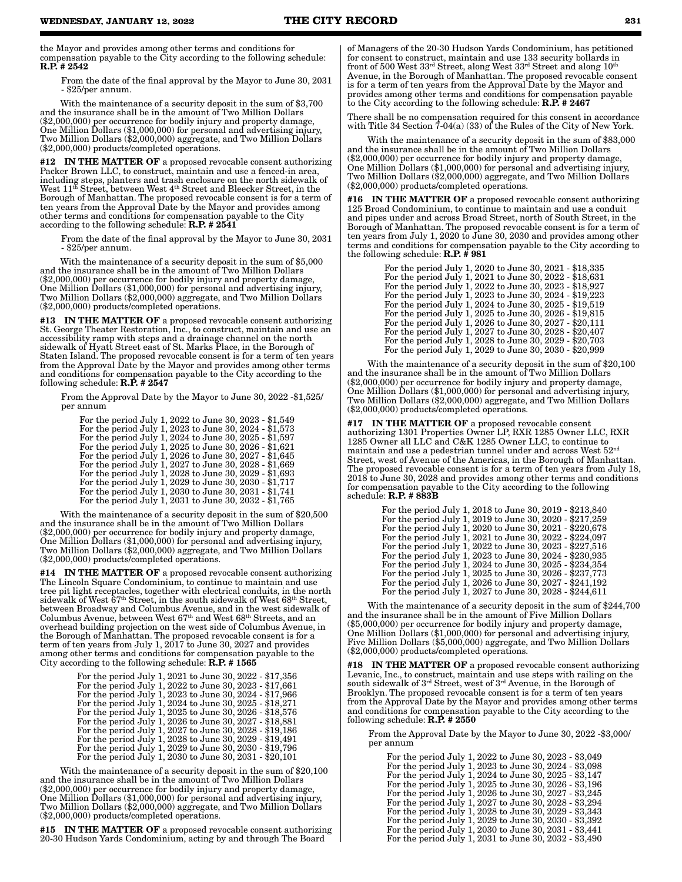the Mayor and provides among other terms and conditions for compensation payable to the City according to the following schedule: R.P. # 2542

From the date of the final approval by the Mayor to June 30, 2031 - \$25/per annum.

With the maintenance of a security deposit in the sum of \$3,700 and the insurance shall be in the amount of Two Million Dollars (\$2,000,000) per occurrence for bodily injury and property damage, One Million Dollars (\$1,000,000) for personal and advertising injury, Two Million Dollars (\$2,000,000) aggregate, and Two Million Dollars (\$2,000,000) products/completed operations.

#12 IN THE MATTER OF a proposed revocable consent authorizing Packer Brown LLC, to construct, maintain and use a fenced-in area, including steps, planters and trash enclosure on the north sidewalk of West  $11<sup>th</sup>$  Street, between West  $4<sup>th</sup>$  Street and Bleecker Street, in the Borough of Manhattan. The proposed revocable consent is for a term of ten years from the Approval Date by the Mayor and provides among other terms and conditions for compensation payable to the City according to the following schedule: R.P. # 2541

From the date of the final approval by the Mayor to June 30, 2031 - \$25/per annum.

With the maintenance of a security deposit in the sum of \$5,000 and the insurance shall be in the amount of Two Million Dollars (\$2,000,000) per occurrence for bodily injury and property damage, One Million Dollars (\$1,000,000) for personal and advertising injury, Two Million Dollars (\$2,000,000) aggregate, and Two Million Dollars (\$2,000,000) products/completed operations.

#13 IN THE MATTER OF a proposed revocable consent authorizing St. George Theater Restoration, Inc., to construct, maintain and use an accessibility ramp with steps and a drainage channel on the north sidewalk of Hyatt Street east of St. Marks Place, in the Borough of Staten Island. The proposed revocable consent is for a term of ten years from the Approval Date by the Mayor and provides among other terms and conditions for compensation payable to the City according to the following schedule:  $\mathbf{R}.\bar{\mathbf{P}}$ . # 2547

From the Approval Date by the Mayor to June 30, 2022 -\$1,525/ per annum

For the period July 1, 2022 to June 30, 2023 - \$1,549 For the period July 1, 2023 to June 30, 2024 - \$1,573 For the period July 1, 2024 to June 30, 2025 - \$1,597 For the period July 1, 2025 to June 30, 2026 - \$1,621 For the period July 1, 2026 to June 30, 2027 - \$1,645 For the period July 1, 2027 to June 30, 2028 - \$1,669 For the period July 1, 2028 to June 30, 2029 - \$1,693 For the period July 1, 2029 to June 30, 2030 - \$1,717 For the period July 1, 2030 to June 30, 2031 - \$1,741 For the period July 1, 2031 to June 30, 2032 - \$1,765

With the maintenance of a security deposit in the sum of \$20,500 and the insurance shall be in the amount of Two Million Dollars (\$2,000,000) per occurrence for bodily injury and property damage, One Million Dollars (\$1,000,000) for personal and advertising injury, Two Million Dollars (\$2,000,000) aggregate, and Two Million Dollars (\$2,000,000) products/completed operations.

**#14 IN THE MATTER OF** a proposed revocable consent authorizing The Lincoln Square Condominium, to continue to maintain and use tree pit light receptacles, together with electrical conduits, in the north sidewalk of West  $67<sup>th</sup> Street$ , in the south sidewalk of West  $68<sup>th</sup> Street$ , between Broadway and Columbus Avenue, and in the west sidewalk of Columbus Avenue, between West 67th and West 68th Streets, and an overhead building projection on the west side of Columbus Avenue, in the Borough of Manhattan. The proposed revocable consent is for a term of ten years from July 1, 2017 to June 30, 2027 and provides among other terms and conditions for compensation payable to the City according to the following schedule: R.P. # 1565

> For the period July 1, 2021 to June 30, 2022 - \$17,356 For the period July 1, 2022 to June 30, 2023 - \$17,661 For the period July 1, 2023 to June 30, 2024 - \$17,966 For the period July 1, 2024 to June 30, 2025 - \$18,271 For the period July 1, 2025 to June 30, 2026 - \$18,576 For the period July 1, 2026 to June 30, 2027 - \$18,881 For the period July 1, 2027 to June 30, 2028 - \$19,186 For the period July 1, 2028 to June 30, 2029 - \$19,491 For the period July 1, 2029 to June 30, 2030 - \$19,796 For the period July 1, 2030 to June 30, 2031 - \$20,101

With the maintenance of a security deposit in the sum of \$20,100 and the insurance shall be in the amount of Two Million Dollars (\$2,000,000) per occurrence for bodily injury and property damage, One Million Dollars (\$1,000,000) for personal and advertising injury, Two Million Dollars (\$2,000,000) aggregate, and Two Million Dollars (\$2,000,000) products/completed operations.

#15 IN THE MATTER OF a proposed revocable consent authorizing 20-30 Hudson Yards Condominium, acting by and through The Board

of Managers of the 20-30 Hudson Yards Condominium, has petitioned for consent to construct, maintain and use 133 security bollards in front of 500 West 33rd Street, along West 33rd Street and along 10th Avenue, in the Borough of Manhattan. The proposed revocable consent is for a term of ten years from the Approval Date by the Mayor and provides among other terms and conditions for compensation payable to the City according to the following schedule: **R.P.** # 2467

There shall be no compensation required for this consent in accordance with Title 34 Section  $7-04(a)$  (33) of the Rules of the City of New York.

With the maintenance of a security deposit in the sum of \$83,000 and the insurance shall be in the amount of Two Million Dollars (\$2,000,000) per occurrence for bodily injury and property damage, One Million Dollars (\$1,000,000) for personal and advertising injury, Two Million Dollars (\$2,000,000) aggregate, and Two Million Dollars (\$2,000,000) products/completed operations.

#16 IN THE MATTER OF a proposed revocable consent authorizing 125 Broad Condominium, to continue to maintain and use a conduit and pipes under and across Broad Street, north of South Street, in the Borough of Manhattan. The proposed revocable consent is for a term of ten years from July 1, 2020 to June 30, 2030 and provides among other terms and conditions for compensation payable to the City according to the following schedule:  $R.P. \# 981$ 

> For the period July 1, 2020 to June 30, 2021 - \$18,335 For the period July 1, 2021 to June 30, 2022 - \$18,631 For the period July 1, 2022 to June 30, 2023 - \$18,927 For the period July 1, 2023 to June 30, 2024 - \$19,223 For the period July 1, 2024 to June 30, 2025 - \$19,519 For the period July 1, 2025 to June 30, 2026 - \$19,815 For the period July 1, 2026 to June 30, 2027 - \$20,111 For the period July 1, 2027 to June 30, 2028 - \$20,407 For the period July 1, 2028 to June 30, 2029 - \$20,703 For the period July 1, 2029 to June 30, 2030 - \$20,999

With the maintenance of a security deposit in the sum of \$20,100 and the insurance shall be in the amount of Two Million Dollars (\$2,000,000) per occurrence for bodily injury and property damage, One Million Dollars (\$1,000,000) for personal and advertising injury, Two Million Dollars (\$2,000,000) aggregate, and Two Million Dollars (\$2,000,000) products/completed operations.

#17 IN THE MATTER OF a proposed revocable consent authorizing 1301 Properties Owner LP, RXR 1285 Owner LLC, RXR 1285 Owner all LLC and C&K 1285 Owner LLC, to continue to maintain and use a pedestrian tunnel under and across West 52<sup>nd</sup> Street, west of Avenue of the Americas, in the Borough of Manhattan. The proposed revocable consent is for a term of ten years from July 18, 2018 to June 30, 2028 and provides among other terms and conditions for compensation payable to the City according to the following schedule: R.P. # 883B

| For the period July 1, 2018 to June 30, 2019 - \$213,840 |
|----------------------------------------------------------|
| For the period July 1, 2019 to June 30, 2020 - \$217,259 |
| For the period July 1, 2020 to June 30, 2021 - \$220,678 |
| For the period July 1, 2021 to June 30, 2022 - \$224,097 |
| For the period July 1, 2022 to June 30, 2023 - \$227,516 |
| For the period July 1, 2023 to June 30, 2024 - \$230,935 |
| For the period July 1, 2024 to June 30, 2025 - \$234,354 |
| For the period July 1, 2025 to June 30, 2026 - \$237,773 |
| For the period July 1, 2026 to June 30, 2027 - \$241,192 |
| For the period July 1, 2027 to June 30, 2028 - \$244,611 |

With the maintenance of a security deposit in the sum of \$244,700 and the insurance shall be in the amount of Five Million Dollars (\$5,000,000) per occurrence for bodily injury and property damage, One Million Dollars (\$1,000,000) for personal and advertising injury, Five Million Dollars (\$5,000,000) aggregate, and Two Million Dollars (\$2,000,000) products/completed operations.

#18 IN THE MATTER OF a proposed revocable consent authorizing Levanic, Inc., to construct, maintain and use steps with railing on the south sidewalk of 3rd Street, west of 3rd Avenue, in the Borough of Brooklyn. The proposed revocable consent is for a term of ten years from the Approval Date by the Mayor and provides among other terms and conditions for compensation payable to the City according to the following schedule:  $R.\overline{P}$ . # 2550

From the Approval Date by the Mayor to June 30, 2022 -\$3,000/ per annum

For the period July 1, 2022 to June 30, 2023 - \$3,049 For the period July 1, 2023 to June 30, 2024 - \$3,098 For the period July 1, 2024 to June 30, 2025 - \$3,147 For the period July 1, 2025 to June 30, 2026 - \$3,196 For the period July 1, 2026 to June 30, 2027 - \$3,245 For the period July 1, 2027 to June 30, 2028 - \$3,294 For the period July 1, 2028 to June 30, 2029 - \$3,343 For the period July 1, 2029 to June 30, 2030 - \$3,392 For the period July 1, 2030 to June 30, 2031 - \$3,441 For the period July 1, 2031 to June 30, 2032 - \$3,490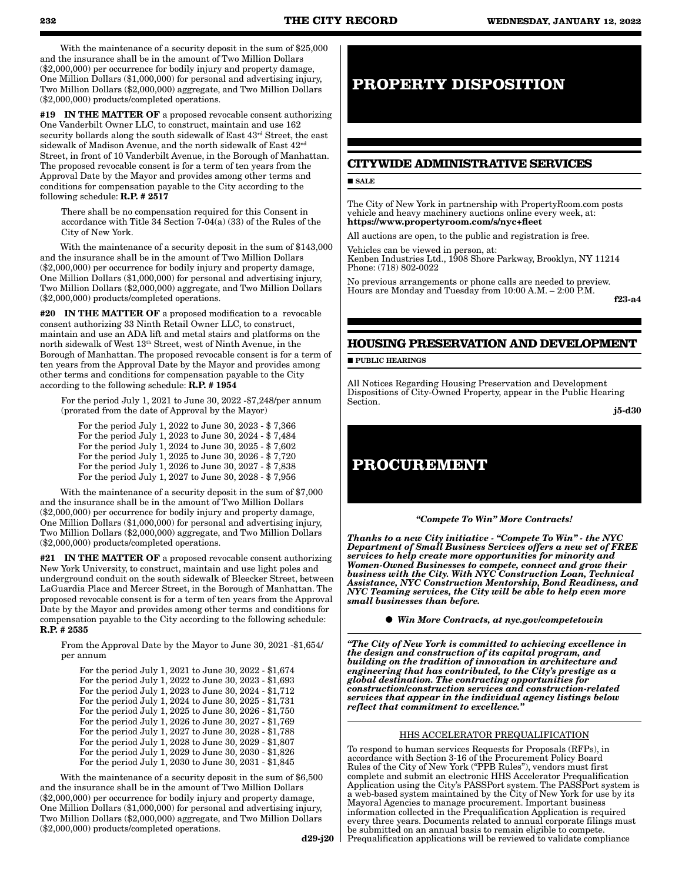With the maintenance of a security deposit in the sum of \$25,000 and the insurance shall be in the amount of Two Million Dollars (\$2,000,000) per occurrence for bodily injury and property damage, One Million Dollars (\$1,000,000) for personal and advertising injury, Two Million Dollars (\$2,000,000) aggregate, and Two Million Dollars (\$2,000,000) products/completed operations.

#19 IN THE MATTER OF a proposed revocable consent authorizing One Vanderbilt Owner LLC, to construct, maintain and use 162 security bollards along the south sidewalk of East 43rd Street, the east sidewalk of Madison Avenue, and the north sidewalk of East $42^{\rm nd}$ Street, in front of 10 Vanderbilt Avenue, in the Borough of Manhattan. The proposed revocable consent is for a term of ten years from the Approval Date by the Mayor and provides among other terms and conditions for compensation payable to the City according to the following schedule: R.P. # 2517

There shall be no compensation required for this Consent in accordance with Title 34 Section 7-04(a) (33) of the Rules of the City of New York.

With the maintenance of a security deposit in the sum of \$143,000 and the insurance shall be in the amount of Two Million Dollars (\$2,000,000) per occurrence for bodily injury and property damage, One Million Dollars (\$1,000,000) for personal and advertising injury, Two Million Dollars (\$2,000,000) aggregate, and Two Million Dollars (\$2,000,000) products/completed operations.

#20 IN THE MATTER OF a proposed modification to a revocable consent authorizing 33 Ninth Retail Owner LLC, to construct, maintain and use an ADA lift and metal stairs and platforms on the north sidewalk of West 13th Street, west of Ninth Avenue, in the Borough of Manhattan. The proposed revocable consent is for a term of ten years from the Approval Date by the Mayor and provides among other terms and conditions for compensation payable to the City according to the following schedule: R.P. # 1954

For the period July 1, 2021 to June 30, 2022 -\$7,248/per annum (prorated from the date of Approval by the Mayor)

For the period July 1, 2022 to June 30, 2023 - \$ 7,366 For the period July 1, 2023 to June 30, 2024 - \$ 7,484 For the period July 1, 2024 to June 30, 2025 - \$ 7,602 For the period July 1, 2025 to June 30, 2026 - \$ 7,720 For the period July 1, 2026 to June 30, 2027 - \$ 7,838 For the period July 1, 2027 to June 30, 2028 - \$ 7,956

With the maintenance of a security deposit in the sum of \$7,000 and the insurance shall be in the amount of Two Million Dollars (\$2,000,000) per occurrence for bodily injury and property damage, One Million Dollars (\$1,000,000) for personal and advertising injury, Two Million Dollars (\$2,000,000) aggregate, and Two Million Dollars (\$2,000,000) products/completed operations.

#21 IN THE MATTER OF a proposed revocable consent authorizing New York University, to construct, maintain and use light poles and underground conduit on the south sidewalk of Bleecker Street, between LaGuardia Place and Mercer Street, in the Borough of Manhattan. The proposed revocable consent is for a term of ten years from the Approval Date by the Mayor and provides among other terms and conditions for compensation payable to the City according to the following schedule: R.P. # 2535

From the Approval Date by the Mayor to June 30, 2021 -\$1,654/ per annum

For the period July 1, 2021 to June 30, 2022 - \$1,674 For the period July 1, 2022 to June 30, 2023 - \$1,693 For the period July 1, 2023 to June 30, 2024 - \$1,712 For the period July 1, 2024 to June 30, 2025 - \$1,731 For the period July 1, 2025 to June 30, 2026 - \$1,750 For the period July 1, 2026 to June 30, 2027 - \$1,769 For the period July 1, 2027 to June 30, 2028 - \$1,788 For the period July 1, 2028 to June 30, 2029 - \$1,807 For the period July 1, 2029 to June 30, 2030 - \$1,826 For the period July 1, 2030 to June 30, 2031 - \$1,845

With the maintenance of a security deposit in the sum of \$6,500 and the insurance shall be in the amount of Two Million Dollars (\$2,000,000) per occurrence for bodily injury and property damage, One Million Dollars (\$1,000,000) for personal and advertising injury, Two Million Dollars (\$2,000,000) aggregate, and Two Million Dollars (\$2,000,000) products/completed operations.

 $d29-i20$ 

## **PROPERTY DISPOSITION**

## **CITYWIDE ADMINISTRATIVE SERVICES**

#### **SALE**

The City of New York in partnership with PropertyRoom.com posts vehicle and heavy machinery auctions online every week, at: https://www.propertyroom.com/s/nyc+fleet

All auctions are open, to the public and registration is free.

Vehicles can be viewed in person, at: Kenben Industries Ltd., 1908 Shore Parkway, Brooklyn, NY 11214 Phone: (718) 802-0022

No previous arrangements or phone calls are needed to preview. Hours are Monday and Tuesday from 10:00 A.M. – 2:00 P.M.

f23-a4

#### **HOUSING PRESERVATION AND DEVELOPMENT**

**PUBLIC HEARINGS** 

All Notices Regarding Housing Preservation and Development Dispositions of City-Owned Property, appear in the Public Hearing Section.

j5-d30

## **PROCUREMENT**

*"Compete To Win" More Contracts!* 

*Thanks to a new City initiative - "Compete To Win" - the NYC Department of Small Business Services offers a new set of FREE services to help create more opportunities for minority and Women-Owned Businesses to compete, connect and grow their business with the City. With NYC Construction Loan, Technical Assistance, NYC Construction Mentorship, Bond Readiness, and NYC Teaming services, the City will be able to help even more small businesses than before.*

*Win More Contracts, at nyc.gov/competetowin*

*"The City of New York is committed to achieving excellence in the design and construction of its capital program, and building on the tradition of innovation in architecture and engineering that has contributed, to the City's prestige as a global destination. The contracting opportunities for construction/construction services and construction-related services that appear in the individual agency listings below reflect that commitment to excellence."*

#### HHS ACCELERATOR PREQUALIFICATION

To respond to human services Requests for Proposals (RFPs), in accordance with Section 3-16 of the Procurement Policy Board Rules of the City of New York ("PPB Rules"), vendors must first complete and submit an electronic HHS Accelerator Prequalification Application using the City's PASSPort system. The PASSPort system is a web-based system maintained by the City of New York for use by its Mayoral Agencies to manage procurement. Important business information collected in the Prequalification Application is required every three years. Documents related to annual corporate filings must be submitted on an annual basis to remain eligible to compete. Prequalification applications will be reviewed to validate compliance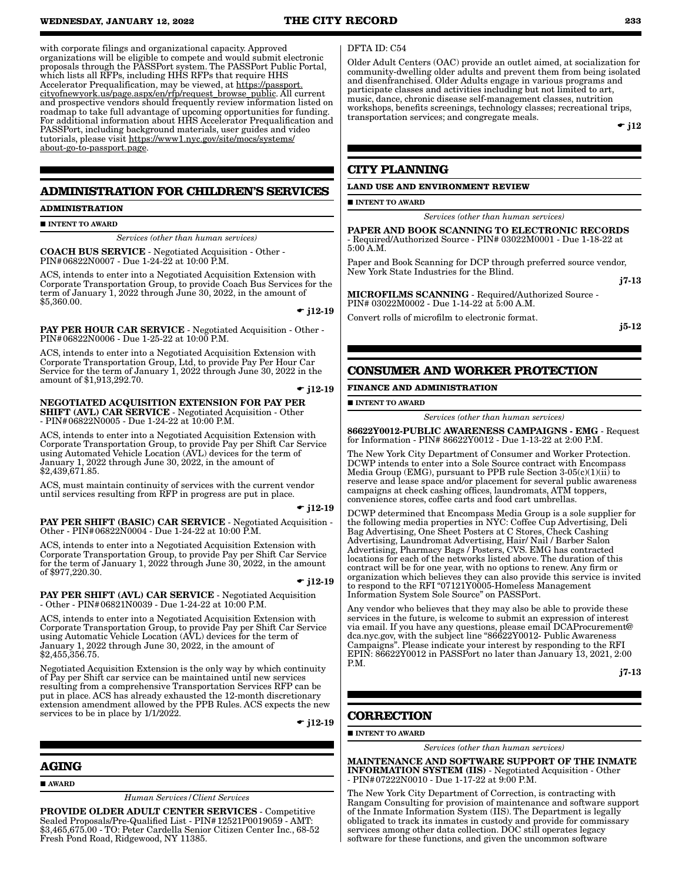#### **WEDNESDAY, JANUARY 12, 2022 THE CITY RECORD 233**

with corporate filings and organizational capacity. Approved organizations will be eligible to compete and would submit electronic proposals through the PASSPort system. The PASSPort Public Portal, which lists all RFPs, including HHS RFPs that require HHS Accelerator Prequalification, may be viewed, at https://passport. cityofnewyork.us/page.aspx/en/rfp/request\_browse\_public. All current and prospective vendors should frequently review information listed on roadmap to take full advantage of upcoming opportunities for funding. For additional information about HHS Accelerator Prequalification and PASSPort, including background materials, user guides and video tutorials, please visit https://www1.nyc.gov/site/mocs/systems/ about-go-to-passport.page.

#### **ADMINISTRATION FOR CHILDREN'S SERVICES**

#### **ADMINISTRATION**

**INTENT TO AWARD** 

*Services (other than human services)*

COACH BUS SERVICE - Negotiated Acquisition - Other - PIN#06822N0007 - Due 1-24-22 at 10:00 P.M.

ACS, intends to enter into a Negotiated Acquisition Extension with Corporate Transportation Group, to provide Coach Bus Services for the term of January 1, 2022 through June 30, 2022, in the amount of \$5,360.00.

 $\bullet$  j12-19

PAY PER HOUR CAR SERVICE - Negotiated Acquisition - Other - PIN#06822N0006 - Due 1-25-22 at 10:00 P.M.

ACS, intends to enter into a Negotiated Acquisition Extension with Corporate Transportation Group, Ltd, to provide Pay Per Hour Car Service for the term of January 1, 2022 through June 30, 2022 in the amount of \$1,913,292.70.

 $\div$  j12-19

NEGOTIATED ACQUISITION EXTENSION FOR PAY PER **SHIFT (AVL) CAR SERVICE** - Negotiated Acquisition - Other - PIN#06822N0005 - Due 1-24-22 at 10:00 P.M.

ACS, intends to enter into a Negotiated Acquisition Extension with Corporate Transportation Group, to provide Pay per Shift Car Service using Automated Vehicle Location (AVL) devices for the term of January 1, 2022 through June 30, 2022, in the amount of \$2,439,671.85.

ACS, must maintain continuity of services with the current vendor until services resulting from RFP in progress are put in place.

#### $\div$  j12-19

PAY PER SHIFT (BASIC) CAR SERVICE - Negotiated Acquisition - Other - PIN#06822N0004 - Due 1-24-22 at 10:00 P.M.

ACS, intends to enter into a Negotiated Acquisition Extension with Corporate Transportation Group, to provide Pay per Shift Car Service for the term of January 1, 2022 through June 30, 2022, in the amount of \$977,220.30.

#### $\bullet$  i12-19

PAY PER SHIFT (AVL) CAR SERVICE - Negotiated Acquisition - Other - PIN#06821N0039 - Due 1-24-22 at 10:00 P.M.

ACS, intends to enter into a Negotiated Acquisition Extension with Corporate Transportation Group, to provide Pay per Shift Car Service using Automatic Vehicle Location (AVL) devices for the term of January 1, 2022 through June 30, 2022, in the amount of \$2,455,356.75.

Negotiated Acquisition Extension is the only way by which continuity of Pay per Shift car service can be maintained until new services resulting from a comprehensive Transportation Services RFP can be put in place. ACS has already exhausted the 12-month discretionary extension amendment allowed by the PPB Rules. ACS expects the new services to be in place by  $1/1/2022$ .

 $\bullet$  j12-19

#### **AGING**

AWARD

*Human Services/Client Services*

PROVIDE OLDER ADULT CENTER SERVICES - Competitive Sealed Proposals/Pre-Qualified List - PIN#12521P0019059 - AMT: \$3,465,675.00 - TO: Peter Cardella Senior Citizen Center Inc., 68-52 Fresh Pond Road, Ridgewood, NY 11385.

#### DFTA ID: C54

Older Adult Centers (OAC) provide an outlet aimed, at socialization for community-dwelling older adults and prevent them from being isolated and disenfranchised. Older Adults engage in various programs and participate classes and activities including but not limited to art, music, dance, chronic disease self-management classes, nutrition workshops, benefits screenings, technology classes; recreational trips, transportation services; and congregate meals.

 $\div$  j12

#### **CITY PLANNING**

#### **LAND USE AND ENVIRONMENT REVIEW**

**INTENT TO AWARD** 

*Services (other than human services)*

PAPER AND BOOK SCANNING TO ELECTRONIC RECORDS - Required/Authorized Source - PIN# 03022M0001 - Due 1-18-22 at 5:00 A.M.

Paper and Book Scanning for DCP through preferred source vendor, New York State Industries for the Blind.

MICROFILMS SCANNING - Required/Authorized Source - PIN# 03022M0002 - Due 1-14-22 at 5:00 A.M.

Convert rolls of microfilm to electronic format.

j5-12

j7-13

## **CONSUMER AND WORKER PROTECTION**

#### **FINANCE AND ADMINISTRATION**

**INTENT TO AWARD** 

*Services (other than human services)*

86622Y0012-PUBLIC AWARENESS CAMPAIGNS - EMG - Request for Information - PIN# 86622Y0012 - Due 1-13-22 at 2:00 P.M.

The New York City Department of Consumer and Worker Protection. DCWP intends to enter into a Sole Source contract with Encompass Media Group (EMG), pursuant to PPB rule Section 3-05(c)(1)(ii) to reserve and lease space and/or placement for several public awareness campaigns at check cashing offices, laundromats, ATM toppers, convenience stores, coffee carts and food cart umbrellas.

DCWP determined that Encompass Media Group is a sole supplier for the following media properties in NYC: Coffee Cup Advertising, Deli Bag Advertising, One Sheet Posters at C Stores, Check Cashing Advertising, Laundromat Advertising, Hair/ Nail / Barber Salon Advertising, Pharmacy Bags / Posters, CVS. EMG has contracted locations for each of the networks listed above. The duration of this contract will be for one year, with no options to renew. Any firm or organization which believes they can also provide this service is invited to respond to the RFI "07121Y0005-Homeless Management Information System Sole Source" on PASSPort.

Any vendor who believes that they may also be able to provide these services in the future, is welcome to submit an expression of interest via email. If you have any questions, please email DCAProcurement@ dca.nyc.gov, with the subject line "86622Y0012- Public Awareness Campaigns". Please indicate your interest by responding to the RFI EPIN: 86622Y0012 in PASSPort no later than January 13, 2021, 2:00 P.M.

j7-13

## **CORRECTION**

**INTENT TO AWARD** 

*Services (other than human services)*

MAINTENANCE AND SOFTWARE SUPPORT OF THE INMATE INFORMATION SYSTEM (IIS) - Negotiated Acquisition - Other - PIN#07222N0010 - Due 1-17-22 at 9:00 P.M.

The New York City Department of Correction, is contracting with Rangam Consulting for provision of maintenance and software support of the Inmate Information System (IIS). The Department is legally obligated to track its inmates in custody and provide for commissary services among other data collection. DOC still operates legacy software for these functions, and given the uncommon software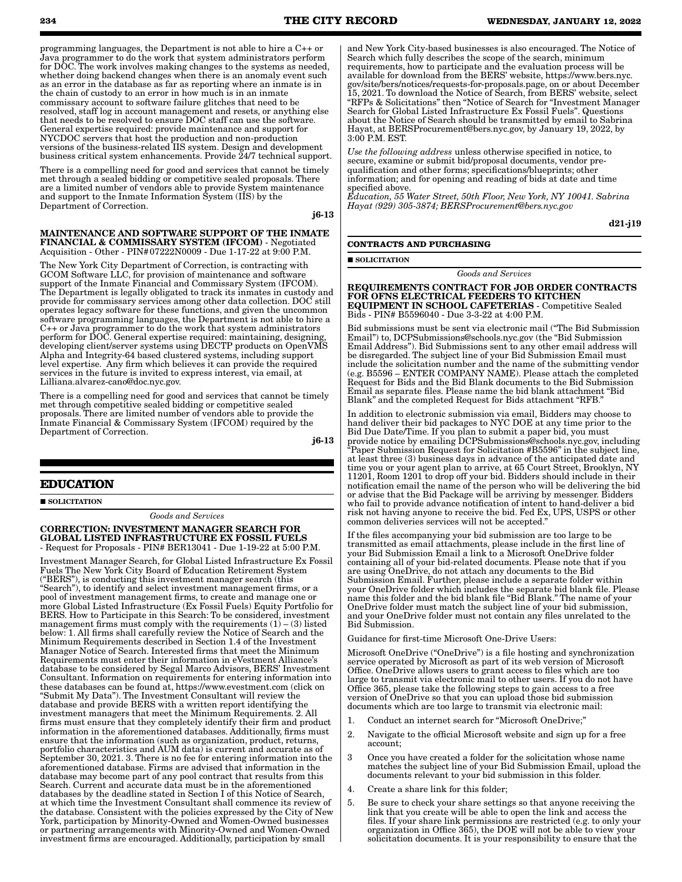programming languages, the Department is not able to hire a C++ or Java programmer to do the work that system administrators perform for DOC. The work involves making changes to the systems as needed, whether doing backend changes when there is an anomaly event such

as an error in the database as far as reporting where an inmate is in the chain of custody to an error in how much is in an inmate commissary account to software failure glitches that need to be resolved, staff log in account management and resets, or anything else that needs to be resolved to ensure DOC staff can use the software. General expertise required: provide maintenance and support for NYCDOC servers that host the production and non-production versions of the business-related IIS system. Design and development business critical system enhancements. Provide 24/7 technical support.

There is a compelling need for good and services that cannot be timely met through a sealed bidding or competitive sealed proposals. There are a limited number of vendors able to provide System maintenance and support to the Inmate Information System (IIS) by the Department of Correction.

j6-13

#### MAINTENANCE AND SOFTWARE SUPPORT OF THE INMATE FINANCIAL & COMMISSARY SYSTEM (IFCOM) - Negotiated Acquisition - Other - PIN#07222N0009 - Due 1-17-22 at 9:00 P.M.

The New York City Department of Correction, is contracting with GCOM Software LLC, for provision of maintenance and software support of the Inmate Financial and Commissary System (IFCOM). The Department is legally obligated to track its inmates in custody and provide for commissary services among other data collection. DOC still operates legacy software for these functions, and given the uncommon software programming languages, the Department is not able to hire a C++ or Java programmer to do the work that system administrators perform for DOC. General expertise required: maintaining, designing, developing client/server systems using DECTP products on OpenVMS Alpha and Integrity-64 based clustered systems, including support level expertise. Any firm which believes it can provide the required services in the future is invited to express interest, via email, at Lilliana.alvarez-cano@doc.nyc.gov.

There is a compelling need for good and services that cannot be timely met through competitive sealed bidding or competitive sealed proposals. There are limited number of vendors able to provide the Inmate Financial & Commissary System (IFCOM) required by the Department of Correction.

j6-13

## **EDUCATION**

**SOLICITATION** 

*Goods and Services*

#### CORRECTION: INVESTMENT MANAGER SEARCH FOR GLOBAL LISTED INFRASTRUCTURE EX FOSSIL FUELS - Request for Proposals - PIN# BER13041 - Due 1-19-22 at 5:00 P.M.

Investment Manager Search, for Global Listed Infrastructure Ex Fossil Fuels The New York City Board of Education Retirement System ("BERS"), is conducting this investment manager search (this "Search"), to identify and select investment management firms, or a pool of investment management firms, to create and manage one or more Global Listed Infrastructure (Ex Fossil Fuels) Equity Portfolio for BERS. How to Participate in this Search: To be considered, investment management firms must comply with the requirements  $(1) - (3)$  listed below: 1. All firms shall carefully review the Notice of Search and the Minimum Requirements described in Section 1.4 of the Investment Manager Notice of Search. Interested firms that meet the Minimum Requirements must enter their information in eVestment Alliance's database to be considered by Segal Marco Advisors, BERS' Investment Consultant. Information on requirements for entering information into these databases can be found at, https://www.evestment.com (click on "Submit My Data"). The Investment Consultant will review the database and provide BERS with a written report identifying the investment managers that meet the Minimum Requirements. 2. All firms must ensure that they completely identify their firm and product information in the aforementioned databases. Additionally, firms must ensure that the information (such as organization, product, returns, portfolio characteristics and AUM data) is current and accurate as of September 30, 2021. 3. There is no fee for entering information into the aforementioned database. Firms are advised that information in the database may become part of any pool contract that results from this Search. Current and accurate data must be in the aforementioned databases by the deadline stated in Section I of this Notice of Search, at which time the Investment Consultant shall commence its review of the database. Consistent with the policies expressed by the City of New York, participation by Minority-Owned and Women-Owned businesses or partnering arrangements with Minority-Owned and Women-Owned investment firms are encouraged. Additionally, participation by small

gov/site/bers/notices/requests-for-proposals.page, on or about December 15, 2021. To download the Notice of Search, from BERS' website, select "RFPs & Solicitations" then "Notice of Search for "Investment Manager Search for Global Listed Infrastructure Ex Fossil Fuels". Questions about the Notice of Search should be transmitted by email to Sabrina Hayat, at BERSProcurement@bers.nyc.gov, by January 19, 2022, by 3:00 P.M. EST.

*Use the following address* unless otherwise specified in notice, to secure, examine or submit bid/proposal documents, vendor prequalification and other forms; specifications/blueprints; other information; and for opening and reading of bids at date and time specified above.

*Education, 55 Water Street, 50th Floor, New York, NY 10041. Sabrina Hayat (929) 305-3874; BERSProcurement@bers.nyc.gov*

d21-j19

## **CONTRACTS AND PURCHASING**

SOLICITATION

*Goods and Services*

REQUIREMENTS CONTRACT FOR JOB ORDER CONTRACTS FOR OFNS ELECTRICAL FEEDERS TO KITCHEN EQUIPMENT IN SCHOOL CAFETERIAS - Competitive Sealed Bids - PIN# B5596040 - Due 3-3-22 at 4:00 P.M.

Bid submissions must be sent via electronic mail ("The Bid Submission Email") to, DCPSubmissions@schools.nyc.gov (the "Bid Submission Email Address"). Bid Submissions sent to any other email address will be disregarded. The subject line of your Bid Submission Email must include the solicitation number and the name of the submitting vendor (e.g. B5596 – ENTER COMPANY NAME). Please attach the completed Request for Bids and the Bid Blank documents to the Bid Submission Email as separate files. Please name the bid blank attachment "Bid Blank" and the completed Request for Bids attachment "RFB."

In addition to electronic submission via email, Bidders may choose to hand deliver their bid packages to NYC DOE at any time prior to the Bid Due Date/Time. If you plan to submit a paper bid, you must provide notice by emailing DCPSubmissions@schools.nyc.gov, including "Paper Submission Request for Solicitation #B5596" in the subject line, at least three (3) business days in advance of the anticipated date and time you or your agent plan to arrive, at 65 Court Street, Brooklyn, NY 11201, Room 1201 to drop off your bid. Bidders should include in their notification email the name of the person who will be delivering the bid or advise that the Bid Package will be arriving by messenger. Bidders who fail to provide advance notification of intent to hand-deliver a bid risk not having anyone to receive the bid. Fed Ex, UPS, USPS or other common deliveries services will not be accepted."

If the files accompanying your bid submission are too large to be transmitted as email attachments, please include in the first line of your Bid Submission Email a link to a Microsoft OneDrive folder containing all of your bid-related documents. Please note that if you are using OneDrive, do not attach any documents to the Bid Submission Email. Further, please include a separate folder within your OneDrive folder which includes the separate bid blank file. Please name this folder and the bid blank file "Bid Blank." The name of your OneDrive folder must match the subject line of your bid submission, and your OneDrive folder must not contain any files unrelated to the Bid Submission.

Guidance for first-time Microsoft One-Drive Users:

Microsoft OneDrive ("OneDrive") is a file hosting and synchronization service operated by Microsoft as part of its web version of Microsoft Office. OneDrive allows users to grant access to files which are too large to transmit via electronic mail to other users. If you do not have Office 365, please take the following steps to gain access to a free version of OneDrive so that you can upload those bid submission documents which are too large to transmit via electronic mail:

- 1. Conduct an internet search for "Microsoft OneDrive;"
- 2. Navigate to the official Microsoft website and sign up for a free account;
- 3 Once you have created a folder for the solicitation whose name matches the subject line of your Bid Submission Email, upload the documents relevant to your bid submission in this folder.
- 4. Create a share link for this folder;
- 5. Be sure to check your share settings so that anyone receiving the link that you create will be able to open the link and access the files. If your share link permissions are restricted (e.g. to only your organization in Office 365), the DOE will not be able to view your solicitation documents. It is your responsibility to ensure that the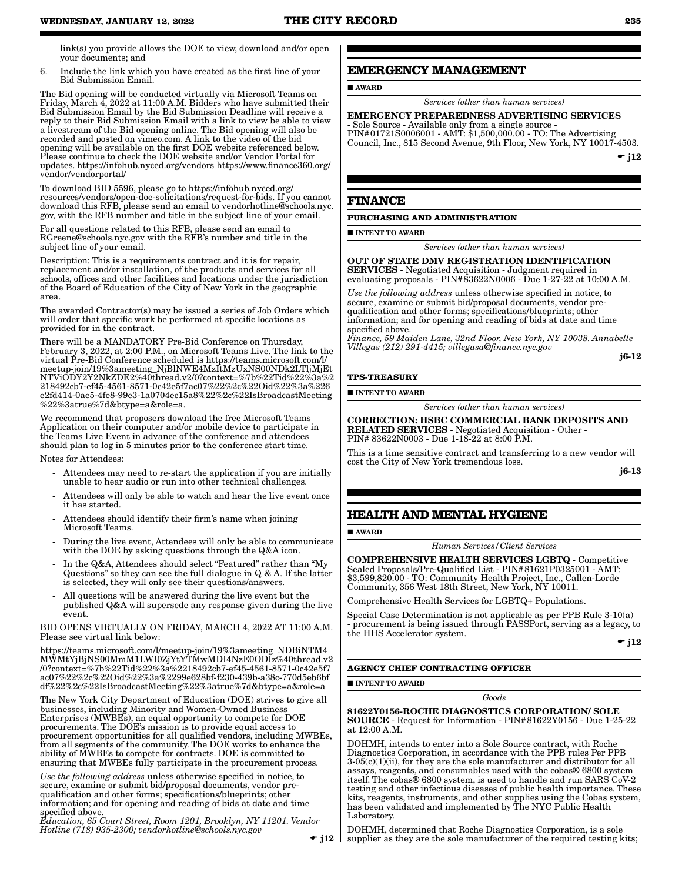link(s) you provide allows the DOE to view, download and/or open your documents; and

6. Include the link which you have created as the first line of your Bid Submission Email.

The Bid opening will be conducted virtually via Microsoft Teams on Friday, March 4, 2022 at 11:00 A.M. Bidders who have submitted their Bid Submission Email by the Bid Submission Deadline will receive a reply to their Bid Submission Email with a link to view be able to view a livestream of the Bid opening online. The Bid opening will also be recorded and posted on vimeo.com. A link to the video of the bid opening will be available on the first DOE website referenced below. Please continue to check the DOE website and/or Vendor Portal for updates. https://infohub.nyced.org/vendors https://www.finance360.org/ vendor/vendorportal/

To download BID 5596, please go to https://infohub.nyced.org/ resources/vendors/open-doe-solicitations/request-for-bids. If you cannot download this RFB, please send an email to vendorhotline@schools.nyc. gov, with the RFB number and title in the subject line of your email.

For all questions related to this RFB, please send an email to RGreene@schools.nyc.gov with the RFB's number and title in the subject line of your email.

Description: This is a requirements contract and it is for repair, replacement and/or installation, of the products and services for all schools, offices and other facilities and locations under the jurisdiction of the Board of Education of the City of New York in the geographic area.

The awarded Contractor(s) may be issued a series of Job Orders which will order that specific work be performed at specific locations as provided for in the contract.

There will be a MANDATORY Pre-Bid Conference on Thursday, February 3, 2022, at 2:00 P.M., on Microsoft Teams Live. The link to the virtual Pre-Bid Conference scheduled is https://teams.microsoft.com/l/ meetup-join/19%3ameeting\_NjBlNWE4MzItMzUxNS00NDk2LTljMjEt NTViODY2Y2NkZDE2%40thread.v2/0?context=%7b%22Tid%22%3a%2 218492cb7-ef45-4561-8571-0c42e5f7ac07%22%2c%22Oid%22%3a%226 e2fd414-0ae5-4fe8-99e3-1a0704ec15a8%22%2c%22IsBroadcastMeeting %22%3atrue%7d&btype=a&role=a.

We recommend that proposers download the free Microsoft Teams Application on their computer and/or mobile device to participate in the Teams Live Event in advance of the conference and attendees should plan to log in 5 minutes prior to the conference start time.

Notes for Attendees:

- Attendees may need to re-start the application if you are initially unable to hear audio or run into other technical challenges.
- Attendees will only be able to watch and hear the live event once it has started.
- Attendees should identify their firm's name when joining Microsoft Teams.
- During the live event, Attendees will only be able to communicate with the DOE by asking questions through the Q&A icon.
- In the Q&A, Attendees should select "Featured" rather than "My Questions" so they can see the full dialogue in Q & A. If the latter is selected, they will only see their questions/answers.
- All questions will be answered during the live event but the published Q&A will supersede any response given during the live event.

BID OPENS VIRTUALLY ON FRIDAY, MARCH 4, 2022 AT 11:00 A.M. Please see virtual link below:

https://teams.microsoft.com/l/meetup-join/19%3ameeting\_NDBiNTM4 MWMtYjBjNS00MmM1LWI0ZjYtYTMwMDI4NzE0ODIz%40thread.v2 /0?context=%7b%22Tid%22%3a%2218492cb7-ef45-4561-8571-0c42e5f7 ac07%22%2c%22Oid%22%3a%2299e628bf-f230-439b-a38c-770d5eb6bf df%22%2c%22IsBroadcastMeeting%22%3atrue%7d&btype=a&role=a

The New York City Department of Education (DOE) strives to give all businesses, including Minority and Women-Owned Business Enterprises (MWBEs), an equal opportunity to compete for DOE procurements. The DOE's mission is to provide equal access to procurement opportunities for all qualified vendors, including MWBEs, from all segments of the community. The DOE works to enhance the ability of MWBEs to compete for contracts. DOE is committed to ensuring that MWBEs fully participate in the procurement process.

*Use the following address* unless otherwise specified in notice, to secure, examine or submit bid/proposal documents, vendor prequalification and other forms; specifications/blueprints; other information; and for opening and reading of bids at date and time specified above.

*Education, 65 Court Street, Room 1201, Brooklyn, NY 11201. Vendor Hotline (718) 935-2300; vendorhotline@schools.nyc.gov*

 $\bullet$  j12  $\parallel$ 

## **EMERGENCY MANAGEMENT**

AWARD

*Services (other than human services)*

#### EMERGENCY PREPAREDNESS ADVERTISING SERVICES - Sole Source - Available only from a single source -

PIN#01721S0006001 - AMT: \$1,500,000.00 - TO: The Advertising Council, Inc., 815 Second Avenue, 9th Floor, New York, NY 10017-4503.

 $\div$  j12

#### **FINANCE**

#### **PURCHASING AND ADMINISTRATION**

**INTENT TO AWARD** 

*Services (other than human services)*

OUT OF STATE DMV REGISTRATION IDENTIFICATION SERVICES - Negotiated Acquisition - Judgment required in evaluating proposals - PIN#83622N0006 - Due 1-27-22 at 10:00 A.M.

*Use the following address* unless otherwise specified in notice, to secure, examine or submit bid/proposal documents, vendor prequalification and other forms; specifications/blueprints; other information; and for opening and reading of bids at date and time specified above.

*Finance, 59 Maiden Lane, 32nd Floor, New York, NY 10038. Annabelle Villegas (212) 291-4415; villegasa@finance.nyc.gov*

j6-12

#### **TPS-TREASURY**

#### **INTENT TO AWARD**

*Services (other than human services)*

CORRECTION: HSBC COMMERCIAL BANK DEPOSITS AND RELATED SERVICES - Negotiated Acquisition - Other - PIN# 83622N0003 - Due 1-18-22 at 8:00 P.M.

This is a time sensitive contract and transferring to a new vendor will cost the City of New York tremendous loss.

j6-13

## **HEALTH AND MENTAL HYGIENE**

**AWARD** 

*Human Services/Client Services*

COMPREHENSIVE HEALTH SERVICES LGBTQ - Competitive Sealed Proposals/Pre-Qualified List - PIN#81621P0325001 - AMT: \$3,599,820.00 - TO: Community Health Project, Inc., Callen-Lorde Community, 356 West 18th Street, New York, NY 10011.

Comprehensive Health Services for LGBTQ+ Populations.

Special Case Determination is not applicable as per PPB Rule 3-10(a) - procurement is being issued through PASSPort, serving as a legacy, to the HHS Accelerator system.

 $\bullet$  j12

#### **AGENCY CHIEF CONTRACTING OFFICER**

INTENT TO AWARD

#### *Goods*

## 81622Y0156-ROCHE DIAGNOSTICS CORPORATION/ SOLE

SOURCE - Request for Information - PIN#81622Y0156 - Due 1-25-22 at 12:00 A.M.

DOHMH, intends to enter into a Sole Source contract, with Roche Diagnostics Corporation, in accordance with the PPB rules Per PPB  $3\n-05(c)(1)(ii)$ , for they are the sole manufacturer and distributor for all assays, reagents, and consumables used with the cobas® 6800 system itself. The cobas® 6800 system, is used to handle and run SARS CoV-2 testing and other infectious diseases of public health importance. These kits, reagents, instruments, and other supplies using the Cobas system, has been validated and implemented by The NYC Public Health Laboratory.

DOHMH, determined that Roche Diagnostics Corporation, is a sole supplier as they are the sole manufacturer of the required testing kits;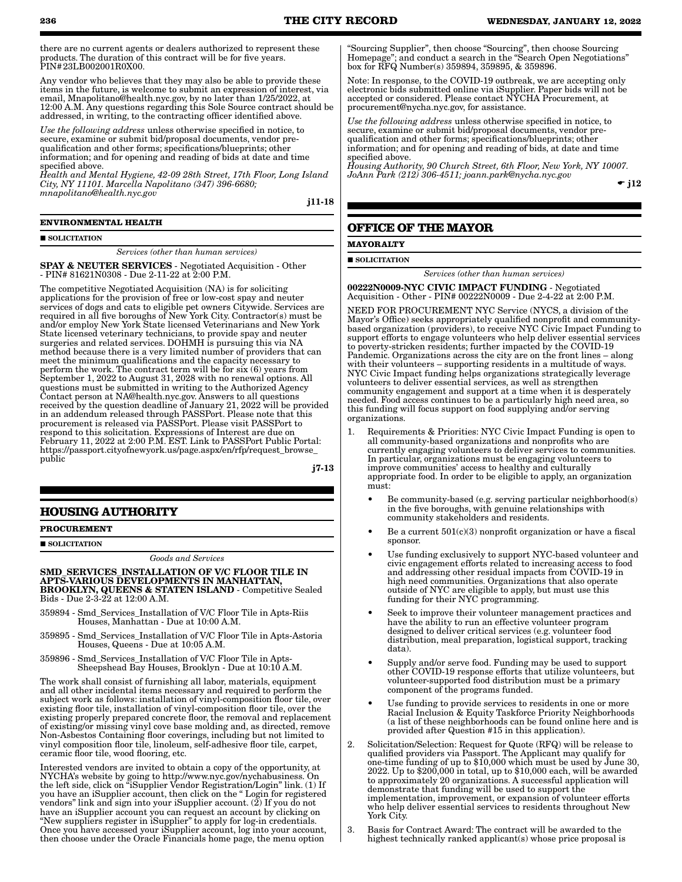there are no current agents or dealers authorized to represent these products. The duration of this contract will be for five years. PIN#23LB002001R0X00.

Any vendor who believes that they may also be able to provide these items in the future, is welcome to submit an expression of interest, via email, Mnapolitano@health.nyc.gov, by no later than 1/25/2022, at 12:00 A.M. Any questions regarding this Sole Source contract should be addressed, in writing, to the contracting officer identified above.

*Use the following address* unless otherwise specified in notice, to secure, examine or submit bid/proposal documents, vendor prequalification and other forms; specifications/blueprints; other information; and for opening and reading of bids at date and time specified above.

*Health and Mental Hygiene, 42-09 28th Street, 17th Floor, Long Island City, NY 11101. Marcella Napolitano (347) 396-6680; mnapolitano@health.nyc.gov*

j11-18

#### **ENVIRONMENTAL HEALTH**

#### SOLICITATION

#### *Services (other than human services)*

SPAY & NEUTER SERVICES - Negotiated Acquisition - Other - PIN# 81621N0308 - Due 2-11-22 at 2:00 P.M.

The competitive Negotiated Acquisition (NA) is for soliciting applications for the provision of free or low-cost spay and neuter services of dogs and cats to eligible pet owners Citywide. Services are required in all five boroughs of New York City. Contractor(s) must be and/or employ New York State licensed Veterinarians and New York State licensed veterinary technicians, to provide spay and neuter surgeries and related services. DOHMH is pursuing this via NA method because there is a very limited number of providers that can meet the minimum qualifications and the capacity necessary to perform the work. The contract term will be for six (6) years from September 1, 2022 to August 31, 2028 with no renewal options. All questions must be submitted in writing to the Authorized Agency Contact person at NA@health.nyc.gov. Answers to all questions received by the question deadline of January 21, 2022 will be provided in an addendum released through PASSPort. Please note that this procurement is released via PASSPort. Please visit PASSPort to respond to this solicitation. Expressions of Interest are due on February 11, 2022 at 2:00 P.M. EST. Link to PASSPort Public Portal: https://passport.cityofnewyork.us/page.aspx/en/rfp/request\_browse\_ public

j7-13

### **HOUSING AUTHORITY**

#### **PROCUREMENT**

SOLICITATION

*Goods and Services*

SMD\_SERVICES\_INSTALLATION OF V/C FLOOR TILE IN APTS-VARIOUS DEVELOPMENTS IN MANHATTAN, BROOKLYN, QUEENS & STATEN ISLAND - Competitive Sealed Bids - Due 2-3-22 at 12:00 A.M.

- 359894 Smd\_Services\_Installation of V/C Floor Tile in Apts-Riis Houses, Manhattan - Due at 10:00 A.M.
- 359895 Smd\_Services\_Installation of V/C Floor Tile in Apts-Astoria Houses, Queens - Due at 10:05 A.M.
- 359896 Smd\_Services\_Installation of V/C Floor Tile in Apts-Sheepshead Bay Houses, Brooklyn - Due at 10:10 A.M.

The work shall consist of furnishing all labor, materials, equipment and all other incidental items necessary and required to perform the subject work as follows: installation of vinyl-composition floor tile, over existing floor tile, installation of vinyl-composition floor tile, over the existing properly prepared concrete floor, the removal and replacement of existing/or missing vinyl cove base molding and, as directed, remove Non-Asbestos Containing floor coverings, including but not limited to vinyl composition floor tile, linoleum, self-adhesive floor tile, carpet, ceramic floor tile, wood flooring, etc.

Interested vendors are invited to obtain a copy of the opportunity, at NYCHA's website by going to http://www.nyc.gov/nychabusiness. On the left side, click on "iSupplier Vendor Registration/Login" link. (1) If you have an iSupplier account, then click on the " Login for registered vendors" link and sign into your iSupplier account. (2) If you do not have an iSupplier account you can request an account by clicking on "New suppliers register in iSupplier" to apply for log-in credentials. Once you have accessed your iSupplier account, log into your account, then choose under the Oracle Financials home page, the menu option

"Sourcing Supplier", then choose "Sourcing", then choose Sourcing Homepage"; and conduct a search in the "Search Open Negotiations" box for RFQ Number(s) 359894, 359895, & 359896.

Note: In response, to the COVID-19 outbreak, we are accepting only electronic bids submitted online via iSupplier. Paper bids will not be accepted or considered. Please contact NYCHA Procurement, at procurement@nycha.nyc.gov, for assistance.

*Use the following address* unless otherwise specified in notice, to secure, examine or submit bid/proposal documents, vendor prequalification and other forms; specifications/blueprints; other information; and for opening and reading of bids, at date and time specified above.

*Housing Authority, 90 Church Street, 6th Floor, New York, NY 10007. JoAnn Park (212) 306-4511; joann.park@nycha.nyc.gov*

 $\bullet$  j12

### **OFFICE OF THE MAYOR**

#### **MAYORALTY**

#### SOLICITATION

*Services (other than human services)*

00222N0009-NYC CIVIC IMPACT FUNDING - Negotiated Acquisition - Other - PIN# 00222N0009 - Due 2-4-22 at 2:00 P.M.

NEED FOR PROCUREMENT NYC Service (NYCS, a division of the Mayor's Office) seeks appropriately qualified nonprofit and communitybased organization (providers), to receive NYC Civic Impact Funding to support efforts to engage volunteers who help deliver essential services to poverty-stricken residents; further impacted by the COVID-19 Pandemic. Organizations across the city are on the front lines – along with their volunteers – supporting residents in a multitude of ways. NYC Civic Impact funding helps organizations strategically leverage volunteers to deliver essential services, as well as strengthen community engagement and support at a time when it is desperately needed. Food access continues to be a particularly high need area, so this funding will focus support on food supplying and/or serving organizations.

- 1. Requirements & Priorities: NYC Civic Impact Funding is open to all community-based organizations and nonprofits who are currently engaging volunteers to deliver services to communities. In particular, organizations must be engaging volunteers to improve communities' access to healthy and culturally appropriate food. In order to be eligible to apply, an organization must:
	- Be community-based (e.g. serving particular neighborhood(s) in the five boroughs, with genuine relationships with community stakeholders and residents.
	- Be a current  $501(c)(3)$  nonprofit organization or have a fiscal sponsor.
	- Use funding exclusively to support NYC-based volunteer and civic engagement efforts related to increasing access to food and addressing other residual impacts from COVID-19 in high need communities. Organizations that also operate outside of NYC are eligible to apply, but must use this funding for their NYC programming.
	- Seek to improve their volunteer management practices and have the ability to run an effective volunteer program designed to deliver critical services (e.g. volunteer food distribution, meal preparation, logistical support, tracking data).
	- Supply and/or serve food. Funding may be used to support other COVID-19 response efforts that utilize volunteers, but volunteer-supported food distribution must be a primary component of the programs funded.
	- Use funding to provide services to residents in one or more Racial Inclusion & Equity Taskforce Priority Neighborhoods (a list of these neighborhoods can be found online here and is provided after Question #15 in this application).
- 2. Solicitation/Selection: Request for Quote (RFQ) will be release to qualified providers via Passport. The Applicant may qualify for one-time funding of up to \$10,000 which must be used by June 30, 2022. Up to \$200,000 in total, up to \$10,000 each, will be awarded to approximately 20 organizations. A successful application will demonstrate that funding will be used to support the implementation, improvement, or expansion of volunteer efforts who help deliver essential services to residents throughout New York City.
- 3. Basis for Contract Award: The contract will be awarded to the highest technically ranked applicant(s) whose price proposal is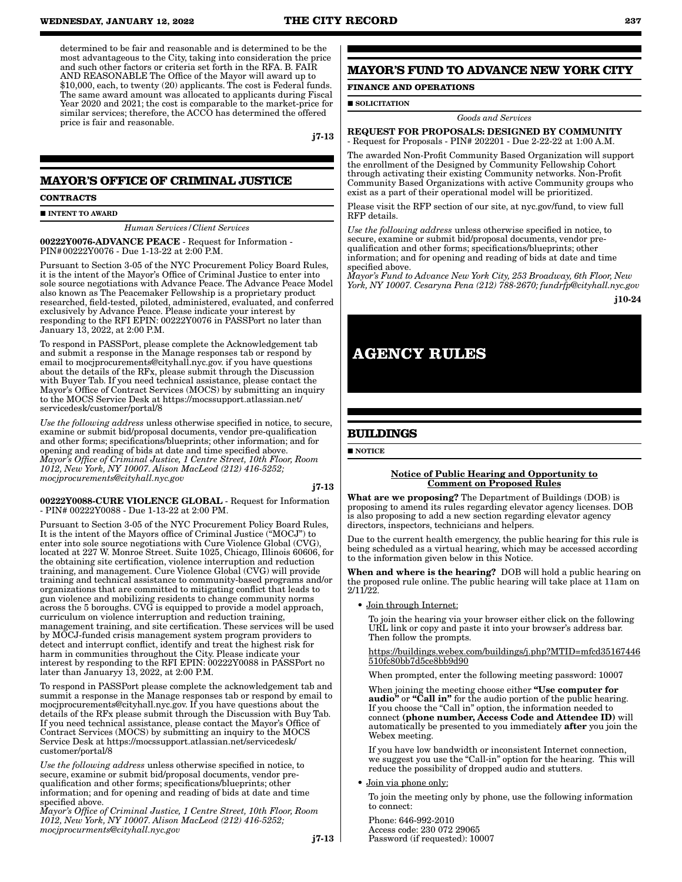determined to be fair and reasonable and is determined to be the most advantageous to the City, taking into consideration the price and such other factors or criteria set forth in the RFA. B. FAIR AND REASONABLE The Office of the Mayor will award up to \$10,000, each, to twenty (20) applicants. The cost is Federal funds. The same award amount was allocated to applicants during Fiscal Year 2020 and 2021; the cost is comparable to the market-price for similar services; therefore, the ACCO has determined the offered price is fair and reasonable.

j7-13

## **MAYOR'S OFFICE OF CRIMINAL JUSTICE**

#### **CONTRACTS**

**INTENT TO AWARD** 

*Human Services/Client Services*

00222Y0076-ADVANCE PEACE - Request for Information - PIN#00222Y0076 - Due 1-13-22 at 2:00 P.M.

Pursuant to Section 3-05 of the NYC Procurement Policy Board Rules, it is the intent of the Mayor's Office of Criminal Justice to enter into sole source negotiations with Advance Peace. The Advance Peace Model also known as The Peacemaker Fellowship is a proprietary product researched, field-tested, piloted, administered, evaluated, and conferred exclusively by Advance Peace. Please indicate your interest by responding to the RFI EPIN: 00222Y0076 in PASSPort no later than January 13, 2022, at 2:00 P.M.

To respond in PASSPort, please complete the Acknowledgement tab and submit a response in the Manage responses tab or respond by email to mocjprocurements@cityhall.nyc.gov. if you have questions about the details of the RFx, please submit through the Discussion with Buyer Tab. If you need technical assistance, please contact the Mayor's Office of Contract Services (MOCS) by submitting an inquiry to the MOCS Service Desk at https://mocssupport.atlassian.net/ servicedesk/customer/portal/8

*Use the following address* unless otherwise specified in notice, to secure, examine or submit bid/proposal documents, vendor pre-qualification and other forms; specifications/blueprints; other information; and for opening and reading of bids at date and time specified above. *Mayor's Office of Criminal Justice, 1 Centre Street, 10th Floor, Room 1012, New York, NY 10007. Alison MacLeod (212) 416-5252; mocjprocurements@cityhall.nyc.gov*

#### j7-13

00222Y0088-CURE VIOLENCE GLOBAL - Request for Information - PIN# 00222Y0088 - Due 1-13-22 at 2:00 PM.

Pursuant to Section 3-05 of the NYC Procurement Policy Board Rules, It is the intent of the Mayors office of Criminal Justice ("MOCJ") to enter into sole source negotiations with Cure Violence Global (CVG), located at 227 W. Monroe Street. Suite 1025, Chicago, Illinois 60606, for the obtaining site certification, violence interruption and reduction training, and management. Cure Violence Global (CVG) will provide training and technical assistance to community-based programs and/or organizations that are committed to mitigating conflict that leads to gun violence and mobilizing residents to change community norms across the 5 boroughs. CVG is equipped to provide a model approach, curriculum on violence interruption and reduction training, management training, and site certification. These services will be used by MOCJ-funded crisis management system program providers to detect and interrupt conflict, identify and treat the highest risk for harm in communities throughout the City. Please indicate your interest by responding to the RFI EPIN: 00222Y0088 in PASSPort no later than Januaryy 13, 2022, at 2:00 P.M.

To respond in PASSPort please complete the acknowledgement tab and summit a response in the Manage responses tab or respond by email to mocjprocurements@cityhall.nyc.gov. If you have questions about the details of the RFx please submit through the Discussion with Buy Tab. If you need technical assistance, please contact the Mayor's Office of Contract Services (MOCS) by submitting an inquiry to the MOCS Service Desk at https://mocssupport.atlassian.net/servicedesk/ customer/portal/8

*Use the following address* unless otherwise specified in notice, to secure, examine or submit bid/proposal documents, vendor prequalification and other forms; specifications/blueprints; other information; and for opening and reading of bids at date and time specified above.

*Mayor's Office of Criminal Justice, 1 Centre Street, 10th Floor, Room 1012, New York, NY 10007. Alison MacLeod (212) 416-5252; mocjprocurments@cityhall.nyc.gov*

j7-13

## **MAYOR'S FUND TO ADVANCE NEW YORK CITY**

#### **FINANCE AND OPERATIONS**

**SOLICITATION** 

#### *Goods and Services*

REQUEST FOR PROPOSALS: DESIGNED BY COMMUNITY - Request for Proposals - PIN# 202201 - Due 2-22-22 at 1:00 A.M.

The awarded Non-Profit Community Based Organization will support the enrollment of the Designed by Community Fellowship Cohort through activating their existing Community networks. Non-Profit Community Based Organizations with active Community groups who exist as a part of their operational model will be prioritized.

Please visit the RFP section of our site, at nyc.gov/fund, to view full RFP details.

*Use the following address* unless otherwise specified in notice, to secure, examine or submit bid/proposal documents, vendor prequalification and other forms; specifications/blueprints; other information; and for opening and reading of bids at date and time specified above.

*Mayor's Fund to Advance New York City, 253 Broadway, 6th Floor, New York, NY 10007. Cesaryna Pena (212) 788-2670; fundrfp@cityhall.nyc.gov*

j10-24

## **AGENCY RULES**

## **BUILDINGS**

**NOTICE** 

#### Notice of Public Hearing and Opportunity to Comment on Proposed Rules

What are we proposing? The Department of Buildings (DOB) is proposing to amend its rules regarding elevator agency licenses. DOB is also proposing to add a new section regarding elevator agency directors, inspectors, technicians and helpers.

Due to the current health emergency, the public hearing for this rule is being scheduled as a virtual hearing, which may be accessed according to the information given below in this Notice.

When and where is the hearing? DOB will hold a public hearing on the proposed rule online. The public hearing will take place at 11am on 2/11/22.

Join through Internet:

To join the hearing via your browser either click on the following URL link or copy and paste it into your browser's address bar. Then follow the prompts.

https://buildings.webex.com/buildings/j.php?MTID=mfcd35167446 510fc80bb7d5ce8bb9d90

When prompted, enter the following meeting password: 10007

When joining the meeting choose either "Use computer for audio" or "Call in" for the audio portion of the public hearing. If you choose the "Call in" option, the information needed to connect (phone number, Access Code and Attendee ID) will automatically be presented to you immediately after you join the Webex meeting.

If you have low bandwidth or inconsistent Internet connection, we suggest you use the "Call-in" option for the hearing. This will reduce the possibility of dropped audio and stutters.

#### • Join via phone only:

To join the meeting only by phone, use the following information to connect:

Phone: 646-992-2010 Access code: 230 072 29065 Password (if requested): 10007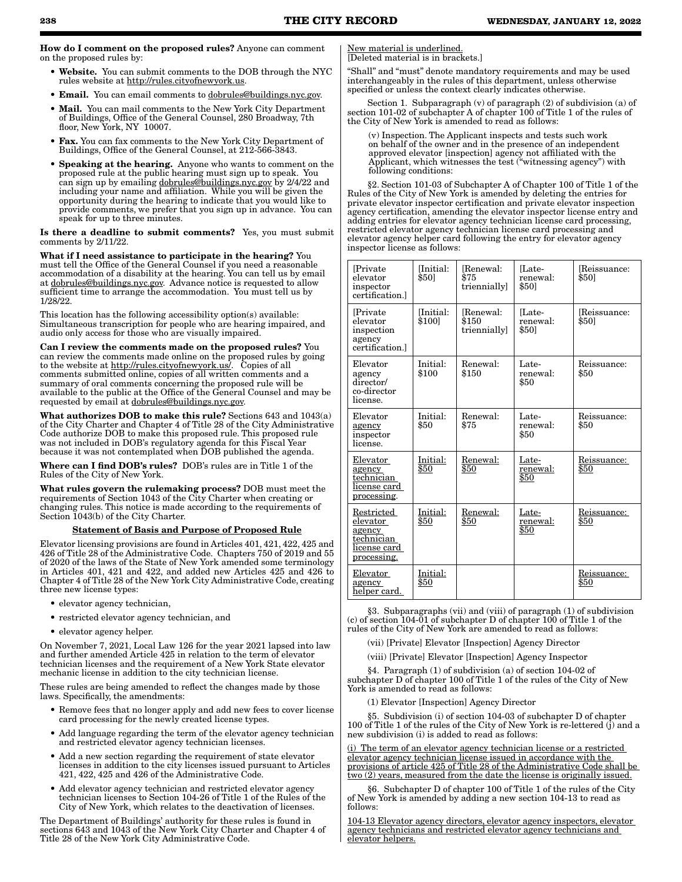How do I comment on the proposed rules? Anyone can comment on the proposed rules by:

- Website. You can submit comments to the DOB through the NYC rules website at http://rules.cityofnewyork.us.
- Email. You can email comments to dobrules@buildings.nyc.gov.
- Mail. You can mail comments to the New York City Department of Buildings, Office of the General Counsel, 280 Broadway, 7th floor, New York, NY 10007.
- Fax. You can fax comments to the New York City Department of Buildings, Office of the General Counsel, at 212-566-3843.
- Speaking at the hearing. Anyone who wants to comment on the proposed rule at the public hearing must sign up to speak. You can sign up by emailing dobrules@buildings.nyc.gov by 2/4/22 and including your name and affiliation. While you will be given the opportunity during the hearing to indicate that you would like to provide comments, we prefer that you sign up in advance. You can speak for up to three minutes.

Is there a deadline to submit comments? Yes, you must submit comments by 2/11/22.

What if I need assistance to participate in the hearing? You must tell the Office of the General Counsel if you need a reasonable accommodation of a disability at the hearing. You can tell us by email at dobrules@buildings.nyc.gov. Advance notice is requested to allow sufficient time to arrange the accommodation. You must tell us by 1/28/22.

This location has the following accessibility option(s) available: Simultaneous transcription for people who are hearing impaired, and audio only access for those who are visually impaired.

Can I review the comments made on the proposed rules? You can review the comments made online on the proposed rules by going to the website at http://rules.cityofnewyork.us/. Copies of all comments submitted online, copies of all written comments and a summary of oral comments concerning the proposed rule will be available to the public at the Office of the General Counsel and may be requested by email at dobrules@buildings.nyc.gov.

What authorizes DOB to make this rule? Sections 643 and 1043(a) of the City Charter and Chapter 4 of Title 28 of the City Administrative Code authorize DOB to make this proposed rule. This proposed rule was not included in DOB's regulatory agenda for this Fiscal Year because it was not contemplated when DOB published the agenda.

Where can I find DOB's rules? DOB's rules are in Title 1 of the Rules of the City of New York.

What rules govern the rulemaking process? DOB must meet the requirements of Section 1043 of the City Charter when creating or changing rules. This notice is made according to the requirements of Section 1043(b) of the City Charter.

#### Statement of Basis and Purpose of Proposed Rule

Elevator licensing provisions are found in Articles 401, 421, 422, 425 and 426 of Title 28 of the Administrative Code. Chapters 750 of 2019 and 55 of 2020 of the laws of the State of New York amended some terminology in Articles 401, 421 and 422, and added new Articles 425 and 426 to Chapter 4 of Title 28 of the New York City Administrative Code, creating three new license types:

- elevator agency technician,
- restricted elevator agency technician, and
- elevator agency helper.

On November 7, 2021, Local Law 126 for the year 2021 lapsed into law and further amended Article 425 in relation to the term of elevator technician licenses and the requirement of a New York State elevator mechanic license in addition to the city technician license.

These rules are being amended to reflect the changes made by those laws. Specifically, the amendments:

- Remove fees that no longer apply and add new fees to cover license card processing for the newly created license types.
- Add language regarding the term of the elevator agency technician and restricted elevator agency technician licenses.
- Add a new section regarding the requirement of state elevator licenses in addition to the city licenses issued pursuant to Articles 421, 422, 425 and 426 of the Administrative Code.
- Add elevator agency technician and restricted elevator agency technician licenses to Section 104-26 of Title 1 of the Rules of the City of New York, which relates to the deactivation of licenses.

The Department of Buildings' authority for these rules is found in sections 643 and 1043 of the New York City Charter and Chapter 4 of Title 28 of the New York City Administrative Code.

New material is underlined. [Deleted material is in brackets.]

"Shall" and "must" denote mandatory requirements and may be used interchangeably in the rules of this department, unless otherwise specified or unless the context clearly indicates otherwise.

Section 1. Subparagraph  $(v)$  of paragraph  $(2)$  of subdivision  $(a)$  of section 101-02 of subchapter A of chapter 100 of Title 1 of the rules of the City of New York is amended to read as follows:

(v) Inspection. The Applicant inspects and tests such work on behalf of the owner and in the presence of an independent approved elevator [inspection] agency not affiliated with the Applicant, which witnesses the test ("witnessing agency") with following conditions:

§2. Section 101-03 of Subchapter A of Chapter 100 of Title 1 of the Rules of the City of New York is amended by deleting the entries for private elevator inspector certification and private elevator inspection agency certification, amending the elevator inspector license entry and adding entries for elevator agency technician license card processing, restricted elevator agency technician license card processing and elevator agency helper card following the entry for elevator agency inspector license as follows:

| <b>Private</b><br>elevator<br>inspector<br>certification.                     | [Initial:<br>\$501       | [Renewal:<br>\$75<br>triennially  | ILate-<br>renewal:<br>\$501           | Reissuance:<br>\$501 |
|-------------------------------------------------------------------------------|--------------------------|-----------------------------------|---------------------------------------|----------------------|
| Private<br>elevator<br>inspection<br>agency<br>certification.                 | Initial:<br>\$1001       | [Renewal:<br>\$150<br>triennially | ILate-<br>renewal:<br>\$501           | Reissuance:<br>\$501 |
| Elevator<br>agency<br>director/<br>co-director<br>license.                    | Initial:<br>\$100        | Renewal:<br>\$150                 | Late-<br>renewal:<br>\$50             | Reissuance:<br>\$50  |
| Elevator<br>agency<br>inspector<br>license.                                   | Initial:<br>\$50         | Renewal:<br>\$75                  | Late-<br>renewal:<br>\$50             | Reissuance:<br>\$50  |
| Elevator<br>agency<br>technician<br>license card<br>processing.               | Initial:<br>\$50         | Renewal:<br>\$50                  | Late-<br>renewal:<br>$\overline{$50}$ | Reissuance:<br>\$50  |
| Restricted<br>elevator<br>agency<br>technician<br>license card<br>processing. | Initial:<br>$\bar{\$}50$ | Renewal:<br>\$50                  | Late-<br>renewal:<br>\$50             | Reissuance:<br>\$50  |
| Elevator<br>agency<br>helper card.                                            | Initial:<br>\$50         |                                   |                                       | Reissuance:<br>\$50  |

§3. Subparagraphs (vii) and (viii) of paragraph (1) of subdivision (c) of section 104-01 of subchapter D of chapter 100 of Title 1 of the rules of the City of New York are amended to read as follows:

(vii) [Private] Elevator [Inspection] Agency Director

(viii) [Private] Elevator [Inspection] Agency Inspector

§4. Paragraph (1) of subdivision (a) of section 104-02 of subchapter D of chapter 100 of Title 1 of the rules of the City of New York is amended to read as follows:

(1) Elevator [Inspection] Agency Director

Subdivision (i) of section 104-03 of subchapter D of chapter 100 of Title 1 of the rules of the City of New York is re-lettered (j) and a new subdivision (i) is added to read as follows:

(i) The term of an elevator agency technician license or a restricted elevator agency technician license issued in accordance with the provisions of article 425 of Title 28 of the Administrative Code shall be two (2) years, measured from the date the license is originally issued.

§6. Subchapter D of chapter 100 of Title 1 of the rules of the City of New York is amended by adding a new section 104-13 to read as follows:

104-13 Elevator agency directors, elevator agency inspectors, elevator agency technicians and restricted elevator agency technicians and elevator helpers.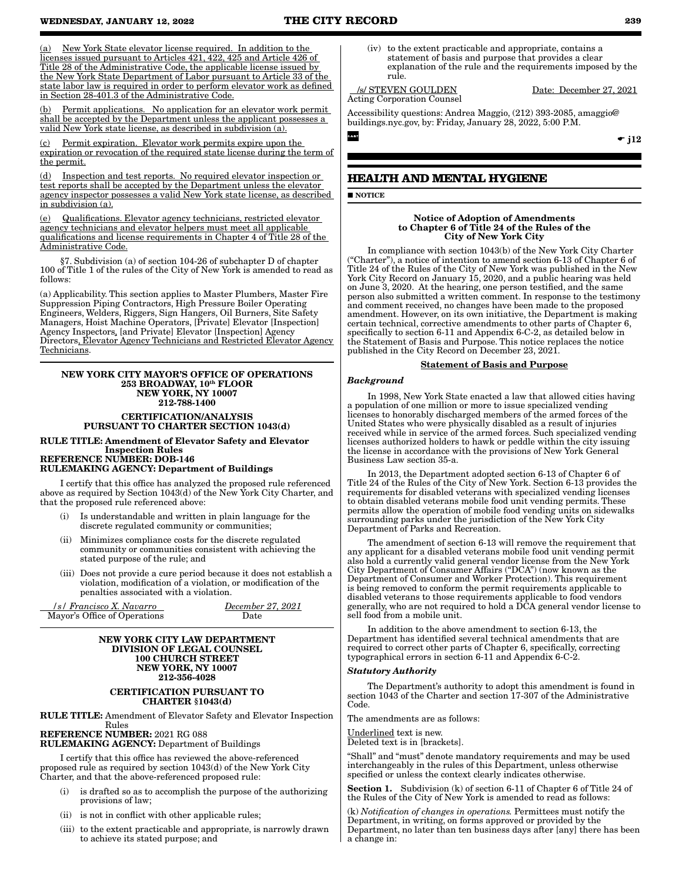(a) New York State elevator license required. In addition to the licenses issued pursuant to Articles 421, 422, 425 and Article 426 of Title 28 of the Administrative Code, the applicable license issued by the New York State Department of Labor pursuant to Article 33 of the state labor law is required in order to perform elevator work as defined in Section 28-401.3 of the Administrative Code.

(b) Permit applications. No application for an elevator work permit shall be accepted by the Department unless the applicant possesses a valid New York state license, as described in subdivision (a).

Permit expiration. Elevator work permits expire upon the expiration or revocation of the required state license during the term of the permit.

(d) Inspection and test reports. No required elevator inspection or test reports shall be accepted by the Department unless the elevator agency inspector possesses a valid New York state license, as described in subdivision (a).

(e) Qualifications. Elevator agency technicians, restricted elevator agency technicians and elevator helpers must meet all applicable qualifications and license requirements in Chapter 4 of Title 28 of the Administrative Code.

§7. Subdivision (a) of section 104-26 of subchapter D of chapter 100 of Title 1 of the rules of the City of New York is amended to read as follows:

(a) Applicability. This section applies to Master Plumbers, Master Fire Suppression Piping Contractors, High Pressure Boiler Operating Engineers, Welders, Riggers, Sign Hangers, Oil Burners, Site Safety Managers, Hoist Machine Operators, [Private] Elevator [Inspection] Agency Inspectors, [and Private] Elevator [Inspection] Agency Directors, Elevator Agency Technicians and Restricted Elevator Agency Technicians.

#### NEW YORK CITY MAYOR'S OFFICE OF OPERATIONS 253 BROADWAY, 10th FLOOR NEW YORK, NY 10007 212-788-1400

CERTIFICATION/ANALYSIS PURSUANT TO CHARTER SECTION 1043(d)

RULE TITLE: Amendment of Elevator Safety and Elevator Inspection Rules REFERENCE NUMBER: DOB-146

#### RULEMAKING AGENCY: Department of Buildings

I certify that this office has analyzed the proposed rule referenced above as required by Section 1043(d) of the New York City Charter, and that the proposed rule referenced above:

- (i) Is understandable and written in plain language for the discrete regulated community or communities;
- (ii) Minimizes compliance costs for the discrete regulated community or communities consistent with achieving the stated purpose of the rule; and
- (iii) Does not provide a cure period because it does not establish a violation, modification of a violation, or modification of the penalties associated with a violation.

 */s/ Francisco X. Navarro December 27, 2021* Mayor's Office of Operations Date

#### NEW YORK CITY LAW DEPARTMENT DIVISION OF LEGAL COUNSEL 100 CHURCH STREET NEW YORK, NY 10007 212-356-4028

#### CERTIFICATION PURSUANT TO CHARTER §1043(d)

RULE TITLE: Amendment of Elevator Safety and Elevator Inspection Rules REFERENCE NUMBER: 2021 RG 088

RULEMAKING AGENCY: Department of Buildings

I certify that this office has reviewed the above-referenced proposed rule as required by section 1043(d) of the New York City Charter, and that the above-referenced proposed rule:

- (i) is drafted so as to accomplish the purpose of the authorizing provisions of law;
- (ii) is not in conflict with other applicable rules;
- (iii) to the extent practicable and appropriate, is narrowly drawn to achieve its stated purpose; and

(iv) to the extent practicable and appropriate, contains a statement of basis and purpose that provides a clear explanation of the rule and the requirements imposed by the rule.

#### /s/ STEVEN GOULDEN Date: December 27, 2021 Acting Corporation Counsel

Accessibility questions: Andrea Maggio, (212) 393-2085, amaggio@ buildings.nyc.gov, by: Friday, January 28, 2022, 5:00 P.M.

## **HEALTH AND MENTAL HYGIENE**

**NOTICE** 

#### Notice of Adoption of Amendments to Chapter 6 of Title 24 of the Rules of the City of New York City

In compliance with section 1043(b) of the New York City Charter ("Charter"), a notice of intention to amend section 6-13 of Chapter 6 of Title 24 of the Rules of the City of New York was published in the New York City Record on January 15, 2020, and a public hearing was held on June 3, 2020. At the hearing, one person testified, and the same person also submitted a written comment. In response to the testimony and comment received, no changes have been made to the proposed amendment. However, on its own initiative, the Department is making certain technical, corrective amendments to other parts of Chapter 6, specifically to section 6-11 and Appendix 6-C-2, as detailed below in the Statement of Basis and Purpose. This notice replaces the notice published in the City Record on December 23, 2021.

#### Statement of Basis and Purpose

#### *Background*

In 1998, New York State enacted a law that allowed cities having a population of one million or more to issue specialized vending licenses to honorably discharged members of the armed forces of the United States who were physically disabled as a result of injuries received while in service of the armed forces. Such specialized vending licenses authorized holders to hawk or peddle within the city issuing the license in accordance with the provisions of New York General Business Law section 35-a.

In 2013, the Department adopted section 6-13 of Chapter 6 of Title 24 of the Rules of the City of New York. Section 6-13 provides the requirements for disabled veterans with specialized vending licenses to obtain disabled veterans mobile food unit vending permits. These permits allow the operation of mobile food vending units on sidewalks surrounding parks under the jurisdiction of the New York City Department of Parks and Recreation.

The amendment of section 6-13 will remove the requirement that any applicant for a disabled veterans mobile food unit vending permit also hold a currently valid general vendor license from the New York City Department of Consumer Affairs ("DCA") (now known as the Department of Consumer and Worker Protection). This requirement is being removed to conform the permit requirements applicable to disabled veterans to those requirements applicable to food vendors generally, who are not required to hold a DCA general vendor license to sell food from a mobile unit.

In addition to the above amendment to section 6-13, the Department has identified several technical amendments that are required to correct other parts of Chapter 6, specifically, correcting typographical errors in section 6-11 and Appendix 6-C-2.

#### *Statutory Authority*

The Department's authority to adopt this amendment is found in section 1043 of the Charter and section 17-307 of the Administrative Code.

The amendments are as follows:

Underlined text is new.

Deleted text is in [brackets].

"Shall" and "must" denote mandatory requirements and may be used interchangeably in the rules of this Department, unless otherwise specified or unless the context clearly indicates otherwise.

Section 1. Subdivision (k) of section 6-11 of Chapter 6 of Title 24 of the Rules of the City of New York is amended to read as follows:

(k) *Notification of changes in operations.* Permittees must notify the Department, in writing, on forms approved or provided by the Department, no later than ten business days after [any] there has been a change in:

 $\div$  j12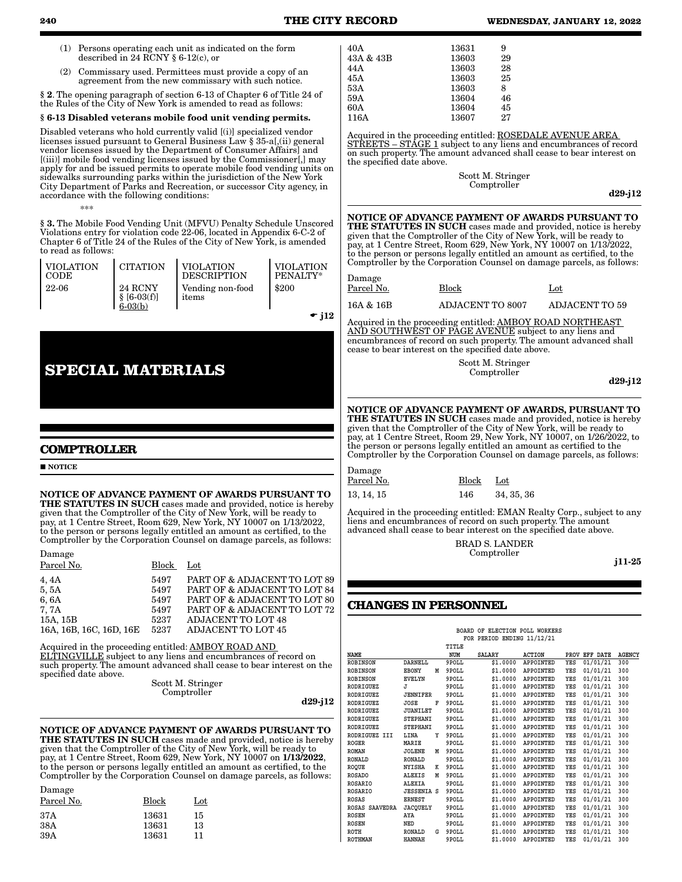- (1) Persons operating each unit as indicated on the form described in 24 RCNY § 6-12(c), or
- (2) Commissary used. Permittees must provide a copy of an agreement from the new commissary with such notice.

§ 2. The opening paragraph of section 6-13 of Chapter 6 of Title 24 of the Rules of the City of New York is amended to read as follows:

#### § 6-13 Disabled veterans mobile food unit vending permits.

Disabled veterans who hold currently valid [(i)] specialized vendor licenses issued pursuant to General Business Law § 35-a[,(ii) general vendor licenses issued by the Department of Consumer Affairs] and [(iii)] mobile food vending licenses issued by the Commissioner[,] may apply for and be issued permits to operate mobile food vending units on sidewalks surrounding parks within the jurisdiction of the New York City Department of Parks and Recreation, or successor City agency, in accordance with the following conditions:

\*\*\*

§ 3. The Mobile Food Vending Unit (MFVU) Penalty Schedule Unscored Violations entry for violation code 22-06, located in Appendix 6-C-2 of Chapter 6 of Title 24 of the Rules of the City of New York, is amended to read as follows:

| Ι VΙΟΙ.ΑΤΙΟΝ | <b>CITATION</b>                       | <b>VIOLATION</b>          | <b>VIOLATION</b> |
|--------------|---------------------------------------|---------------------------|------------------|
| l code       |                                       | <b>DESCRIPTION</b>        | PENALTY*         |
| $122-06$     | 24 RCNY<br>$$ [6-03(f)]$<br>$6-03(b)$ | Vending non-food<br>items | \$200            |

 $\div$  j12

## **SPECIAL MATERIALS**

#### **COMPTROLLER**

#### **NOTICE**

NOTICE OF ADVANCE PAYMENT OF AWARDS PURSUANT TO THE STATUTES IN SUCH cases made and provided, notice is hereby given that the Comptroller of the City of New York, will be ready to pay, at 1 Centre Street, Room 629, New York, NY 10007 on 1/13/2022, to the person or persons legally entitled an amount as certified, to the Comptroller by the Corporation Counsel on damage parcels, as follows:

Damage

| Parcel No.                                                           | <b>Block</b>                                 | $_{\rm Lot}$                                                                                                                                                                    |
|----------------------------------------------------------------------|----------------------------------------------|---------------------------------------------------------------------------------------------------------------------------------------------------------------------------------|
| 4,4A<br>5,5A<br>6.6A<br>7, 7A<br>15A, 15B<br>16A, 16B, 16C, 16D, 16E | 5497<br>5497<br>5497<br>5497<br>5237<br>5237 | PART OF & ADJACENT TO LOT 89<br>PART OF & ADJACENT TO LOT 84<br>PART OF & ADJACENT TO LOT 80<br>PART OF & ADJACENT TO LOT 72<br><b>ADJACENT TO LOT 48</b><br>ADJACENT TO LOT 45 |
|                                                                      |                                              |                                                                                                                                                                                 |

Acquired in the proceeding entitled: AMBOY ROAD AND ELTINGVILLE subject to any liens and encumbrances of record on such property. The amount advanced shall cease to bear interest on the specified date above.

Scott M. Stringer Comptroller

d29-j12

NOTICE OF ADVANCE PAYMENT OF AWARDS PURSUANT TO THE STATUTES IN SUCH cases made and provided, notice is hereby given that the Comptroller of the City of New York, will be ready to pay, at 1 Centre Street, Room 629, New York, NY 10007 on 1/13/2022, to the person or persons legally entitled an amount as certified, to the Comptroller by the Corporation Counsel on damage parcels, as follows: Damage

| Block | Lot |
|-------|-----|
| 13631 | 15  |
| 13631 | 13  |
| 13631 | 11  |
|       |     |

| 40A       | 13631 | 9  |
|-----------|-------|----|
| 43A & 43B | 13603 | 29 |
| 44 A      | 13603 | 28 |
| 45A       | 13603 | 25 |
| 53A       | 13603 | 8  |
| 59A       | 13604 | 46 |
| 60A       | 13604 | 45 |
| 116A      | 13607 | 27 |

Acquired in the proceeding entitled: **ROSEDALE AVENUE AREA** STREETS – STAGE 1 subject to any liens and encumbrances of record on such property. The amount advanced shall cease to bear interest on the specified date above.

> Scott M. Stringer Comptroller

d29-j12

NOTICE OF ADVANCE PAYMENT OF AWARDS PURSUANT TO THE STATUTES IN SUCH cases made and provided, notice is hereby given that the Comptroller of the City of New York, will be ready to pay, at 1 Centre Street, Room 629, New York, NY 10007 on 1/13/2022, to the person or persons legally entitled an amount as certified, to the Comptroller by the Corporation Counsel on damage parcels, as follows:

| Damage     |                         |                       |
|------------|-------------------------|-----------------------|
| Parcel No. | Block                   | $_{\rm Lot}$          |
| 16A & 16B  | <b>ADJACENT TO 8007</b> | <b>ADJACENT TO 59</b> |

Acquired in the proceeding entitled: AMBOY ROAD NORTHEAST AND SOUTHWEST OF PAGE AVENUE subject to any liens and encumbrances of record on such property. The amount advanced shall cease to bear interest on the specified date above.

> Scott M. Stringer Comptroller

d29-j12

#### NOTICE OF ADVANCE PAYMENT OF AWARDS, PURSUANT TO THE STATUTES IN SUCH cases made and provided, notice is hereby given that the Comptroller of the City of New York, will be ready to pay, at 1 Centre Street, Room 29, New York, NY 10007, on 1/26/2022, to the person or persons legally entitled an amount as certified to the Comptroller by the Corporation Counsel on damage parcels, as follows:

Damage Parcel No. Block Lot 13, 14, 15 146 34, 35, 36

Acquired in the proceeding entitled: EMAN Realty Corp., subject to any liens and encumbrances of record on such property. The amount advanced shall cease to bear interest on the specified date above.

> BRAD S. LANDER Comptroller

j11-25

## **CHANGES IN PERSONNEL**

|                  |                   |   |       | BOARD OF ELECTION POLL WORKERS |                  |            |               |               |
|------------------|-------------------|---|-------|--------------------------------|------------------|------------|---------------|---------------|
|                  |                   |   |       | FOR PERIOD ENDING 11/12/21     |                  |            |               |               |
|                  |                   |   | TITLE |                                |                  |            |               |               |
| <b>NAME</b>      |                   |   | NUM   | <b>SALARY</b>                  | <b>ACTION</b>    |            | PROV EFF DATE | <b>AGENCY</b> |
| <b>ROBINSON</b>  | <b>DARNELL</b>    |   | 9POLL | \$1.0000                       | APPOINTED        | YES        | 01/01/21      | 300           |
| <b>ROBINSON</b>  | <b>EBONY</b>      | М | 9POLL | \$1,0000                       | APPOINTED        | YES        | 01/01/21      | 300           |
| <b>ROBINSON</b>  | <b>EVELYN</b>     |   | 9POLL | \$1,0000                       | APPOINTED        | YES        | 01/01/21      | 300           |
| <b>RODRIGUEZ</b> | J                 |   | 9POLL | \$1,0000                       | <b>APPOINTED</b> | YES        | 01/01/21      | 300           |
| <b>RODRIGUEZ</b> | <b>JENNIFER</b>   |   | 9POLL | \$1,0000                       | APPOINTED        | YES        | 01/01/21      | 300           |
| <b>RODRIGUEZ</b> | JOSE              | F | 9POLL | \$1,0000                       | APPOINTED        | YES        | 01/01/21      | 300           |
| <b>RODRIGUEZ</b> | <b>JUANILET</b>   |   | 9POLL | \$1,0000                       | APPOINTED        | YES        | 01/01/21      | 300           |
| <b>RODRIGUEZ</b> | <b>STEPHANI</b>   |   | 9POLL | \$1,0000                       | APPOINTED        | YES        | 01/01/21      | 300           |
| <b>RODRIGUEZ</b> | <b>STEPHANI</b>   |   | 9POLL | \$1,0000                       | APPOINTED        | YES        | 01/01/21      | 300           |
| RODRIGUEZ III    | LINA              | Υ | 9POLL | \$1,0000                       | <b>APPOINTED</b> | YES        | 01/01/21      | 300           |
| <b>ROGER</b>     | MARIE             |   | 9POLL | \$1,0000                       | APPOINTED        | YES        | 01/01/21      | 300           |
| <b>ROMAN</b>     | <b>JOLENE</b>     | м | 9POLL | \$1,0000                       | APPOINTED        | YES        | 01/01/21      | 300           |
| <b>RONALD</b>    | <b>RONALD</b>     |   | 9POLL | \$1.0000                       | APPOINTED        | YES        | 01/01/21      | 300           |
| <b>ROOUE</b>     | <b>NYISHA</b>     | K | 9POLL | \$1,0000                       | APPOINTED        | YES        | 01/01/21      | 300           |
| <b>ROSADO</b>    | <b>ALEXIS</b>     | М | 9POLL | \$1.0000                       | APPOINTED        | YES        | 01/01/21      | 300           |
| <b>ROSARIO</b>   | <b>ALEXIA</b>     |   | 9POLL | \$1,0000                       | APPOINTED        | YES        | 01/01/21      | 300           |
| <b>ROSARIO</b>   | <b>JESSENIA S</b> |   | 9POLL | \$1,0000                       | APPOINTED        | YES        | 01/01/21      | 300           |
| <b>ROSAS</b>     | <b>ERNEST</b>     |   | 9POLL | \$1,0000                       | APPOINTED        | YES        | 01/01/21      | 300           |
| ROSAS SAAVEDRA   | <b>JACOUELY</b>   |   | 9POLL | \$1,0000                       | APPOINTED        | YES        | 01/01/21      | 300           |
| <b>ROSEN</b>     | AYA               |   | 9POLL | \$1,0000                       | APPOINTED        | YES        | 01/01/21      | 300           |
| <b>ROSEN</b>     | NED               |   | 9POLL | \$1,0000                       | APPOINTED        | YES        | 01/01/21      | 300           |
| <b>ROTH</b>      | RONALD            | G | 9POLL | \$1,0000                       | APPOINTED        | YES        | 01/01/21      | 300           |
| <b>ROTHMAN</b>   | <b>HANNAH</b>     |   | 9POLL | \$1.0000                       | <b>APPOINTED</b> | <b>YES</b> | 01/01/21      | 300           |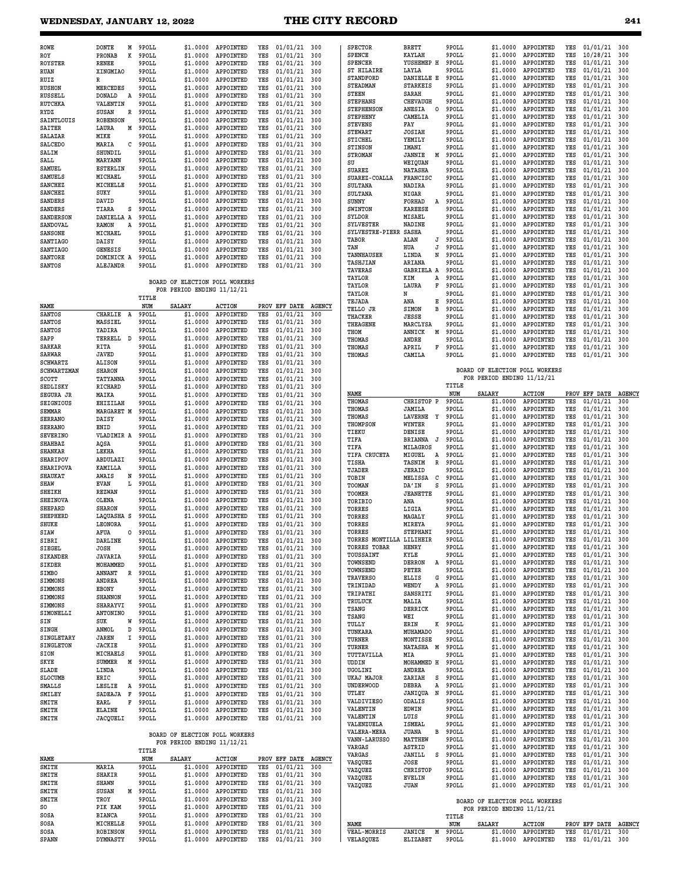| <b>ROWE</b>      | <b>DONTE</b>    | М | 9POLL | \$1,0000                       | APPOINTED     | YES | 01/01/21      | 300           |  |
|------------------|-----------------|---|-------|--------------------------------|---------------|-----|---------------|---------------|--|
| ROY              | <b>PRONAB</b>   | K | 9POLL | \$1.0000                       | APPOINTED     | YES | 01/01/21      | 300           |  |
| <b>ROYSTER</b>   | <b>RENEE</b>    |   | 9POLL | \$1,0000                       | APPOINTED     | YES | 01/01/21      | 300           |  |
| <b>RUAN</b>      | XINGMIAO        |   | 9POLL | \$1,0000                       | APPOINTED     | YES | 01/01/21      | 300           |  |
| RUIZ             | R               |   | 9POLL | \$1.0000                       | APPOINTED     | YES | 01/01/21      | 300           |  |
| <b>RUSHON</b>    | <b>MERCEDES</b> |   | 9POLL | \$1,0000                       | APPOINTED     | YES | 01/01/21      | 300           |  |
| <b>RUSSELL</b>   | <b>DONALD</b>   | A | 9POLL | \$1,0000                       | APPOINTED     | YES | 01/01/21      | 300           |  |
| <b>RUTCHKA</b>   | VALENTIN        |   | 9POLL | \$1,0000                       | APPOINTED     | YES | 01/01/21      | 300           |  |
| <b>RYDZ</b>      | <b>SUSAN</b>    | R | 9POLL | \$1,0000                       | APPOINTED     | YES | 01/01/21      | 300           |  |
| SAINTLOUIS       | <b>ROBENSON</b> |   | 9POLL | \$1.0000                       | APPOINTED     | YES | 01/01/21      | 300           |  |
| <b>SAITER</b>    | LAURA           | M | 9POLL | \$1.0000                       | APPOINTED     | YES | 01/01/21      | 300           |  |
| SALAZAR          | MIKE            |   | 9POLL | \$1,0000                       | APPOINTED     | YES | 01/01/21      | 300           |  |
| <b>SALCEDO</b>   | MARIA           | C | 9POLL | \$1,0000                       | APPOINTED     | YES | 01/01/21      | 300           |  |
| SALIM            | SHUNDIL         |   | 9POLL | \$1,0000                       | APPOINTED     | YES | 01/01/21      | 300           |  |
| SALL             | <b>MARYANN</b>  |   | 9POLL | \$1.0000                       | APPOINTED     | YES | 01/01/21      | 300           |  |
| SAMUEL           | <b>ESTERLIN</b> |   | 9POLL | \$1.0000                       | APPOINTED     | YES | 01/01/21      | 300           |  |
| <b>SAMUELS</b>   | MICHAEL         |   | 9POLL | \$1,0000                       | APPOINTED     | YES | 01/01/21      | 300           |  |
| <b>SANCHEZ</b>   | MICHELLE        |   | 9POLL | \$1.0000                       | APPOINTED     | YES | 01/01/21      | 300           |  |
| <b>SANCHEZ</b>   | SUKY            |   | 9POLL | \$1.0000                       | APPOINTED     | YES | 01/01/21      | 300           |  |
| <b>SANDERS</b>   | DAVID           |   | 9POLL | \$1,0000                       | APPOINTED     | YES | 01/01/21      | 300           |  |
| <b>SANDERS</b>   | TIARA           | S | 9POLL | \$1,0000                       | APPOINTED     | YES | 01/01/21      | 300           |  |
| <b>SANDERSON</b> | DANIELLA A      |   | 9POLL | \$1.0000                       | APPOINTED     | YES | 01/01/21      | 300           |  |
| SANDOVAL         | RAMON           | A | 9POLL | \$1.0000                       | APPOINTED     | YES | 01/01/21      | 300           |  |
| <b>SANSONE</b>   | MICHAEL         |   | 9POLL | \$1,0000                       | APPOINTED     | YES | 01/01/21      | 300           |  |
| SANTIAGO         | DAISY           |   | 9POLL | \$1.0000                       | APPOINTED     | YES | 01/01/21      | 300           |  |
| <b>SANTIAGO</b>  | <b>GENESIS</b>  |   | 9POLL | \$1.0000                       | APPOINTED     | YES | 01/01/21      | 300           |  |
| SANTORE          | DOMINICK A      |   | 9POLL | \$1.0000                       | APPOINTED     | YES | 01/01/21      | 300           |  |
| <b>SANTOS</b>    | <b>ALEJANDR</b> |   | 9POLL | \$1,0000                       | APPOINTED     | YES | 01/01/21      | 300           |  |
|                  |                 |   |       |                                |               |     |               |               |  |
|                  |                 |   |       | BOARD OF ELECTION POLL WORKERS |               |     |               |               |  |
|                  |                 |   |       | FOR PERIOD ENDING 11/12/21     |               |     |               |               |  |
|                  |                 |   | TITLE |                                |               |     |               |               |  |
| <b>NAME</b>      |                 |   | NUM   | <b>SALARY</b>                  | <b>ACTION</b> |     | PROV EFF DATE | <b>AGENCY</b> |  |
| <b>SANTOS</b>    | <b>CHARLIE</b>  | Α | 9POLL | \$1,0000                       | APPOINTED     | YES | 01/01/21      | 300           |  |
| <b>SANTOS</b>    | MASSIEL         |   | 9POLL | \$1,0000                       | APPOINTED     | YES | 01/01/21      | 300           |  |
| <b>SANTOS</b>    | YADIRA          |   | 9POLL | \$1,0000                       | APPOINTED     | YES | 01/01/21      | 300           |  |
| SAPP             | TERRELL         | D | 9POLL | \$1,0000                       | APPOINTED     | YES | 01/01/21      | 300           |  |
| <b>SARKAR</b>    | RITA            |   | 9POLL | \$1.0000                       | APPOINTED     | YES | 01/01/21      | 300           |  |
| <b>SARWAR</b>    | <b>JAVED</b>    |   | 9POLL | \$1.0000                       | APPOINTED     | YES | 01/01/21      | 300           |  |
| <b>SCHWARTZ</b>  | <b>ALISON</b>   |   | 9POLL | \$1,0000                       | APPOINTED     | YES | 01/01/21      | 300           |  |

| <b>SARWAR</b>      | <b>JAVED</b>      |         | 9POLL | \$1.0000 | APPOINTED        | YES | 01/01/21 | 300 |
|--------------------|-------------------|---------|-------|----------|------------------|-----|----------|-----|
| <b>SCHWARTZ</b>    | <b>ALISON</b>     |         | 9POLL | \$1.0000 | APPOINTED        | YES | 01/01/21 | 300 |
| <b>SCHWARTZMAN</b> | <b>SHARON</b>     |         | 9POLL | \$1.0000 | APPOINTED        | YES | 01/01/21 | 300 |
| SCOTT              | TATYANNA          |         | 9POLL | \$1,0000 | APPOINTED        | YES | 01/01/21 | 300 |
| SEDLISKY           | RICHARD           |         | 9POLL | \$1.0000 | APPOINTED        | YES | 01/01/21 | 300 |
| <b>SEGURA JR</b>   | MAIKA             |         | 9POLL | \$1.0000 | APPOINTED        | YES | 01/01/21 | 300 |
| <b>SEIGNIOUS</b>   | <b>EHIZILAH</b>   |         | 9POLL | \$1,0000 | APPOINTED        | YES | 01/01/21 | 300 |
| <b>SEMMAR</b>      | MARGARET M        |         | 9POLL | \$1.0000 | APPOINTED        | YES | 01/01/21 | 300 |
| <b>SERRANO</b>     | DAISY             |         | 9POLL | \$1.0000 | APPOINTED        | YES | 01/01/21 | 300 |
| <b>SERRANO</b>     | ENID              |         | 9POLL | \$1.0000 | APPOINTED        | YES | 01/01/21 | 300 |
| <b>SEVERINO</b>    | <b>VLADIMIR A</b> |         | 9POLL | \$1,0000 | APPOINTED        | YES | 01/01/21 | 300 |
| SHAHBAZ            | AQSA              |         | 9POLL | \$1.0000 | APPOINTED        | YES | 01/01/21 | 300 |
| <b>SHANKAR</b>     | LEKHA             |         | 9POLL | \$1.0000 | APPOINTED        | YES | 01/01/21 | 300 |
| <b>SHARIPOV</b>    | <b>ABDULAZI</b>   |         | 9POLL | \$1.0000 | APPOINTED        | YES | 01/01/21 | 300 |
| SHARIPOVA          | KAMILLA           |         | 9POLL | \$1.0000 | APPOINTED        | YES | 01/01/21 | 300 |
| <b>SHAUKAT</b>     | AWAIS             | N       | 9POLL | \$1,0000 | APPOINTED        | YES | 01/01/21 | 300 |
| SHAW               | <b>EVAN</b>       | г       | 9POLL | \$1.0000 | APPOINTED        | YES | 01/01/21 | 300 |
| <b>SHEIKH</b>      | <b>REZWAN</b>     |         | 9POLL | \$1.0000 | APPOINTED        | YES | 01/01/21 | 300 |
| <b>SHEINOVA</b>    | <b>OLENA</b>      |         | 9POLL | \$1,0000 | APPOINTED        | YES | 01/01/21 | 300 |
| <b>SHEPARD</b>     | <b>SHARON</b>     |         | 9POLL | \$1.0000 | APPOINTED        | YES | 01/01/21 | 300 |
| <b>SHEPHERD</b>    | LAQUASHA S        |         | 9POLL | \$1,0000 | APPOINTED        | YES | 01/01/21 | 300 |
| SHUKE              | LEONORA           |         | 9POLL | \$1.0000 | APPOINTED        | YES | 01/01/21 | 300 |
| SIAW               | <b>AFUA</b>       | $\circ$ | 9POLL | \$1.0000 | APPOINTED        | YES | 01/01/21 | 300 |
| SIBRI              | DARLINE           |         | 9POLL | \$1,0000 | APPOINTED        | YES | 01/01/21 | 300 |
| <b>SIEGEL</b>      | JOSH              |         | 9POLL | \$1.0000 | APPOINTED        | YES | 01/01/21 | 300 |
| <b>SIKANDER</b>    | <b>JAVARIA</b>    |         | 9POLL | \$1.0000 | APPOINTED        | YES | 01/01/21 | 300 |
| SIKDER             | MOHAMMED          |         | 9POLL | \$1.0000 | APPOINTED        | YES | 01/01/21 | 300 |
| <b>SIMBO</b>       | <b>ANNANT</b>     | R       | 9POLL | \$1.0000 | APPOINTED        | YES | 01/01/21 | 300 |
| <b>SIMMONS</b>     | <b>ANDREA</b>     |         | 9POLL | \$1,0000 | APPOINTED        | YES | 01/01/21 | 300 |
| SIMMONS            | <b>EBONY</b>      |         | 9POLL | \$1.0000 | APPOINTED        | YES | 01/01/21 | 300 |
| <b>SIMMONS</b>     | <b>SHANNON</b>    |         | 9POLL | \$1.0000 | APPOINTED        | YES | 01/01/21 | 300 |
| SIMMONS            | SHARAYVI          |         | 9POLL | \$1.0000 | APPOINTED        | YES | 01/01/21 | 300 |
| SIMONELLI          | ANTONINO          |         | 9POLL | \$1.0000 | APPOINTED        | YES | 01/01/21 | 300 |
| SIN                | SUK               | W       | 9POLL | \$1.0000 | APPOINTED        | YES | 01/01/21 | 300 |
| <b>SINGH</b>       | ANMOL             | D       | 9POLL | \$1.0000 | APPOINTED        | YES | 01/01/21 | 300 |
| <b>SINGLETARY</b>  | <b>JAREN</b>      | I       | 9POLL | \$1,0000 | APPOINTED        | YES | 01/01/21 | 300 |
| <b>SINGLETON</b>   | <b>JACKIE</b>     |         | 9POLL | \$1.0000 | APPOINTED        | YES | 01/01/21 | 300 |
| SION               | MICHAELS          |         | 9POLL | \$1.0000 | APPOINTED        | YES | 01/01/21 | 300 |
| SKYE               | <b>SUMMER</b>     | М       | 9POLL | \$1.0000 | APPOINTED        | YES | 01/01/21 | 300 |
| <b>SLADE</b>       | LINDA             |         | 9POLL | \$1.0000 | APPOINTED        | YES | 01/01/21 | 300 |
| <b>SLOCUMB</b>     | <b>ERIC</b>       |         | 9POLL | \$1,0000 | APPOINTED        | YES | 01/01/21 | 300 |
| <b>SMALLS</b>      | LESLIE            | А       | 9POLL | \$1.0000 | APPOINTED        | YES | 01/01/21 | 300 |
| SMILEY             | <b>SADEAJA</b>    | F       | 9POLL | \$1.0000 | <b>APPOINTED</b> | YES | 01/01/21 | 300 |
| SMITH              | EARL              | F       | 9POLL | \$1,0000 | APPOINTED        | YES | 01/01/21 | 300 |
| SMITH              | <b>ELAINE</b>     |         | 9POLL | \$1.0000 | <b>APPOINTED</b> | YES | 01/01/21 | 300 |
| SMITH              | <b>JACQUELI</b>   |         | 9POLL | \$1,0000 | <b>APPOINTED</b> | YES | 01/01/21 | 300 |
|                    |                   |         |       |          |                  |     |          |     |

## **BOARD OF ELECTION POLL WORKERS FOR PERIOD ENDING 11/12/21 TITLE**

|       |                   | ----- |               |                  |      |          |               |
|-------|-------------------|-------|---------------|------------------|------|----------|---------------|
| NAME  |                   | NUM   | <b>SALARY</b> | <b>ACTION</b>    | PROV | EFF DATE | <b>AGENCY</b> |
| SMITH | MARIA             | 9POLL | \$1,0000      | APPOINTED        | YES  | 01/01/21 | 300           |
| SMITH | SHAKIR            | 9POLL | \$1,0000      | APPOINTED        | YES  | 01/01/21 | 300           |
| SMITH | <b>SHAWN</b>      | 9POLL | \$1,0000      | APPOINTED        | YES  | 01/01/21 | 300           |
| SMITH | <b>SUSAN</b><br>M | 9POLL | \$1,0000      | APPOINTED        | YES  | 01/01/21 | 300           |
| SMITH | TROY              | 9POLL | \$1,0000      | APPOINTED        | YES  | 01/01/21 | 300           |
| SO.   | PIK KAM           | 9POLL | \$1,0000      | APPOINTED        | YES  | 01/01/21 | 300           |
| SOSA  | <b>BIANCA</b>     | 9POLL | \$1,0000      | APPOINTED        | YES  | 01/01/21 | 300           |
| SOSA  | MICHELLE          | 9POLL | \$1,0000      | APPOINTED        | YES  | 01/01/21 | 300           |
| SOSA  | <b>ROBINSON</b>   | 9POLL | \$1,0000      | <b>APPOINTED</b> | YES  | 01/01/21 | 300           |
| SPANN | <b>DYMNASTY</b>   | 9POLL | \$1,0000      | <b>APPOINTED</b> | YES  | 01/01/21 | 300           |

| <b>SPECTOR</b>                  | BRETT                     |   | 9POLL          | \$1.0000                       | APPOINTED                       | YES | 01/01/21                     | 300           |
|---------------------------------|---------------------------|---|----------------|--------------------------------|---------------------------------|-----|------------------------------|---------------|
| <b>SPENCE</b>                   | KAYLAH                    |   | 9POLL          | \$1.0000                       | APPOINTED                       | YES | 10/28/21                     | 300           |
| SPENCER                         | YUSHEMEP H                |   | 9POLL          | \$1.0000                       | APPOINTED                       | YES | 01/01/21                     | 300           |
| ST HILAIRE                      | LAYLA                     |   | 9POLL          | \$1.0000                       | APPOINTED                       | YES | 01/01/21                     | 300           |
|                                 |                           |   |                |                                | APPOINTED                       | YES |                              |               |
| STANDFORD                       | DANIELLE E                |   | 9POLL          | \$1.0000                       |                                 |     | 01/01/21                     | 300           |
| <b>STEADMAN</b>                 | <b>STARKEIS</b>           |   | 9POLL          | \$1.0000                       | APPOINTED                       | YES | 01/01/21                     | 300           |
| <b>STEEN</b>                    | SARAH                     |   | 9POLL          | \$1.0000                       | APPOINTED                       | YES | 01/01/21                     | 300           |
| <b>STEPHANS</b>                 | <b>CHEVAUGH</b>           |   | 9POLL          | \$1.0000                       | APPOINTED                       | YES | 01/01/21                     | 300           |
| <b>STEPHENSON</b>               | ANESIA                    | 0 | 9POLL          | \$1.0000                       | APPOINTED                       | YES | 01/01/21                     | 300           |
| <b>STEPHENY</b>                 | CAMELIA                   |   | 9POLL          | \$1,0000                       | APPOINTED                       | YES | 01/01/21                     | 300           |
| <b>STEVENS</b>                  | FAY                       |   | 9POLL          | \$1.0000                       | APPOINTED                       | YES | 01/01/21                     | 300           |
| <b>STEWART</b>                  | <b>JOSIAH</b>             |   | 9POLL          | \$1.0000                       | APPOINTED                       | YES | 01/01/21                     | 300           |
| STICHEL                         | YEMILY                    |   | 9POLL          | \$1.0000                       | APPOINTED                       | YES | 01/01/21                     | 300           |
| STINSON                         | IMANI                     |   | 9POLL          | \$1.0000                       | APPOINTED                       | YES | 01/01/21                     | 300           |
| <b>STROMAN</b>                  | <b>JANNIE</b>             | M | 9POLL          | \$1.0000                       | APPOINTED                       | YES | 01/01/21                     | 300           |
| SU                              | WEIQUAN                   |   | 9POLL          | \$1.0000                       | APPOINTED                       | YES | 01/01/21                     | 300           |
| <b>SUAREZ</b>                   | <b>NATASHA</b>            |   | 9POLL          | \$1.0000                       | APPOINTED                       | YES | 01/01/21                     | 300           |
| SUAREZ-COALLA                   | FRANCISC                  |   | 9POLL          | \$1.0000                       | APPOINTED                       | YES | 01/01/21                     | 300           |
| SULTANA                         | NADIRA                    |   | 9POLL          | \$1.0000                       | APPOINTED                       | YES | 01/01/21                     | 300           |
| SULTANA                         | <b>NIGAR</b>              |   | 9POLL          | \$1.0000                       | APPOINTED                       | YES | 01/01/21                     | 300           |
| SUNNY                           | FORHAD                    | А | 9POLL          | \$1.0000                       | APPOINTED                       | YES | 01/01/21                     | 300           |
| SWINTON                         | KAREESE                   |   | 9POLL          | \$1.0000                       | APPOINTED                       | YES | 01/01/21                     | 300           |
| SYLDOR                          | <b>MISAEL</b>             |   | 9POLL          | \$1.0000                       | APPOINTED                       | YES | 01/01/21                     | 300           |
| <b>SYLVESTER</b>                | NADINE                    |   | 9POLL          | \$1.0000                       | APPOINTED                       | YES | 01/01/21                     | 300           |
| SYLVESTRE-PIERR SASHA           |                           |   | 9POLL          | \$1.0000                       | APPOINTED                       | YES | 01/01/21                     | 300           |
| TABOR                           | ALAN                      | J | 9POLL          | \$1.0000                       | APPOINTED                       | YES | 01/01/21                     | 300           |
| TAN                             | HUA                       | J | 9POLL          | \$1.0000                       | APPOINTED                       | YES | 01/01/21                     | 300           |
| TANNHAUSER                      | LINDA                     | N | 9POLL          | \$1.0000                       | APPOINTED                       | YES | 01/01/21                     | 300           |
| TASHJIAN                        | ARIANA                    |   | 9POLL          | \$1.0000                       | APPOINTED                       | YES | 01/01/21                     | 300           |
| <b>TAVERAS</b>                  | <b>GABRIELA A</b>         |   | 9POLL          | \$1.0000                       | APPOINTED                       | YES | 01/01/21                     | 300           |
| TAYLOR                          | KIM                       | Α | 9POLL          | \$1.0000                       | APPOINTED                       | YES | 01/01/21                     | 300           |
| TAYLOR                          | LAURA                     | F | 9POLL          | \$1.0000                       | APPOINTED                       | YES | 01/01/21                     | 300           |
| TAYLOR                          | N                         |   | 9POLL          | \$1.0000                       | APPOINTED                       | YES | 01/01/21                     | 300           |
| TEJADA                          | ANA                       | Е | 9POLL          | \$1.0000                       | APPOINTED                       | YES | 01/01/21                     | 300           |
| TELLO JR                        | SIMON                     | в | 9POLL          | \$1.0000                       | APPOINTED                       | YES | 01/01/21                     | 300           |
| THACKER                         | JESSE                     |   | 9POLL          | \$1.0000                       | APPOINTED                       | YES | 01/01/21                     | 300           |
| THEAGENE                        | MARCLYSA                  |   | 9POLL          | \$1.0000                       | APPOINTED                       | YES | 01/01/21                     | 300           |
| THOM                            | ANNICK                    | М | 9POLL          | \$1.0000                       | APPOINTED                       | YES | 01/01/21                     | 300           |
|                                 |                           |   | 9POLL          | \$1.0000                       | APPOINTED                       | YES | 01/01/21                     | 300           |
| THOMAS<br>THOMAS                | ANDRE<br>APRIL            | F | 9POLL          | \$1,0000                       | APPOINTED                       | YES | 01/01/21                     | 300           |
|                                 |                           |   |                |                                |                                 |     |                              |               |
| THOMAS                          | CAMILA                    |   | 9POLL          | \$1.0000                       | <b>APPOINTED</b>                | YES | 01/01/21                     | 300           |
|                                 |                           |   |                |                                |                                 |     |                              |               |
|                                 |                           |   |                | BOARD OF ELECTION POLL WORKERS |                                 |     |                              |               |
|                                 |                           |   |                | FOR PERIOD ENDING 11/12/21     |                                 |     |                              |               |
|                                 |                           |   | TITLE          |                                |                                 |     |                              |               |
| NAME                            |                           |   | NUM            | SALARY                         | <b>ACTION</b>                   |     | PROV EFF DATE                | <b>AGENCY</b> |
| <b>THOMAS</b>                   | CHRISTOP                  | P | 9POLL          | \$1.0000                       | APPOINTED                       | YES | 01/01/21                     | 300           |
| THOMAS                          | JAMILA                    |   | 9POLL          | \$1.0000                       | APPOINTED                       | YES | 01/01/21                     | 300           |
| THOMAS                          | <b>LAVERNE</b>            | Υ | 9POLL          | \$1.0000                       | APPOINTED                       | YES | 01/01/21                     | 300           |
| THOMPSON                        | WYNTER                    |   | 9POLL          | \$1.0000                       | APPOINTED                       | YES | 01/01/21                     | 300           |
| TIEKU                           | DENISE                    |   | 9POLL          | \$1.0000                       | APPOINTED                       | YES | 01/01/21                     | 300           |
| TIFA                            | BRIANNA                   | J | 9POLL          | \$1.0000                       | APPOINTED                       | YES | 01/01/21                     | 300           |
| TIFA                            | <b>MILAGROS</b>           |   | 9POLL          | \$1.0000                       | APPOINTED                       | YES | 01/01/21                     | 300           |
| TIFA CRUCETA                    | MIGUEL                    | Α | 9POLL          | \$1.0000                       | APPOINTED                       | YES | 01/01/21                     | 300           |
| TISHA                           | TASNIM                    | R | 9POLL          | \$1.0000                       | APPOINTED                       | YES | 01/01/21                     | 300           |
| TJADER                          | <b>JERAID</b>             |   | 9POLL          | \$1,0000                       | APPOINTED                       | YES | 01/01/21                     | 300           |
| TOBIN                           | MELISSA                   | с | 9POLL          | \$1.0000                       | APPOINTED                       | YES | 01/01/21                     | 300           |
| <b>TOOMAN</b>                   | DA' IN                    | s | 9POLL          | \$1.0000                       | APPOINTED                       | YES | 01/01/21                     | 300           |
| TOOMER                          | <b>JEANETTE</b>           |   | 9POLL          | \$1.0000                       | APPOINTED                       | YES | 01/01/21                     | 300           |
| TORIBIO                         | ANA                       |   | 9POLL          | \$1.0000                       | APPOINTED                       | YES | 01/01/21                     | 300           |
| <b>TORRES</b>                   | LIGIA                     |   | 9POLL          | \$1.0000                       | APPOINTED                       | YES | 01/01/21                     | 300           |
| TORRES                          | <b>MAGALY</b>             |   | 9POLL          | \$1.0000                       | APPOINTED                       | YES | 01/01/21                     | 300           |
| TORRES                          | MIREYA                    |   | 9POLL          | \$1.0000                       | APPOINTED                       | YES | 01/01/21                     | 300           |
| <b>TORRES</b>                   | STEPHANI                  |   | 9POLL          | \$1.0000                       | APPOINTED                       | YES | 01/01/21                     | 300           |
| TORRES MONTILLA LILIHEIR        |                           |   | 9POLL          | \$1,0000                       | APPOINTED                       | YES | 01/01/21                     | 300           |
| TORRES TOBAR                    | HENRY                     |   | 9POLL          | \$1.0000                       | APPOINTED                       | YES | 01/01/21                     | 300           |
| TOUSSAINT                       | KYLE                      |   | 9POLL          | \$1.0000                       | APPOINTED                       | YES | 01/01/21                     | 300           |
| TOWNSEND                        | DERRON                    | Α | 9POLL          | \$1.0000                       | APPOINTED                       | YES | 01/01/21                     | 300           |
| TOWNSEND                        | PETER                     |   | 9POLL          | \$1.0000                       | APPOINTED                       | YES | 01/01/21                     | 300           |
| <b>TRAVERSO</b>                 | ELLIS                     | G | 9POLL          | \$1.0000                       | APPOINTED                       | YES | 01/01/21                     | 300           |
| TRINIDAD                        | WENDY                     | A | 9POLL          | \$1.0000                       | APPOINTED                       | YES | 01/01/21                     | 300           |
| TRIPATHI                        | SANSRITI                  |   | 9POLL          |                                | \$1.0000 APPOINTED              | YES | 01/01/21                     | 300           |
| TRULUCK                         | MALIA                     |   | 9POLL          | \$1.0000                       | APPOINTED                       | YES | 01/01/21                     | 300           |
| TSANG                           | DERRICK                   |   | 9POLL          |                                | \$1.0000 APPOINTED              | YES | 01/01/21                     | 300           |
| TSANG                           | WEI                       |   | 9POLL          | \$1.0000                       | APPOINTED                       | YES | 01/01/21                     | 300           |
| TULLY                           |                           |   |                |                                |                                 |     | 01/01/21                     | 300           |
|                                 | ERIN                      | к | 9POLL          | \$1,0000                       | APPOINTED                       | YES |                              |               |
|                                 | MUHAMADO                  |   |                |                                |                                 | YES | 01/01/21                     | 300           |
| TUNKARA<br>TURNER               | MONTISSE                  |   | 9POLL<br>9POLL | \$1.0000                       | APPOINTED<br>\$1.0000 APPOINTED | YES |                              | 300           |
| TURNER                          | <b>NATASHA</b>            | M | 9POLL          |                                | \$1.0000 APPOINTED              | YES | 01/01/21<br>01/01/21         | 300           |
|                                 | MIA                       |   | 9POLL          |                                | \$1.0000 APPOINTED              | YES |                              | 300           |
| TUTTAVILLA                      |                           |   |                |                                |                                 |     | 01/01/21                     |               |
| UDDIN                           | MOHAMMED H                |   | 9POLL          |                                | \$1.0000 APPOINTED              | YES | 01/01/21                     | 300           |
| UGOLINI                         | ANDREA                    |   | 9POLL          |                                | \$1.0000 APPOINTED              | YES | 01/01/21                     | 300           |
| <b>UKAJ MAJOR</b>               | ZARIAH                    | s | 9POLL          | \$1.0000                       | APPOINTED                       | YES | 01/01/21                     | 300           |
| <b>UNDERWOOD</b>                | DEBRA                     | Α | 9POLL          |                                | \$1.0000 APPOINTED              | YES | 01/01/21                     | 300           |
| UTLEY                           | JANIQUA                   | N | 9POLL          |                                | \$1.0000 APPOINTED              | YES | 01/01/21                     | 300           |
| <b>VALDIVIESO</b>               | ODALIS                    |   | 9POLL          | \$1.0000                       | APPOINTED                       | YES | 01/01/21                     | 300           |
| VALENTIN                        | EDWIN                     |   | 9POLL          |                                | \$1.0000 APPOINTED              | YES | 01/01/21                     | 300           |
| VALENTIN                        | LUIS                      |   | 9POLL          | \$1.0000                       | APPOINTED                       | YES | 01/01/21                     | 300           |
| VALENZUELA                      | ISMEAL                    |   | 9POLL          |                                | \$1.0000 APPOINTED              | YES | 01/01/21                     | 300           |
| <b>VALERA-MERA</b>              | JUANA                     | в | 9POLL          | \$1.0000                       | APPOINTED                       | YES | 01/01/21                     | 300           |
| <b>VANN-LARUSSO</b>             | <b>MATTHEW</b>            |   | 9POLL          |                                | \$1.0000 APPOINTED              | YES | 01/01/21                     | 300           |
| VARGAS                          | ASTRID                    |   | 9POLL          |                                | \$1.0000 APPOINTED              | YES | 01/01/21                     | 300           |
| VARGAS                          | JANILL                    | s | 9POLL          | \$1.0000                       | APPOINTED                       | YES | 01/01/21                     | 300           |
| VASQUEZ                         | JOSE                      |   | 9POLL          | \$1.0000                       | APPOINTED                       | YES | 01/01/21                     | 300           |
| VAZQUEZ                         | CHRISTOP                  |   | 9POLL          | \$1.0000                       | APPOINTED                       | YES | 01/01/21                     | 300           |
| VAZQUEZ                         | EVELIN                    |   | 9POLL          | \$1,0000                       | APPOINTED                       | YES | 01/01/21                     | 300           |
| VAZQUEZ                         | JUAN                      |   | 9POLL          | \$1.0000                       | APPOINTED                       | YES | 01/01/21                     | 300           |
|                                 |                           |   |                |                                |                                 |     |                              |               |
|                                 |                           |   |                | BOARD OF ELECTION POLL WORKERS |                                 |     |                              |               |
|                                 |                           |   |                | FOR PERIOD ENDING 11/12/21     |                                 |     |                              |               |
|                                 |                           |   | TITLE          |                                |                                 |     |                              |               |
| NAME                            |                           |   | NUM            | <b>SALARY</b>                  | <b>ACTION</b>                   |     | PROV EFF DATE                | <b>AGENCY</b> |
| <b>VEAL-MORRIS</b><br>VELASQUEZ | <b>JANICE</b><br>ELIZABET | М | 9POLL<br>9POLL | \$1.0000                       | APPOINTED<br>\$1.0000 APPOINTED | YES | 01/01/21<br>YES 01/01/21 300 | 300           |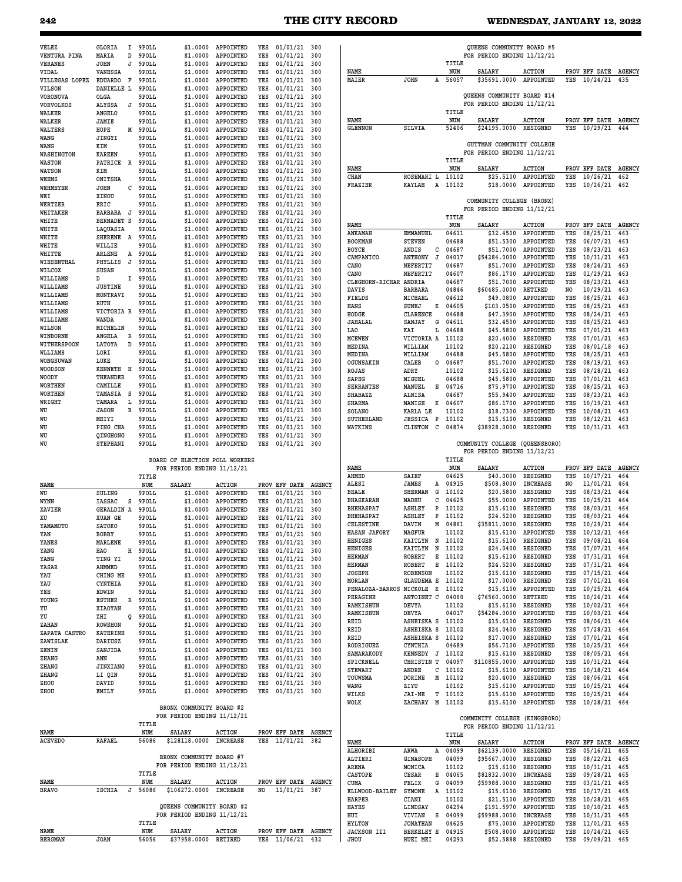| VELEZ                   | GLORIA<br>Ι.                      | 9POLL          | \$1,0000                       | APPOINTED                                | YES        | $01/01/21$ 300                   |            |                                      |                               |                  | OUEENS COMMUNITY BOARD #5                               |                              |            |                              |                      |
|-------------------------|-----------------------------------|----------------|--------------------------------|------------------------------------------|------------|----------------------------------|------------|--------------------------------------|-------------------------------|------------------|---------------------------------------------------------|------------------------------|------------|------------------------------|----------------------|
| VENTURA PINA            | MARIA<br>D                        | 9POLL          | \$1,0000                       | APPOINTED                                | YES        | 01/01/21                         | 300        |                                      |                               |                  | FOR PERIOD ENDING 11/12/21                              |                              |            |                              |                      |
| VERANES                 | <b>JOHN</b><br>J                  | 9POLL          | \$1,0000                       | APPOINTED                                | YES        | 01/01/21                         | 300        |                                      |                               | TITLE<br>NUM     |                                                         |                              |            |                              |                      |
| VIDAL<br>VILLEGAS LOPEZ | VANESSA<br><b>EDUARDO</b><br>F    | 9POLL<br>9POLL | \$1,0000<br>\$1,0000           | APPOINTED<br>APPOINTED                   | YES<br>YES | 01/01/21<br>01/01/21             | 300<br>300 | NAME<br>MAIER                        | <b>JOHN</b><br>A              | 56057            | SALARY<br>\$35691.0000                                  | <b>ACTION</b><br>APPOINTED   | YES        | PROV EFF DATE<br>10/24/21    | <b>AGENCY</b><br>435 |
| <b>VILSON</b>           | DANIELLE L                        | 9POLL          | \$1.0000                       | APPOINTED                                | YES        | 01/01/21                         | 300        |                                      |                               |                  |                                                         |                              |            |                              |                      |
| VORONOVA                | OLGA                              | 9POLL          | \$1,0000                       | APPOINTED                                | YES        | 01/01/21                         | 300        |                                      |                               |                  | QUEENS COMMUNITY BOARD #14                              |                              |            |                              |                      |
| VORVOLKOS               | ALYSSA<br>J                       | 9POLL          | \$1,0000                       | APPOINTED                                | YES        | 01/01/21                         | 300        |                                      |                               |                  | FOR PERIOD ENDING 11/12/21                              |                              |            |                              |                      |
| WALKER                  | ANGELO                            | 9POLL          | \$1,0000                       | APPOINTED                                | YES        | 01/01/21                         | 300        | NAME                                 |                               | TITLE<br>NUM     | <b>SALARY</b>                                           | <b>ACTION</b>                |            | PROV EFF DATE                | <b>AGENCY</b>        |
| WALKER<br>WALTERS       | JAMIE<br>HOPE<br>M                | 9POLL<br>9POLL | \$1,0000<br>\$1.0000           | APPOINTED<br>APPOINTED                   | YES<br>YES | 01/01/21<br>01/01/21             | 300<br>300 | <b>GLENNON</b>                       | SILVIA                        | 52406            | \$24195.0000                                            | <b>RESIGNED</b>              | YES        | 10/29/21                     | 444                  |
| WANG                    | JINGYI                            | 9POLL          | \$1,0000                       | APPOINTED                                | YES        | 01/01/21                         | 300        |                                      |                               |                  |                                                         |                              |            |                              |                      |
| WANG                    | KIM                               | 9POLL          | \$1.0000                       | APPOINTED                                | YES        | 01/01/21                         | 300        |                                      |                               |                  | GUTTMAN COMMUNITY COLLEGE                               |                              |            |                              |                      |
| WASHINGTON              | <b>KAREEN</b>                     | 9POLL          | \$1.0000                       | APPOINTED                                | YES        | 01/01/21                         | 300        |                                      |                               | TITLE            | FOR PERIOD ENDING 11/12/21                              |                              |            |                              |                      |
| WASTON                  | PATRICE R                         | 9POLL          | \$1.0000                       | APPOINTED                                | YES        | 01/01/21                         | 300        | NAME                                 |                               | NUM              | <b>SALARY</b>                                           | <b>ACTION</b>                |            | PROV EFF DATE                | <b>AGENCY</b>        |
| WATSON<br>WEEMS         | KIM<br>ONITSHA                    | 9POLL<br>9POLL | \$1,0000<br>\$1,0000           | APPOINTED<br>APPOINTED                   | YES<br>YES | 01/01/21<br>01/01/21             | 300<br>300 | CHAN                                 | <b>ROSEMARI L</b>             | 10102            | \$25.5100                                               | APPOINTED                    | YES        | 10/26/21                     | 462                  |
| WEHMEYER                | <b>JOHN</b><br>с                  | 9POLL          | \$1,0000                       | APPOINTED                                | YES        | 01/01/21                         | 300        | FRAZIER                              | <b>KAYLAH</b><br>А            | 10102            | \$18,0000                                               | APPOINTED                    | YES        | 10/26/21                     | 462                  |
| WEI                     | XINOU                             | 9POLL          | \$1,0000                       | APPOINTED                                | YES        | 01/01/21                         | 300        |                                      |                               |                  |                                                         |                              |            |                              |                      |
| WERTZER                 | ERIC                              | 9POLL          | \$1.0000                       | APPOINTED                                | YES        | 01/01/21                         | 300        |                                      |                               |                  | COMMUNITY COLLEGE (BRONX)<br>FOR PERIOD ENDING 11/12/21 |                              |            |                              |                      |
| WHITAKER                | BARBARA J                         | 9POLL          | \$1,0000                       | APPOINTED                                | YES        | 01/01/21                         | 300        |                                      |                               | TITLE            |                                                         |                              |            |                              |                      |
| WHITE<br>WHITE          | BERNADET S<br>LAQUASIA            | 9POLL<br>9POLL | \$1,0000<br>\$1.0000           | APPOINTED<br>APPOINTED                   | YES<br>YES | 01/01/21<br>01/01/21             | 300<br>300 | NAME                                 |                               | NUM              | SALARY                                                  | <b>ACTION</b>                |            | PROV EFF DATE                | <b>AGENCY</b>        |
| WHITE                   | <b>SHERENE</b><br>A               | 9POLL          | \$1,0000                       | APPOINTED                                | YES        | 01/01/21                         | 300        | ANKAMAH                              | <b>EMMANUEL</b>               | 04611            | \$32.4500                                               | APPOINTED                    | YES        | 08/25/21                     | 463                  |
| WHITE                   | WILLIE                            | 9POLL          | \$1,0000                       | APPOINTED                                | YES        | 01/01/21                         | 300        | <b>BOOKMAN</b>                       | <b>STEVEN</b>                 | 04688            | \$51.5300<br>\$51,7000                                  | APPOINTED                    | YES        | 06/07/21<br>08/23/21         | 463                  |
| WHITTE                  | ARLENE<br>A                       | 9POLL          | \$1,0000                       | APPOINTED                                | YES        | 01/01/21                         | 300        | <b>BOYCE</b><br>CAMPANICO            | ANDIS<br>с<br>ANTHONY<br>J    | 04687<br>04017   | \$54284.0000                                            | APPOINTED<br>APPOINTED       | YES<br>YES | 10/31/21                     | 463<br>463           |
| WIESENTHAL              | PHYLLIS<br>J                      | 9POLL          | \$1,0000                       | APPOINTED                                | YES        | 01/01/21                         | 300        | CANO                                 | NEFERTIT                      | 04687            | \$51.7000                                               | APPOINTED                    | YES        | 08/24/21                     | 463                  |
| WILCOX<br>WILLIAMS      | SUSAN<br>D<br>I                   | 9POLL<br>9POLL | \$1.0000<br>\$1,0000           | APPOINTED<br>APPOINTED                   | YES<br>YES | 01/01/21<br>01/01/21             | 300<br>300 | CANO                                 | NEFERTIT                      | 04607            | \$86.1700                                               | APPOINTED                    | YES        | 01/29/21                     | 463                  |
| WILLIAMS                | <b>JUSTINE</b>                    | 9POLL          | \$1.0000                       | APPOINTED                                | YES        | 01/01/21                         | 300        | CLEGHORN-RICHAR                      | ANDRIA                        | 04687            | \$51.7000                                               | APPOINTED                    | YES        | 08/23/21                     | 463                  |
| WILLIAMS                | MONTRAVI                          | 9POLL          | \$1,0000                       | APPOINTED                                | YES        | 01/01/21                         | 300        | DAVIS<br>FIELDS                      | <b>BARBARA</b><br>MICHAEL     | 04846<br>04612   | \$60485.0000<br>\$49,0800                               | RETIRED<br>APPOINTED         | NO.<br>YES | 10/29/21<br>08/25/21         | 463<br>463           |
| WILLIAMS                | RUTH                              | 9POLL          | \$1,0000                       | APPOINTED                                | YES        | 01/01/21                         | 300        | HANS                                 | SUNEJ<br>к                    | 04605            | \$103.0500                                              | APPOINTED                    | YES        | 08/25/21                     | 463                  |
| WILLIAMS                | VICTORIA R                        | 9POLL          | \$1,0000                       | APPOINTED                                | YES        | 01/01/21                         | 300        | HODGE                                | <b>CLARENCE</b>               | 04688            | \$47.3900                                               | APPOINTED                    | YES        | 08/24/21                     | 463                  |
| WILLIAMS                | WANDA                             | 9POLL          | \$1,0000                       | APPOINTED                                | YES        | 01/01/21                         | 300        | <b>JAHALAL</b>                       | <b>SANJAY</b><br>G            | 04611            | \$32.4500                                               | APPOINTED                    | YES        | 08/25/21                     | 463                  |
| WILSON<br>WINBORNE      | MICHELIN<br><b>ANGELA</b><br>R    | 9POLL<br>9POLL | \$1,0000<br>\$1,0000           | APPOINTED<br>APPOINTED                   | YES<br>YES | 01/01/21<br>01/01/21             | 300<br>300 | LA0                                  | KAI<br>Ŀ                      | 04688            | \$45.5800                                               | APPOINTED                    | YES        | 07/01/21                     | 463                  |
| WITHERSPOON             | LATOYA<br>D                       | 9POLL          | \$1,0000                       | APPOINTED                                | YES        | 01/01/21                         | 300        | <b>MCEWEN</b><br>MEDINA              | VICTORIA A<br>WILLIAM         | 10102<br>10102   | \$20.4000<br>\$20.2100                                  | RESIGNED<br><b>RESIGNED</b>  | YES<br>YES | 07/01/21<br>08/01/18         | 463<br>463           |
| WLLIAMS                 | LORI                              | 9POLL          | \$1,0000                       | APPOINTED                                | YES        | 01/01/21                         | 300        | MEDINA                               | WILLIAM                       | 04688            | \$45.5800                                               | APPOINTED                    | YES        | 08/25/21                     | 463                  |
| WONGSUWAN               | LUKE                              | 9POLL          | \$1,0000                       | APPOINTED                                | YES        | 01/01/21                         | 300        | OGUNSAKIN                            | CALEB<br>0                    | 04687            | \$51.7000                                               | APPOINTED                    | YES        | 08/19/21                     | 463                  |
| WOODSON                 | KENNETH H                         | 9POLL          | \$1,0000                       | APPOINTED                                | YES        | 01/01/21                         | 300        | ROJAS                                | ADRY                          | 10102            | \$15.6100                                               | <b>RESIGNED</b>              | YES        | 08/28/21                     | 463                  |
| WOODY<br>WORTHEN        | THEANDER<br>CAMILLE               | 9POLL<br>9POLL | \$1,0000<br>\$1,0000           | APPOINTED<br>APPOINTED                   | YES<br>YES | 01/01/21<br>01/01/21             | 300<br>300 | SAPEG                                | MIGUEL                        | 04688            | \$45.5800                                               | APPOINTED                    | YES        | 07/01/21                     | 463                  |
| <b>WORTHEN</b>          | TAMASIA S                         | 9POLL          | \$1,0000                       | APPOINTED                                | YES        | 01/01/21                         | 300        | <b>SERRANTES</b><br>SHABAZZ          | MANUEL<br>Е<br>ALNISA         | 04716<br>04687   | \$75.9700<br>\$55.9400                                  | APPOINTED<br>APPOINTED       | YES<br>YES | 08/25/21<br>08/23/21         | 463<br>463           |
| WRIGHT                  | TAMARA<br>L                       | 9POLL          | \$1,0000                       | APPOINTED                                | YES        | 01/01/21                         | 300        | <b>SHARMA</b>                        | MANISH<br>к                   | 04607            | \$86.1700                                               | APPOINTED                    | YES        | 10/19/21                     | 463                  |
| WU                      | <b>JASON</b><br>в                 | 9POLL          | \$1.0000                       | APPOINTED                                | YES        | 01/01/21                         | 300        | SOLANO                               | KARLA LE                      | 10102            | \$18.7300                                               | APPOINTED                    | YES        | 10/08/21                     | 463                  |
| WU                      | MEIYI                             | 9POLL          | \$1,0000                       | APPOINTED                                | YES        | 01/01/21                         | 300        | SUTHERLAND                           | <b>JESSICA P</b>              | 10102            | \$15.6100                                               | <b>RESIGNED</b>              | YES        | 08/12/21                     | 463                  |
| WU<br>WU                | PING CHA<br>QINGHONG              | 9POLL<br>9POLL | \$1.0000<br>\$1.0000           | APPOINTED                                | YES        | 01/01/21<br>01/01/21             | 300        | WATKINS                              | CLINTON<br>C                  | 04874            | \$38928.0000                                            | <b>RESIGNED</b>              | YES        | 10/31/21                     | 463                  |
|                         |                                   |                |                                |                                          |            |                                  |            |                                      |                               |                  |                                                         |                              |            |                              |                      |
| WU                      |                                   | 9POLL          | \$1.0000                       | APPOINTED<br>APPOINTED                   | YES<br>YES |                                  | 300<br>300 |                                      |                               |                  |                                                         | (QUEENSBORO)                 |            |                              |                      |
|                         | STEPHANI                          |                |                                |                                          |            | 01/01/21                         |            |                                      |                               |                  | COMMUNITY COLLEGE<br>FOR PERIOD ENDING 11/12/21         |                              |            |                              |                      |
|                         |                                   |                | BOARD OF ELECTION POLL WORKERS |                                          |            |                                  |            |                                      |                               | TITLE            |                                                         |                              |            |                              |                      |
|                         |                                   |                | FOR PERIOD ENDING 11/12/21     |                                          |            |                                  |            | NAME                                 |                               | NUM              | SALARY                                                  | <b>ACTION</b>                |            | PROV EFF DATE                |                      |
|                         |                                   | TITLE          |                                |                                          |            |                                  |            | AHMED<br>ALESI                       | SAIEF<br>JAMES<br>Α           | 04625<br>04915   | \$40.0000<br>\$508,8000                                 | RESIGNED<br><b>INCREASE</b>  | YES<br>NO. | 10/17/21                     | 464<br>464           |
| NAME<br>WU              | SULING                            | NUM<br>9POLL   | <b>SALARY</b><br>\$1.0000      | <b>ACTION</b><br>APPOINTED               | YES        | PROV EFF DATE AGENCY<br>01/01/21 | 300        | <b>BEALE</b>                         | <b>SHERMAN</b><br>G           | 10102            | \$20.5800                                               | <b>RESIGNED</b>              | YES        | 11/01/21<br>08/23/21         | 464                  |
| WYNN                    | IASSAC<br>s                       | 9POLL          | \$1,0000                       | APPOINTED                                | YES        | 01/01/21                         | 300        | <b>BHASKARAN</b>                     | с<br>MADHU                    | 04625            | \$55.0000                                               | APPOINTED                    | YES        | 10/25/21                     | 464                  |
| XAVIER                  | <b>GERALDIN A</b>                 | 9POLL          | \$1,0000                       | APPOINTED                                | YES        | 01/01/21                         | 300        | <b>BHEHASPAT</b>                     | ASHLEY<br>P                   | 10102            | \$15.6100                                               | RESIGNED                     | YES        | 08/03/21                     | 464                  |
| XU                      | XUAN GE                           | 9POLL          | \$1,0000                       | APPOINTED                                | YES        | 01/01/21                         | 300        | <b>BHEHASPAT</b><br><b>CELESTINE</b> | ASHLEY<br>P<br>М              | 10102<br>04861   | \$24.5200                                               | <b>RESIGNED</b>              | YES<br>YES | 08/03/21                     | 464                  |
| YAMAMOTO                | SATOKO                            | 9POLL          | \$1,0000                       | APPOINTED                                | YES        | 01/01/21                         | 300        | HASAN JAFORY                         | DAVIN<br>MAGFUR               | 10102            | \$35811.0000<br>\$15.6100                               | <b>RESIGNED</b><br>APPOINTED | YES        | 10/29/21<br>10/12/21         | 464<br>464           |
| YAN<br>YANES            | BOBBY<br>MARLENE                  | 9POLL<br>9POLL |                                | \$1.0000 APPOINTED<br>\$1.0000 APPOINTED | YES<br>YES | 01/01/21 300<br>$01/01/21$ 300   |            | HENIGES                              | KAITLYN N                     | 10102            | \$15.6100                                               | RESIGNED                     | YES        | 09/08/21 464                 |                      |
| YANG                    | HAO                               | H 9POLL        | \$1.0000                       | APPOINTED                                | YES        | $01/01/21$ 300                   |            | <b>HENIGES</b>                       | KAITLYN<br>N                  | 10102            | \$24.0400                                               | RESIGNED                     | YES        | 07/07/21 464                 |                      |
| YANG                    | TING YI                           | 9POLL          | \$1.0000                       | APPOINTED                                | YES        | 01/01/21                         | 300        | <b>HERMAN</b>                        | Е<br>ROBERT                   | 10102            | \$15.6100                                               | RESIGNED                     | YES        | 07/31/21 464                 |                      |
| YASAR                   | AHMMED                            | 9POLL          | \$1.0000                       | APPOINTED                                | YES        | $01/01/21$ 300                   |            | <b>HERMAN</b><br>JOSEPH              | ROBERT<br><b>ROBENSON</b>     | E 10102<br>10102 | \$24.5200<br>\$15.6100                                  | RESIGNED<br>RESIGNED         | YES<br>YES | 07/31/21 464                 |                      |
| YAU                     | CHING ME                          | 9POLL          | \$1,0000                       | APPOINTED                                | YES        | 01/01/21                         | 300        | MORLAN                               | <b>GLAUDEMA E</b>             | 10102            | \$17.0000                                               | RESIGNED                     | YES        | 07/15/21 464<br>07/01/21 464 |                      |
| YAU<br>YEE              | CYNTHIA<br>EDWIN                  | 9POLL<br>9POLL | \$1.0000<br>\$1.0000           | APPOINTED<br>APPOINTED                   | YES<br>YES | $01/01/21$ 300<br>$01/01/21$ 300 |            | PENALOZA-BARROS NICKOLE K            |                               | 10102            | \$15.6100                                               | APPOINTED                    | YES        | 10/25/21                     | 464                  |
| YOUNG                   | <b>ESTHER</b><br>R                | 9POLL          | \$1.0000                       | APPOINTED                                | YES        | $01/01/21$ 300                   |            | PERAGINE                             | ANTOINET C                    | 04060            | \$76560.0000                                            | RETIRED                      | YES        | $10/26/21$ 464               |                      |
| YU                      | XIAOYAN                           | 9POLL          | \$1.0000                       | APPOINTED                                | YES        | $01/01/21$ 300                   |            | RAMKISHUN<br>RAMKISHUN               | DEVYA<br>DEVYA                | 10102<br>04017   | \$15.6100<br>\$54284.0000                               | RESIGNED<br>APPOINTED        | YES<br>YES | 10/02/21 464<br>10/03/21     | 464                  |
| YU                      | ZHI<br>Q                          | 9POLL          | \$1.0000                       | APPOINTED                                | YES        | $01/01/21$ 300                   |            | REID                                 | ASHEISKA S                    | 10102            | \$15.6100                                               | RESIGNED                     | YES        | 08/06/21 464                 |                      |
| ZAHAN<br>ZAPATA CASTRO  | <b>ROWSHON</b><br><b>KATERINE</b> | 9POLL<br>9POLL | \$1.0000                       | APPOINTED<br>\$1.0000 APPOINTED          | YES<br>YES | $01/01/21$ 300<br>$01/01/21$ 300 |            | REID                                 | ASHEISKA S                    | 10102            | \$24.0400                                               | RESIGNED                     | YES        | 07/28/21 464                 |                      |
| ZAWISLAK                | DARIUSZ                           | 9POLL          |                                | \$1.0000 APPOINTED                       | YES        | $01/01/21$ 300                   |            | REID                                 | ASHEISKA S                    | 10102            | \$17.0000                                               | RESIGNED                     | YES        | 07/01/21 464                 |                      |
| ZENIN                   | SANJIDA                           | 9POLL          |                                | \$1.0000 APPOINTED                       | YES        | 01/01/21 300                     |            | RODRIGUEZ                            | CYNTHIA                       | 04689            | \$56.7100                                               | APPOINTED                    | YES        | 10/25/21                     | 464                  |
| ZHANG                   | ANN                               | 9POLL          | \$1.0000                       | APPOINTED                                | YES        | 01/01/21 300                     |            | SAMARAKODY<br>SPICKNELL              | KENNEDY J 10102<br>CHRISTIN T | 04097            | \$15.6100<br>\$110855.0000                              | RESIGNED<br>APPOINTED        | YES<br>YES | 08/05/21 464<br>10/31/21 464 |                      |
| ZHANG                   | JINXIANG                          | 9POLL          | \$1.0000                       | APPOINTED                                | YES        | $01/01/21$ 300                   |            | <b>STEWART</b>                       | ANDRE<br>с                    | 10102            | \$15.6100                                               | APPOINTED                    | YES        | 10/18/21 464                 |                      |
| ZHANG                   | LI QIN                            | 9POLL          | \$1.0000                       | APPOINTED                                | YES        | 01/01/21 300                     |            | TOUWSMA                              | DORINE                        | M 10102          | \$20.4000                                               | RESIGNED                     | YES        | 08/06/21 464                 |                      |
| ZHOU<br>ZHOU            | DAVID<br>EMILY                    | 9POLL<br>9POLL | \$1.0000<br>\$1.0000           | APPOINTED<br>APPOINTED                   | YES<br>YES | $01/01/21$ 300                   |            | WANG                                 | ZIYU                          | 10102            | \$15.6100                                               | APPOINTED                    | YES        | 10/25/21                     | 464                  |
|                         |                                   |                |                                |                                          |            | 01/01/21 300                     |            | WILKS                                | <b>JAI-NE</b>                 | T 10102          | \$15.6100                                               | APPOINTED                    | YES        | $10/25/21$ 464               |                      |
|                         |                                   |                | BRONX COMMUNITY BOARD #2       |                                          |            |                                  |            | WOLK                                 | ZACHARY M 10102               |                  | \$15.6100                                               | APPOINTED                    | YES        | 10/28/21 464                 |                      |
|                         |                                   |                | FOR PERIOD ENDING 11/12/21     |                                          |            |                                  |            |                                      |                               |                  | COMMUNITY COLLEGE (KINGSBORO)                           |                              |            |                              |                      |
| NAME                    |                                   | TITLE<br>NUM   | <b>SALARY</b>                  | <b>ACTION</b>                            |            | PROV EFF DATE AGENCY             |            |                                      |                               |                  | FOR PERIOD ENDING 11/12/21                              |                              |            |                              |                      |
| <b>ACEVEDO</b>          | <b>RAFAEL</b>                     | 56086          | \$128118.0000 INCREASE         |                                          | YES        | 11/01/21 382                     |            | NAME                                 |                               | TITLE<br>NUM     | SALARY                                                  | <b>ACTION</b>                |            | PROV EFF DATE AGENCY         |                      |
|                         |                                   |                |                                |                                          |            |                                  |            | ALHORIBI                             | ARWA<br>Α                     | 04099            | \$62139.0000                                            | RESIGNED                     | YES        | 05/16/21                     | 465                  |
|                         |                                   |                | BRONX COMMUNITY BOARD #7       |                                          |            |                                  |            | ALTIERI                              | GINASOPH                      | 04099            | \$95667.0000                                            | RESIGNED                     | YES        | 08/22/21 465                 |                      |
|                         |                                   |                | FOR PERIOD ENDING 11/12/21     |                                          |            |                                  |            | ARENA                                | MONICA                        | 10102            | \$15.6100                                               | RESIGNED                     | YES        | 10/31/21 465                 |                      |
| NAME                    |                                   | TITLE<br>NUM   | SALARY                         | <b>ACTION</b>                            |            | PROV EFF DATE AGENCY             |            | CASTOPE<br>CUMA                      | CESAR<br>Е<br>FELIX<br>G      | 04065<br>04099   | \$81832.0000<br>\$59988.0000                            | INCREASE<br>RESIGNED         | YES<br>YES | 09/28/21 465                 | 465                  |
| <b>BRAVO</b>            | ISCHIA<br>J                       | 56086          | \$106272.0000 INCREASE         |                                          | NO         | 11/01/21 387                     |            | ELLWOOD-BAILEY                       | <b>SYMONE</b>                 | A 10102          | \$15.6100                                               | RESIGNED                     | YES        | 03/21/21<br>$10/17/21$ 465   |                      |
|                         |                                   |                |                                |                                          |            |                                  |            | <b>HARPER</b>                        | CIANI                         | 10102            | \$21.5100                                               | APPOINTED                    | YES        | 10/28/21                     | <b>AGENCY</b><br>465 |
|                         |                                   |                | QUEENS COMMUNITY BOARD #2      |                                          |            |                                  |            | HAYES                                | LINDSAY                       | 04294            | \$191.5970                                              | APPOINTED                    | YES        | $10/10/21$ 465               |                      |
|                         |                                   |                | FOR PERIOD ENDING 11/12/21     |                                          |            |                                  |            | HUI                                  | VIVIAN<br>S                   | 04099            | \$59988.0000                                            | INCREASE                     | YES        | 10/31/21 465                 |                      |
| NAME                    |                                   | TITLE<br>NUM   | SALARY                         | <b>ACTION</b>                            |            | PROV EFF DATE AGENCY             |            | <b>HYLTON</b><br><b>JACKSON III</b>  | <b>JONATHAN</b><br>BERKELEY E | 04625<br>04915   | \$75.0000<br>\$508.8000                                 | APPOINTED<br>APPOINTED       | YES<br>YES | 11/01/21 465<br>10/24/21 465 |                      |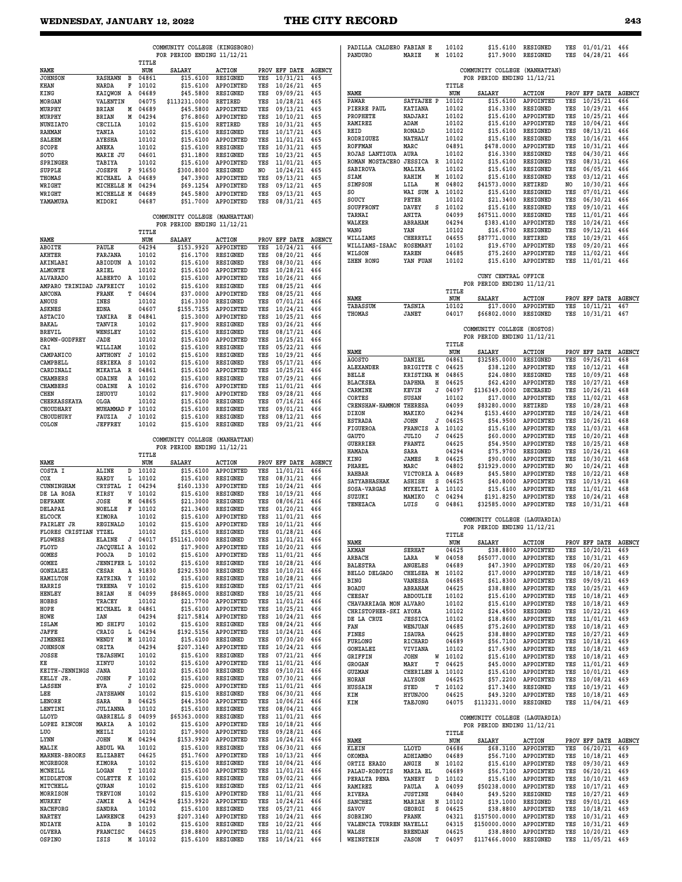**COMMUNITY COLLEGE (KINGSBORO)**

|                                                                                                                                                                                                                                                                                                                                                                                                                                                                                                   |                                        | TITLE            | FOR PERIOD ENDING 11/12/21                                  |                                 |            |                                  |               | PANDURO                                 | MARIE                           | 10102<br>M   |                    |                               |                             |            |                                                                                                                                                                                                                                                                                                                                                                                                                                                                                                                                                                                                                    |
|---------------------------------------------------------------------------------------------------------------------------------------------------------------------------------------------------------------------------------------------------------------------------------------------------------------------------------------------------------------------------------------------------------------------------------------------------------------------------------------------------|----------------------------------------|------------------|-------------------------------------------------------------|---------------------------------|------------|----------------------------------|---------------|-----------------------------------------|---------------------------------|--------------|--------------------|-------------------------------|-----------------------------|------------|--------------------------------------------------------------------------------------------------------------------------------------------------------------------------------------------------------------------------------------------------------------------------------------------------------------------------------------------------------------------------------------------------------------------------------------------------------------------------------------------------------------------------------------------------------------------------------------------------------------------|
| NAME                                                                                                                                                                                                                                                                                                                                                                                                                                                                                              |                                        | NUM              | <b>SALARY</b>                                               | <b>ACTION</b>                   |            | PROV EFF DATE AGENCY             |               |                                         |                                 |              |                    | COMMUNITY COLLEGE (MANHATTAN) |                             |            |                                                                                                                                                                                                                                                                                                                                                                                                                                                                                                                                                                                                                    |
| <b>JOHNSON</b>                                                                                                                                                                                                                                                                                                                                                                                                                                                                                    | <b>RASHAWN</b><br>в                    | 04861            | \$15.6100                                                   | RESIGNED                        | YES        | 10/31/21                         | 465           |                                         |                                 |              |                    | FOR PERIOD ENDING 11/12/21    |                             |            |                                                                                                                                                                                                                                                                                                                                                                                                                                                                                                                                                                                                                    |
| KHAN<br>KING                                                                                                                                                                                                                                                                                                                                                                                                                                                                                      | NARDA<br>F<br>KAIQWON A                | 10102<br>04689   | \$15.6100<br>\$45.5800                                      | APPOINTED<br>RESIGNED           | YES<br>YES | 10/26/21<br>09/09/21             | 465<br>465    | <b>NAME</b>                             |                                 |              | TITLE<br>NUM       | SALARY                        | <b>ACTION</b>               |            | PROV EFF DATE AGE                                                                                                                                                                                                                                                                                                                                                                                                                                                                                                                                                                                                  |
| MORGAN                                                                                                                                                                                                                                                                                                                                                                                                                                                                                            | VALENTIN                               | 04075            | \$113231.0000                                               | <b>RETIRED</b>                  | YES        | 10/28/21                         | 465           | PAWAR                                   | SATYAJEE P                      |              | 10102              | \$15.6100                     | APPOINTED                   | YES        | 10/25/21                                                                                                                                                                                                                                                                                                                                                                                                                                                                                                                                                                                                           |
| MURPHY                                                                                                                                                                                                                                                                                                                                                                                                                                                                                            | <b>BRIAN</b><br>М                      | 04689            | \$45.5800                                                   | APPOINTED                       | YES        | 09/13/21                         | 465           | PIERRE PAUL                             | <b>KATIANA</b>                  |              | 10102              | \$16.3300                     | RESIGNED                    | YES        | 10/29/21                                                                                                                                                                                                                                                                                                                                                                                                                                                                                                                                                                                                           |
| MURPHY<br><b>NUNZIATO</b>                                                                                                                                                                                                                                                                                                                                                                                                                                                                         | <b>BRIAN</b><br>M<br>CECILIA           | 04294<br>10102   | \$76.8060<br>\$15,6100                                      | APPOINTED<br>RETIRED            | YES<br>YES | 10/10/21<br>10/31/21             | 465<br>465    | PROPHETE<br>RAMIREZ                     | NADJARI<br>ADAM                 |              | 10102<br>10102     | \$15.6100<br>\$15.6100        | APPOINTED<br>APPOINTED      | YES<br>YES | 10/25/21<br>10/04/21                                                                                                                                                                                                                                                                                                                                                                                                                                                                                                                                                                                               |
| <b>RAHMAN</b>                                                                                                                                                                                                                                                                                                                                                                                                                                                                                     | TANIA                                  | 10102            | \$15,6100                                                   | RESIGNED                        | YES        | 10/17/21                         | 465           | <b>REID</b>                             | <b>RONALD</b>                   |              | 10102              | \$15.6100                     | RESIGNED                    | YES        | 08/13/21                                                                                                                                                                                                                                                                                                                                                                                                                                                                                                                                                                                                           |
| <b>SALEEM</b>                                                                                                                                                                                                                                                                                                                                                                                                                                                                                     | <b>AYESHA</b>                          | 10102            | \$15.6100                                                   | APPOINTED                       | YES        | 11/01/21                         | 465           | RODRIGUEZ                               | <b>NATHALY</b>                  |              | 10102              | \$15.6100                     | RESIGNED                    | YES        | 10/16/21                                                                                                                                                                                                                                                                                                                                                                                                                                                                                                                                                                                                           |
| SCOPE<br>SOTO                                                                                                                                                                                                                                                                                                                                                                                                                                                                                     | ANEKA<br>MARIE JU                      | 10102<br>04601   | \$15.6100<br>\$31.1800                                      | RESIGNED<br>RESIGNED            | YES<br>YES | 10/31/21<br>10/23/21             | 465<br>465    | <b>ROFFMAN</b><br>ROJAS LANTIGUA        | MARC<br>AURA                    |              | 04891<br>10102     | \$478.0000<br>\$16.3300       | APPOINTED<br>RESIGNED       | YES<br>YES | 10/31/21<br>04/30/21                                                                                                                                                                                                                                                                                                                                                                                                                                                                                                                                                                                               |
| SPRINGER                                                                                                                                                                                                                                                                                                                                                                                                                                                                                          | TABIYA                                 | 10102            | \$15.6100                                                   | APPOINTED                       | YES        | 11/01/21                         | 465           | ROMAN MOSTACERO                         | <b>JESSICA</b>                  | $\mathbb{R}$ | 10102              | \$15.6100                     | RESIGNED                    | YES        | 08/31/21                                                                                                                                                                                                                                                                                                                                                                                                                                                                                                                                                                                                           |
| <b>SUPPLE</b>                                                                                                                                                                                                                                                                                                                                                                                                                                                                                     | <b>JOSEPH</b><br>P                     | 91650            | \$300.8000                                                  | RESIGNED                        | NO         | 10/24/21                         | 465           | <b>SABIROVA</b>                         | MALIKA                          |              | 10102              | \$15.6100                     | RESIGNED                    | YES        | 06/05/21                                                                                                                                                                                                                                                                                                                                                                                                                                                                                                                                                                                                           |
| THOMAS                                                                                                                                                                                                                                                                                                                                                                                                                                                                                            | MICHAEL<br>A                           | 04689            | \$47.3900                                                   | APPOINTED                       | YES        | 09/13/21                         | 465           | SIAM<br><b>SIMPSON</b>                  | RAHIM<br>LILA                   | м<br>М       | 10102<br>04802     | \$15.6100<br>\$41573.0000     | RESIGNED<br>RETIRED         | YES<br>NO  | 03/12/21<br>10/30/21                                                                                                                                                                                                                                                                                                                                                                                                                                                                                                                                                                                               |
| WRIGHT<br>WRIGHT                                                                                                                                                                                                                                                                                                                                                                                                                                                                                  | MICHELLE M<br>MICHELLE M               | 04294<br>04689   | \$69.1254<br>\$45.5800                                      | APPOINTED<br>APPOINTED          | YES<br>YES | 09/12/21<br>09/13/21             | 465<br>465    | so                                      | WAI SUM                         | A            | 10102              | \$15.6100                     | RESIGNED                    | YES        | 07/01/21                                                                                                                                                                                                                                                                                                                                                                                                                                                                                                                                                                                                           |
| YAMAMURA                                                                                                                                                                                                                                                                                                                                                                                                                                                                                          | MIDORI                                 | 04687            | \$51.7000                                                   | APPOINTED                       | YES        | 08/31/21                         | 465           | SOUCY                                   | PETER                           |              | 10102              | \$21.3400                     | <b>RESIGNED</b>             | YES        | 06/30/21                                                                                                                                                                                                                                                                                                                                                                                                                                                                                                                                                                                                           |
|                                                                                                                                                                                                                                                                                                                                                                                                                                                                                                   |                                        |                  |                                                             |                                 |            |                                  |               | SOUFFRONT                               | <b>DAVEY</b>                    | s            | 10102              | \$15.6100<br>\$67511.0000     | RESIGNED<br><b>RESIGNED</b> | YES<br>YES | 09/10/21                                                                                                                                                                                                                                                                                                                                                                                                                                                                                                                                                                                                           |
|                                                                                                                                                                                                                                                                                                                                                                                                                                                                                                   |                                        |                  | COMMUNITY COLLEGE (MANHATTAN)<br>FOR PERIOD ENDING 11/12/21 |                                 |            |                                  |               | TARNAI<br>WALKER                        | ANITA<br>ABRAHAM                |              | 04099<br>04294     | \$383.4100                    | APPOINTED                   | YES        | 11/01/21<br>10/24/21                                                                                                                                                                                                                                                                                                                                                                                                                                                                                                                                                                                               |
|                                                                                                                                                                                                                                                                                                                                                                                                                                                                                                   |                                        | TITLE            |                                                             |                                 |            |                                  |               | WANG                                    | YAN                             |              | 10102              | \$16.6700                     | RESIGNED                    | YES        | 09/12/21                                                                                                                                                                                                                                                                                                                                                                                                                                                                                                                                                                                                           |
| NAME                                                                                                                                                                                                                                                                                                                                                                                                                                                                                              |                                        | NUM              | <b>SALARY</b>                                               | <b>ACTION</b>                   |            | PROV EFF DATE                    | <b>AGENCY</b> | WILLIAMS<br>WILLIAMS-ISAAC              | CHERRYLI<br><b>ROSEMARY</b>     |              | 04655<br>10102     | \$87771.0000<br>\$19.6700     | RETIRED<br>APPOINTED        | YES<br>YES | 10/29/21<br>09/20/21                                                                                                                                                                                                                                                                                                                                                                                                                                                                                                                                                                                               |
| ABOITE<br><b>AKHTER</b>                                                                                                                                                                                                                                                                                                                                                                                                                                                                           | PAULE<br>FARJANA                       | 04294<br>10102   | \$153.9920<br>\$16.1700                                     | APPOINTED<br>RESIGNED           | YES<br>YES | 10/24/21<br>08/20/21             | 466<br>466    | WILSON                                  | <b>KAREN</b>                    |              | 04685              | \$75.2600                     | APPOINTED                   | YES        | 11/02/21                                                                                                                                                                                                                                                                                                                                                                                                                                                                                                                                                                                                           |
| AKINLABI                                                                                                                                                                                                                                                                                                                                                                                                                                                                                          | ABIODUN<br>A                           | 10102            | \$15.6100                                                   | RESIGNED                        | YES        | 08/30/21                         | 466           | ZHEN RONG                               | YAN FUAN                        |              | 10102              | \$15.6100                     | APPOINTED                   | YES        | 11/01/21                                                                                                                                                                                                                                                                                                                                                                                                                                                                                                                                                                                                           |
| <b>ALMONTE</b>                                                                                                                                                                                                                                                                                                                                                                                                                                                                                    | ARIEL                                  | 10102            | \$15,6100                                                   | APPOINTED                       | YES        | 10/28/21                         | 466           |                                         |                                 |              |                    | CUNY CENTRAL OFFICE           |                             |            |                                                                                                                                                                                                                                                                                                                                                                                                                                                                                                                                                                                                                    |
| <b>ALVARADO</b><br>AMPARO TRINIDAD                                                                                                                                                                                                                                                                                                                                                                                                                                                                | <b>ALBERTO</b><br>A<br><b>JAFREICY</b> | 10102<br>10102   | \$15.6100<br>\$15,6100                                      | APPOINTED<br>RESIGNED           | YES<br>YES | 10/26/21<br>08/25/21             | 466<br>466    |                                         |                                 |              |                    | FOR PERIOD ENDING 11/12/21    |                             |            |                                                                                                                                                                                                                                                                                                                                                                                                                                                                                                                                                                                                                    |
| ANCONA                                                                                                                                                                                                                                                                                                                                                                                                                                                                                            | FRANK<br>т                             | 04604            | \$37,0000                                                   | APPOINTED                       | YES        | 08/25/21                         | 466           |                                         |                                 |              | TITLE              |                               |                             |            |                                                                                                                                                                                                                                                                                                                                                                                                                                                                                                                                                                                                                    |
| ANOUS                                                                                                                                                                                                                                                                                                                                                                                                                                                                                             | <b>INES</b>                            | 10102            | \$16.3300                                                   | RESIGNED                        | YES        | 07/01/21                         | 466           | NAME<br>TABASSUM                        | TASNIA                          |              | NUM<br>10102       | <b>SALARY</b><br>\$17,0000    | <b>ACTION</b><br>APPOINTED  | YES        | PROV EFF DATE<br>10/11/21                                                                                                                                                                                                                                                                                                                                                                                                                                                                                                                                                                                          |
| ASKNES                                                                                                                                                                                                                                                                                                                                                                                                                                                                                            | <b>EDNA</b>                            | 04607            | \$155.7155                                                  | APPOINTED                       | YES        | 10/24/21                         | 466           | <b>THOMAS</b>                           | JANET                           |              | 04017              | \$66802.0000                  | RESIGNED                    | YES        | 10/31/21                                                                                                                                                                                                                                                                                                                                                                                                                                                                                                                                                                                                           |
| <b>ASTACIO</b><br>BAKAL                                                                                                                                                                                                                                                                                                                                                                                                                                                                           | YANIRA<br>Е<br>TANVIR                  | 04841<br>10102   | \$15.3000<br>\$17,9000                                      | APPOINTED<br>RESIGNED           | YES<br>YES | 10/25/21<br>03/26/21             | 466<br>466    |                                         |                                 |              |                    |                               |                             |            |                                                                                                                                                                                                                                                                                                                                                                                                                                                                                                                                                                                                                    |
| <b>BREVIL</b>                                                                                                                                                                                                                                                                                                                                                                                                                                                                                     | WENSLEY                                | 10102            | \$15.6100                                                   | RESIGNED                        | YES        | 08/17/21                         | 466           |                                         |                                 |              |                    | COMMUNITY COLLEGE (HOSTOS)    |                             |            |                                                                                                                                                                                                                                                                                                                                                                                                                                                                                                                                                                                                                    |
| <b>BROWN-GODFREY</b>                                                                                                                                                                                                                                                                                                                                                                                                                                                                              | JADE                                   | 10102            | \$15,6100                                                   | APPOINTED                       | YES        | 10/25/21                         | 466           |                                         |                                 |              | TITLE              | FOR PERIOD ENDING 11/12/21    |                             |            |                                                                                                                                                                                                                                                                                                                                                                                                                                                                                                                                                                                                                    |
| CAI<br>CAMPANICO                                                                                                                                                                                                                                                                                                                                                                                                                                                                                  | WILLIAM<br>ANTHONY<br>J                | 10102<br>10102   | \$15.6100<br>\$15.6100                                      | RESIGNED<br>RESIGNED            | YES<br>YES | 05/22/21<br>10/29/21             | 466<br>466    | NAME                                    |                                 |              | NUM                | <b>SALARY</b>                 | <b>ACTION</b>               |            | PROV EFF DATE                                                                                                                                                                                                                                                                                                                                                                                                                                                                                                                                                                                                      |
| CAMPBELL                                                                                                                                                                                                                                                                                                                                                                                                                                                                                          | SERIEKA<br>s                           | 10102            | \$15.6100                                                   | RESIGNED                        | YES        | 05/17/21                         | 466           | <b>AGOSTO</b>                           | DANIEL                          |              | 04861              | \$32585.0000                  | RESIGNED                    | YES        | 09/26/21                                                                                                                                                                                                                                                                                                                                                                                                                                                                                                                                                                                                           |
| CARDINALI                                                                                                                                                                                                                                                                                                                                                                                                                                                                                         | $\mathbb{R}$<br>MIKAYLA                | 04861            | \$15.6100                                                   | APPOINTED                       | YES        | 10/25/21                         | 466           | ALEXANDER<br><b>BELLE</b>               | BRIGITTE C<br><b>KRISTINA M</b> |              | 04625<br>04865     | \$38,1200<br>\$24.0800        | APPOINTED<br>RESIGNED       | YES<br>YES | 10/12/21<br>10/09/21                                                                                                                                                                                                                                                                                                                                                                                                                                                                                                                                                                                               |
| <b>CHAMBERS</b>                                                                                                                                                                                                                                                                                                                                                                                                                                                                                   | ODAINE<br>Α                            | 10102            | \$15.6100                                                   | RESIGNED                        | YES        | 07/29/21                         | 466           | <b>BLACKSEA</b>                         | DAPHNA                          | н            | 04625              | \$62.4200                     | APPOINTED                   | YES        | 10/27/21                                                                                                                                                                                                                                                                                                                                                                                                                                                                                                                                                                                                           |
| CHAMBERS<br>CHEN                                                                                                                                                                                                                                                                                                                                                                                                                                                                                  | ODAINE<br>Α<br>ZHUOYU                  | 10102<br>10102   | \$16.6700<br>\$17,9000                                      | APPOINTED<br>APPOINTED          | YES<br>YES | 11/01/21<br>09/28/21             | 466<br>466    | CARMINE                                 | KEVIN                           | J            | 04097              | \$136349.0000                 | <b>DECEASED</b>             | YES        | 10/26/21                                                                                                                                                                                                                                                                                                                                                                                                                                                                                                                                                                                                           |
| CHERKASSKAYA                                                                                                                                                                                                                                                                                                                                                                                                                                                                                      | OLGA                                   | 10102            | \$15.6100                                                   | RESIGNED                        | YES        | 07/16/21                         | 466           | CORTES                                  | <b>SUSAN</b>                    |              | 10102<br>04099     | \$17.0000<br>\$83280.0000     | APPOINTED<br>RETIRED        | YES<br>YES | 11/02/21<br>10/28/21                                                                                                                                                                                                                                                                                                                                                                                                                                                                                                                                                                                               |
| CHOUDHARY                                                                                                                                                                                                                                                                                                                                                                                                                                                                                         | MUHAMMAD F                             | 10102            | \$15.6100                                                   | RESIGNED                        | YES        | 09/01/21                         | 466           | CRENSHAW-HAMMON THERESA<br>DIXON        | MAKIKO                          |              | 04294              | \$153.4600                    | APPOINTED                   | YES        | 10/24/21                                                                                                                                                                                                                                                                                                                                                                                                                                                                                                                                                                                                           |
| CHOUDHURY<br>COLON                                                                                                                                                                                                                                                                                                                                                                                                                                                                                | FAUZIA<br>J<br><b>JEFFREY</b>          | 10102<br>10102   | \$15.6100<br>\$15.6100                                      | RESIGNED<br>RESIGNED            | YES<br>YES | 08/12/21<br>09/21/21             | 466<br>466    | <b>ESTRADA</b>                          | <b>JOHN</b>                     | J            | 04625              | \$54.9500                     | APPOINTED                   | YES        | 10/26/21                                                                                                                                                                                                                                                                                                                                                                                                                                                                                                                                                                                                           |
|                                                                                                                                                                                                                                                                                                                                                                                                                                                                                                   |                                        |                  |                                                             |                                 |            |                                  |               | FIGUEROA                                | FRANCIS                         | A            | 10102              | \$15.6100                     | APPOINTED                   | YES        | 11/03/21                                                                                                                                                                                                                                                                                                                                                                                                                                                                                                                                                                                                           |
|                                                                                                                                                                                                                                                                                                                                                                                                                                                                                                   |                                        |                  | COMMUNITY COLLEGE                                           | (MANHATTAN                      |            |                                  |               | <b>GAUTO</b><br><b>GUERRIER</b>         | JULIO<br><b>FRANTZ</b>          | J            | 04625<br>04625     | \$60.0000<br>\$54.9500        | APPOINTED<br>APPOINTED      | YES<br>YES | 10/20/21<br>10/25/21                                                                                                                                                                                                                                                                                                                                                                                                                                                                                                                                                                                               |
|                                                                                                                                                                                                                                                                                                                                                                                                                                                                                                   |                                        | TITLE            | FOR PERIOD ENDING 11/12/21                                  |                                 |            |                                  |               | HAMADA                                  | SARA                            |              | 04294              | \$75.9700                     | RESIGNED                    | YES        | 10/24/21                                                                                                                                                                                                                                                                                                                                                                                                                                                                                                                                                                                                           |
| NAME                                                                                                                                                                                                                                                                                                                                                                                                                                                                                              |                                        | NUM              | SALARY                                                      | <b>ACTION</b>                   |            | PROV EFF DATE                    | <b>AGENCY</b> | KING<br>PHAREL                          | <b>JAMES</b><br>MARC            | R            | 04625              | \$90.0000                     | APPOINTED<br>APPOINTED      | YES<br>NO  | 10/30/21                                                                                                                                                                                                                                                                                                                                                                                                                                                                                                                                                                                                           |
|                                                                                                                                                                                                                                                                                                                                                                                                                                                                                                   |                                        |                  |                                                             |                                 |            |                                  |               |                                         |                                 |              | 04802              | \$31929.0000                  |                             |            | 10/24/21                                                                                                                                                                                                                                                                                                                                                                                                                                                                                                                                                                                                           |
|                                                                                                                                                                                                                                                                                                                                                                                                                                                                                                   | ALINE<br>D                             | 10102            | \$15.6100                                                   | APPOINTED                       | YES        | 11/01/21                         | 466           | <b>RAHBAR</b>                           | VICTORIA A                      |              | 04689              | \$45.5800                     | APPOINTED                   | YES        |                                                                                                                                                                                                                                                                                                                                                                                                                                                                                                                                                                                                                    |
|                                                                                                                                                                                                                                                                                                                                                                                                                                                                                                   | <b>HARDY</b><br>L                      | 10102            | \$15.6100                                                   | RESIGNED                        | YES        | 08/31/21                         | 466           | SATYABHASHAK                            | ASHISH                          | s            | 04625              | \$40.8000                     | APPOINTED                   | YES        |                                                                                                                                                                                                                                                                                                                                                                                                                                                                                                                                                                                                                    |
|                                                                                                                                                                                                                                                                                                                                                                                                                                                                                                   | CRYSTAL<br>I<br>KIRSY<br>v             | 04294<br>10102   | \$160.1330<br>\$15.6100                                     | APPOINTED<br>RESIGNED           | YES<br>YES | 10/24/21<br>10/19/21             | 466<br>466    | SOSA-VARGAS                             | MYKELTI                         | Α            | 10102              | \$15.6100                     | APPOINTED                   | YES        |                                                                                                                                                                                                                                                                                                                                                                                                                                                                                                                                                                                                                    |
|                                                                                                                                                                                                                                                                                                                                                                                                                                                                                                   | JOSE<br>М                              | 04865            | \$21.3000                                                   | RESIGNED                        | YES        | 08/06/21                         | 466           | SUZUKI                                  | MAMIKO<br>LUIS                  | с            | 04294              | \$191.8250                    | APPOINTED<br>APPOINTED      | YES<br>YES |                                                                                                                                                                                                                                                                                                                                                                                                                                                                                                                                                                                                                    |
|                                                                                                                                                                                                                                                                                                                                                                                                                                                                                                   | NOELLE<br>F                            | 10102            | \$21.3400                                                   | RESIGNED                        | YES        | 01/20/21                         | 466           | TENEZACA                                |                                 |              | G 04861            | \$32585.0000                  |                             |            |                                                                                                                                                                                                                                                                                                                                                                                                                                                                                                                                                                                                                    |
|                                                                                                                                                                                                                                                                                                                                                                                                                                                                                                   | KIMORA<br>REGINALD                     | 10102<br>10102   | \$15.6100                                                   | APPOINTED<br>APPOINTED          | YES<br>YES | 11/01/21                         | 466<br>466    |                                         |                                 |              |                    | COMMUNITY COLLEGE             | (LAGUARDIA)                 |            |                                                                                                                                                                                                                                                                                                                                                                                                                                                                                                                                                                                                                    |
|                                                                                                                                                                                                                                                                                                                                                                                                                                                                                                   |                                        | 10102            | \$15.6100<br>\$15.6100                                      | <b>RESIGNED</b>                 | YES        | 10/11/21<br>01/28/21             | 466           |                                         |                                 |              |                    | FOR PERIOD ENDING 11/12/21    |                             |            |                                                                                                                                                                                                                                                                                                                                                                                                                                                                                                                                                                                                                    |
|                                                                                                                                                                                                                                                                                                                                                                                                                                                                                                   | <b>ELAINE</b><br>J                     | 04017            | \$51161.0000                                                | RESIGNED                        | YES        | 11/01/21                         | 466           | NAME                                    |                                 |              | TITLE<br>NUM       | SALARY                        | <b>ACTION</b>               |            |                                                                                                                                                                                                                                                                                                                                                                                                                                                                                                                                                                                                                    |
|                                                                                                                                                                                                                                                                                                                                                                                                                                                                                                   | JACQUELI A                             | 10102            | \$17,9000                                                   | APPOINTED                       | YES        | 10/20/21                         | 466           | AKMAN                                   | <b>SERHAT</b>                   |              | 04625              | \$38,8800                     | APPOINTED                   | YES        |                                                                                                                                                                                                                                                                                                                                                                                                                                                                                                                                                                                                                    |
|                                                                                                                                                                                                                                                                                                                                                                                                                                                                                                   | POOJA<br>D<br><b>JENNIFER L</b>        | 10102<br>10102   | \$15.6100<br>\$15.6100                                      | APPOINTED<br>RESIGNED           | YES<br>YES | 11/01/21<br>10/28/21 466         | 466           | ARBACH                                  | LARA                            | W            | 04058              | \$65077.0000                  | APPOINTED                   | YES        |                                                                                                                                                                                                                                                                                                                                                                                                                                                                                                                                                                                                                    |
|                                                                                                                                                                                                                                                                                                                                                                                                                                                                                                   | CESAR<br>A                             | 91830            | \$292.5300                                                  | RESIGNED                        | YES        | 10/10/21 466                     |               | <b>BALESTRA</b><br>BELLO DELGADO        | <b>ANGELES</b><br>CHELSEA       | М            | 04689<br>10102     | \$47.3900<br>\$17.0000        | APPOINTED<br>APPOINTED      | YES<br>YES |                                                                                                                                                                                                                                                                                                                                                                                                                                                                                                                                                                                                                    |
|                                                                                                                                                                                                                                                                                                                                                                                                                                                                                                   | KATRINA Y                              | 10102            | \$15.6100                                                   | RESIGNED                        | YES        | 10/28/21                         | 466           | BING                                    | VANESSA                         |              | 04685              | \$61.8300                     | APPOINTED                   | YES        |                                                                                                                                                                                                                                                                                                                                                                                                                                                                                                                                                                                                                    |
|                                                                                                                                                                                                                                                                                                                                                                                                                                                                                                   | TREENA<br>BRIAN<br>н                   | V 10102<br>04099 | \$15.6100<br>\$86865.0000                                   | RESIGNED<br>RESIGNED            | YES<br>YES | $02/17/21$ 466<br>10/25/21       | 466           | <b>BOADU</b>                            | ABRAHAM                         |              | 04625              | \$38.8800                     | APPOINTED                   | YES        |                                                                                                                                                                                                                                                                                                                                                                                                                                                                                                                                                                                                                    |
|                                                                                                                                                                                                                                                                                                                                                                                                                                                                                                   | TRACEY                                 | 10102            | \$21.7700                                                   | APPOINTED                       | YES        | 11/01/21 466                     |               | <b>CEESAY</b><br>CHAVARRIAGA MON ALVARO | ABDOULIE                        |              | 10102<br>10102     | \$15.6100<br>\$15,6100        | APPOINTED<br>APPOINTED      | YES<br>YES |                                                                                                                                                                                                                                                                                                                                                                                                                                                                                                                                                                                                                    |
|                                                                                                                                                                                                                                                                                                                                                                                                                                                                                                   | MICHAEL R 04861                        |                  | \$15.6100                                                   | APPOINTED                       | YES        | 10/25/21                         | 466           | CHRISTOPHER-SKI AYOKA                   |                                 |              | 10102              | \$24.4500                     | RESIGNED                    | YES        |                                                                                                                                                                                                                                                                                                                                                                                                                                                                                                                                                                                                                    |
|                                                                                                                                                                                                                                                                                                                                                                                                                                                                                                   | IAN<br>MD SHIFU                        | 04294<br>10102   | \$217.5814                                                  | APPOINTED                       | YES<br>YES | 10/24/21                         | 466<br>466    | DE LA CRUZ                              | <b>JESSICA</b>                  |              | 10102              | \$18.8600                     | APPOINTED                   | YES        |                                                                                                                                                                                                                                                                                                                                                                                                                                                                                                                                                                                                                    |
|                                                                                                                                                                                                                                                                                                                                                                                                                                                                                                   | CRAIG<br>Ŀ                             | 04294            | \$15.6100<br>\$192.5156                                     | RESIGNED<br>APPOINTED           | YES        | 08/24/21<br>10/24/21             | 466           | FAN<br>FINES                            | WENJUAN<br>ISAURA               |              | 04685<br>04625     | \$75.2600<br>\$38.8800        | APPOINTED<br>APPOINTED      | YES<br>YES |                                                                                                                                                                                                                                                                                                                                                                                                                                                                                                                                                                                                                    |
|                                                                                                                                                                                                                                                                                                                                                                                                                                                                                                   | WENDY<br>Μ                             | 10102            | \$15.6100                                                   | RESIGNED                        | YES        | 07/30/20                         | 466           | <b>FURLONG</b>                          | RICHARD                         |              | 04689              | \$56.7100                     | APPOINTED                   | YES        |                                                                                                                                                                                                                                                                                                                                                                                                                                                                                                                                                                                                                    |
|                                                                                                                                                                                                                                                                                                                                                                                                                                                                                                   | ORITA                                  | 04294            | \$207.3140                                                  | APPOINTED                       | YES        | 10/24/21 466                     |               | GONZALEZ                                | VIVIANA                         |              | 10102              |                               | \$17.6900 APPOINTED         | YES        |                                                                                                                                                                                                                                                                                                                                                                                                                                                                                                                                                                                                                    |
|                                                                                                                                                                                                                                                                                                                                                                                                                                                                                                   | TEJASHWI<br>XINYU                      | 10102<br>10102   | \$15.6100<br>\$15.6100                                      | RESIGNED<br>APPOINTED           | YES<br>YES | 07/21/21 466<br>11/01/21 466     |               | GRIFFIN                                 | JOHN                            | W            | 10102              | \$15.6100                     | APPOINTED                   | YES        |                                                                                                                                                                                                                                                                                                                                                                                                                                                                                                                                                                                                                    |
|                                                                                                                                                                                                                                                                                                                                                                                                                                                                                                   | JANA                                   | 10102            | \$15.6100                                                   | RESIGNED                        | YES        | 09/10/21                         | 466           | GROGAN<br><b>GUZMAN</b>                 | MARY<br>CHERILEN A              | т            | 04625<br>10102     | \$45.0000<br>\$15.6100        | APPOINTED<br>APPOINTED      | YES<br>YES |                                                                                                                                                                                                                                                                                                                                                                                                                                                                                                                                                                                                                    |
|                                                                                                                                                                                                                                                                                                                                                                                                                                                                                                   | <b>JOHN</b><br>F                       | 10102            | \$15.6100                                                   | RESIGNED                        | YES        | 07/30/21 466                     |               | HORAN                                   | <b>ALYSON</b>                   |              | 04625              | \$57.2200                     | APPOINTED                   | YES        |                                                                                                                                                                                                                                                                                                                                                                                                                                                                                                                                                                                                                    |
|                                                                                                                                                                                                                                                                                                                                                                                                                                                                                                   | EVA<br>J                               | 10102            | \$25,0000                                                   | APPOINTED                       | YES        | 11/01/21 466                     |               | HUSSAIN                                 | SYED                            | т            | 10102              | \$17.3400                     | RESIGNED                    | YES        |                                                                                                                                                                                                                                                                                                                                                                                                                                                                                                                                                                                                                    |
|                                                                                                                                                                                                                                                                                                                                                                                                                                                                                                   | <b>JAYSHAWN</b><br>SARA<br>В           | 10102<br>04625   | \$15.6100<br>\$44.3500                                      | RESIGNED<br>APPOINTED           | YES<br>YES | 06/30/21<br>10/06/21 466         | 466           | KIM<br>KIM                              | <b>HYUNJOO</b><br>TAEJONG       |              | 04625<br>04075     | \$49.3200<br>\$113231.0000    | APPOINTED<br>RESIGNED       | YES        |                                                                                                                                                                                                                                                                                                                                                                                                                                                                                                                                                                                                                    |
|                                                                                                                                                                                                                                                                                                                                                                                                                                                                                                   | <b>JULIANNA</b>                        | 10102            | \$15.6100                                                   | RESIGNED                        | YES        | 08/04/21                         | 466           |                                         |                                 |              |                    |                               |                             |            |                                                                                                                                                                                                                                                                                                                                                                                                                                                                                                                                                                                                                    |
|                                                                                                                                                                                                                                                                                                                                                                                                                                                                                                   | GABRIELL S                             | 04099            | \$65363.0000                                                | RESIGNED                        | YES        | 11/01/21                         | 466           |                                         |                                 |              |                    | COMMUNITY COLLEGE (LAGUARDIA) |                             |            |                                                                                                                                                                                                                                                                                                                                                                                                                                                                                                                                                                                                                    |
|                                                                                                                                                                                                                                                                                                                                                                                                                                                                                                   | MARIA<br>MEILI                         | A 10102<br>10102 | \$15.6100<br>\$17.9000                                      | APPOINTED<br>APPOINTED          | YES<br>YES | 10/18/21<br>09/28/21             | 466<br>466    |                                         |                                 |              |                    | FOR PERIOD ENDING 11/12/21    |                             |            |                                                                                                                                                                                                                                                                                                                                                                                                                                                                                                                                                                                                                    |
|                                                                                                                                                                                                                                                                                                                                                                                                                                                                                                   | <b>JOHN</b>                            | M 04294          | \$153.9920                                                  | APPOINTED                       | YES        | 10/24/21                         | 466           | NAME                                    |                                 |              | TITLE<br>NUM       | <b>SALARY</b>                 | <b>ACTION</b>               |            |                                                                                                                                                                                                                                                                                                                                                                                                                                                                                                                                                                                                                    |
|                                                                                                                                                                                                                                                                                                                                                                                                                                                                                                   | ABDUL WA                               | 10102            | \$15.6100                                                   | RESIGNED                        | YES        | 06/30/21                         | 466           | KLEIN                                   | LLOYD                           |              | 04686              | \$68.3100                     | APPOINTED                   | YES        |                                                                                                                                                                                                                                                                                                                                                                                                                                                                                                                                                                                                                    |
|                                                                                                                                                                                                                                                                                                                                                                                                                                                                                                   | ELIZABET                               | 04625            | \$51.7600                                                   | APPOINTED                       | YES        | 10/13/21 466                     |               | OKOMBA                                  | <b>ADHIAMBO</b>                 |              | 04689              | \$56.7100                     | APPOINTED                   | YES        |                                                                                                                                                                                                                                                                                                                                                                                                                                                                                                                                                                                                                    |
|                                                                                                                                                                                                                                                                                                                                                                                                                                                                                                   | KIMORA<br>LOGAN                        | 10102<br>T 10102 | \$15.6100<br>\$15.6100                                      | RESIGNED<br>APPOINTED           | YES<br>YES | 10/04/21<br>11/01/21             | 466<br>466    | ORTIZ ERAZO<br>PALAU-ROBOTIS            | ANGIE<br>MARIA EL               | N            | 10102<br>04689     | \$15.6100<br>\$56.7100        | APPOINTED<br>APPOINTED      | YES<br>YES |                                                                                                                                                                                                                                                                                                                                                                                                                                                                                                                                                                                                                    |
| COSTA I<br>COX<br>CUNNINGHAM<br>DE LA ROSA<br><b>DEFRANK</b><br>DELAPAZ<br><b>ELCOCK</b><br><b>FAIRLEY JR</b><br>FLORES CRISTIAN YTZEL<br><b>FLOWERS</b><br>FLOYD<br>GOMES<br>GOMEZ<br>GONZALEZ<br>HAMILTON<br>HARRIS<br>HENLEY<br>HOBBS<br>HOPE<br>HOWE<br>ISLAM<br>JAFFE<br>JIMENEZ<br><b>JOHNSON</b><br>JOSSE<br>KE<br>KEITH-JENNINGS<br>KELLY JR.<br>LASSEN<br>LEE<br>LENORE<br>LENTINI<br>LLOYD<br>LOPEZ RINCON<br>LUO<br>LYNN<br>MALIK<br>MARNER-BROOKS<br>MCGREGOR<br>MCNEILL<br>MIDDLETON | COLETTE K                              | 10102            | \$15.6100                                                   | RESIGNED                        | YES        | 09/02/21 466                     |               | PERALTA PENA                            | YANERY                          |              | D 10102            | \$15.6100                     | APPOINTED                   | YES        |                                                                                                                                                                                                                                                                                                                                                                                                                                                                                                                                                                                                                    |
|                                                                                                                                                                                                                                                                                                                                                                                                                                                                                                   | QURAN                                  | 10102            | \$15.6100                                                   | RESIGNED                        | YES        | $02/12/21$ 466                   |               | RAMIREZ                                 | PAULA                           |              | A 04099            | \$50238.0000                  | APPOINTED                   | YES        |                                                                                                                                                                                                                                                                                                                                                                                                                                                                                                                                                                                                                    |
|                                                                                                                                                                                                                                                                                                                                                                                                                                                                                                   | TREVION                                | 10102            | \$15.6100                                                   | APPOINTED                       | YES        | 11/01/21                         | 466           | RIVERA                                  | <b>JUSTINE</b>                  |              | 04840              | \$49.5200                     | RESIGNED                    | YES        |                                                                                                                                                                                                                                                                                                                                                                                                                                                                                                                                                                                                                    |
|                                                                                                                                                                                                                                                                                                                                                                                                                                                                                                   | <b>JAMIE</b><br>SANDRA                 | A 04294<br>10102 | \$153.9920<br>\$15.6100                                     | APPOINTED<br>RESIGNED           | YES<br>YES | 10/24/21 466<br>05/27/21 466     |               | <b>SANCHEZ</b><br>SAVOV                 | MARIAH<br>GEORGI                |              | N 10102<br>S 04625 | \$19.1000<br>\$38.8800        | RESIGNED<br>APPOINTED       | YES<br>YES |                                                                                                                                                                                                                                                                                                                                                                                                                                                                                                                                                                                                                    |
| MITCHELL<br>MORRISON<br>MURKEY<br><b>NACHFORG</b><br>NARTEY                                                                                                                                                                                                                                                                                                                                                                                                                                       | LAWRENCE                               | 04293            | \$207.3140                                                  | APPOINTED                       | YES        | 10/24/21                         | 466           | SOBRINO                                 | FRANK                           |              | 04321              | \$157500.0000                 | APPOINTED                   | YES        | 10/22/21<br>10/19/21<br>11/01/21<br>10/24/21<br>10/31/21<br>PROV EFF DATE AGE<br>10/20/21<br>10/31/21 469<br>06/20/21 469<br>10/18/21 469<br>09/09/21 469<br>10/25/21 469<br>10/18/21 469<br>10/18/21 469<br>10/22/21 469<br>11/01/21 469<br>10/18/21 469<br>10/27/21 469<br>10/18/21 469<br>10/18/21 469<br>10/18/21 469<br>11/01/21 469<br>10/01/21 469<br>10/08/21 469<br>10/19/21 469<br>10/18/21 469<br>YES 11/04/21 469<br>PROV EFF DATE AGE<br>06/20/21 469<br>10/18/21 469<br>09/30/21 469<br>06/20/21 469<br>10/10/21 469<br>10/17/21 469<br>10/27/21 469<br>09/01/21 469<br>10/18/21 469<br>10/31/21 469 |
| NDIAYE<br>OLVERA                                                                                                                                                                                                                                                                                                                                                                                                                                                                                  | AIDA<br>в<br>FRANCISC                  | 10102<br>04625   | \$15.6100                                                   | RESIGNED<br>\$38.8800 APPOINTED | YES        | 10/22/21 466<br>YES 11/02/21 466 |               | VALENCIA TURREN NAYELLI<br>WALSH        | <b>BRENDAN</b>                  |              | 04315<br>04625     | \$150000.0000<br>\$38.8800    | APPOINTED<br>APPOINTED      | YES<br>YES | 10/31/21 469<br>10/20/21 469                                                                                                                                                                                                                                                                                                                                                                                                                                                                                                                                                                                       |

| PADILLA CALDERO FABIAN E                |                             |        | 10102            | \$15.6100                                                   | <b>RESIGNED</b>                        | YES               | 01/01/21                     | 466                  |
|-----------------------------------------|-----------------------------|--------|------------------|-------------------------------------------------------------|----------------------------------------|-------------------|------------------------------|----------------------|
| PANDURO                                 | MARIE                       | M      | 10102            | \$17.9000                                                   | <b>RESIGNED</b>                        | YES               | 04/28/21                     | 466                  |
|                                         |                             |        | TITLE            | COMMUNITY COLLEGE (MANHATTAN)<br>FOR PERIOD ENDING 11/12/21 |                                        |                   |                              |                      |
| NAME                                    |                             |        | NUM              | SALARY                                                      | <b>ACTION</b>                          |                   | PROV EFF DATE                | AGENCY               |
| PAWAR                                   | SATYAJEE P                  |        | 10102            | \$15.6100                                                   | APPOINTED                              | YES               | 10/25/21                     | 466                  |
| PIERRE PAUL<br>PROPHETE                 | KATIANA<br>NADJARI          |        | 10102<br>10102   | \$16.3300<br>\$15.6100                                      | <b>RESIGNED</b><br>APPOINTED           | YES<br>YES        | 10/29/21<br>10/25/21         | 466<br>466           |
| RAMIREZ                                 | ADAM                        |        | 10102            | \$15.6100                                                   | APPOINTED                              | YES               | 10/04/21                     | 466                  |
| <b>REID</b>                             | <b>RONALD</b>               |        | 10102            | \$15.6100                                                   | <b>RESIGNED</b>                        | YES               | 08/13/21                     | 466                  |
| RODRIGUEZ<br><b>ROFFMAN</b>             | NATHALY<br>MARC             |        | 10102<br>04891   | \$15.6100<br>\$478.0000                                     | RESIGNED<br>APPOINTED                  | YES<br>YES        | 10/16/21<br>10/31/21         | 466<br>466           |
| ROJAS LANTIGUA                          | AURA                        |        | 10102            | \$16.3300                                                   | RESIGNED                               | YES               | 04/30/21                     | 466                  |
| ROMAN MOSTACERO JESSICA<br>SABIROVA     | MALIKA                      | R      | 10102<br>10102   | \$15.6100<br>\$15,6100                                      | RESIGNED<br>RESIGNED                   | YES<br><b>YES</b> | 08/31/21<br>06/05/21         | 466<br>466           |
| SIAM                                    | RAHIM                       | M      | 10102            | \$15.6100                                                   | <b>RESIGNED</b>                        | YES               | 03/12/21                     | 466                  |
| SIMPSON                                 | LILA                        | M      | 04802            | \$41573.0000                                                | RETIRED                                | N <sub>O</sub>    | 10/30/21                     | 466                  |
| SO.<br>SOUCY                            | WAI SUM<br>PETER            | A      | 10102<br>10102   | \$15.6100<br>\$21.3400                                      | <b>RESIGNED</b><br><b>RESIGNED</b>     | YES<br>YES        | 07/01/21<br>06/30/21         | 466<br>466           |
| SOUFFRONT                               | DAVEY                       | s      | 10102            | \$15.6100                                                   | RESIGNED                               | YES               | 09/10/21                     | 466                  |
| TARNAI<br>WALKER                        | ANITA<br>ABRAHAM            |        | 04099<br>04294   | \$67511.0000<br>\$383.4100                                  | RESIGNED<br>APPOINTED                  | YES<br>YES        | 11/01/21<br>10/24/21         | 466<br>466           |
| WANG                                    | YAN                         |        | 10102            | \$16.6700                                                   | <b>RESIGNED</b>                        | YES               | 09/12/21                     | 466                  |
| WILLIAMS                                | CHERRYLI                    |        | 04655            | \$87771.0000                                                | RETIRED                                | YES               | 10/29/21                     | 466                  |
| WILLIAMS-ISAAC<br>WILSON                | ROSEMARY<br>KAREN           |        | 10102<br>04685   | \$19.6700<br>\$75.2600                                      | APPOINTED<br>APPOINTED                 | YES<br>YES        | 09/20/21<br>11/02/21         | 466<br>466           |
| ZHEN RONG                               | YAN FUAN                    |        | 10102            | \$15.6100                                                   | APPOINTED                              | YES               | 11/01/21                     | 466                  |
|                                         |                             |        |                  | CUNY CENTRAL OFFICE                                         |                                        |                   |                              |                      |
|                                         |                             |        |                  | FOR PERIOD ENDING 11/12/21                                  |                                        |                   |                              |                      |
|                                         |                             |        | TITLE            |                                                             |                                        |                   |                              |                      |
| NAME<br><b>TABASSUM</b>                 | TASNIA                      |        | NUM<br>10102     | SALARY<br>\$17.0000                                         | <b>ACTION</b><br>APPOINTED             | YES               | PROV EFF DATE<br>10/11/21    | <b>AGENCY</b><br>467 |
| THOMAS                                  | <b>JANET</b>                |        | 04017            | \$66802.0000                                                | RESIGNED                               | YES               | 10/31/21                     | 467                  |
|                                         |                             |        |                  |                                                             |                                        |                   |                              |                      |
|                                         |                             |        |                  | COMMUNITY COLLEGE (HOSTOS)<br>FOR PERIOD ENDING 11/12/21    |                                        |                   |                              |                      |
|                                         |                             |        | TITLE            |                                                             |                                        |                   |                              |                      |
| NAME<br><b>AGOSTO</b>                   | DANIEL                      |        | NUM<br>04861     | <b>SALARY</b><br>\$32585.0000                               | <b>ACTION</b><br>RESIGNED              | YES               | PROV EFF DATE<br>09/26/21    | <b>AGENCY</b><br>468 |
| ALEXANDER                               | BRIGITTE C                  |        | 04625            | \$38.1200                                                   | APPOINTED                              | YES               | 10/12/21                     | 468                  |
| BELLE                                   | KRISTINA M                  |        | 04865<br>04625   | \$24.0800<br>\$62.4200                                      | RESIGNED                               | YES               | 10/09/21                     | 468                  |
| <b>BLACKSEA</b><br>CARMINE              | DAPHNA<br>KEVIN             | н<br>J | 04097            | \$136349.0000                                               | APPOINTED<br><b>DECEASED</b>           | YES<br>YES        | 10/27/21<br>10/26/21         | 468<br>468           |
| CORTES                                  | SUSAN                       |        | 10102            | \$17.0000                                                   | APPOINTED                              | YES               | 11/02/21                     | 468                  |
| CRENSHAW-HAMMON THERESA<br>DIXON        | MAKIKO                      |        | 04099<br>04294   | \$83280.0000<br>\$153.4600                                  | RETIRED<br>APPOINTED                   | YES<br>YES        | 10/28/21<br>10/24/21         | 468<br>468           |
| <b>ESTRADA</b>                          | <b>JOHN</b>                 | J      | 04625            | \$54.9500                                                   | APPOINTED                              | YES               | 10/26/21                     | 468                  |
| FIGUEROA                                | FRANCIS                     | А      | 10102            | \$15.6100                                                   | APPOINTED                              | YES               | 11/03/21                     | 468                  |
| <b>GAUTO</b><br>GUERRIER                | JULIO<br>FRANTZ             | J      | 04625<br>04625   | \$60.0000<br>\$54.9500                                      | APPOINTED<br>APPOINTED                 | YES<br>YES        | 10/20/21<br>10/25/21         | 468<br>468           |
| HAMADA                                  | SARA                        |        | 04294            | \$75.9700                                                   | RESIGNED                               | YES               | 10/24/21                     | 468                  |
| KING<br>PHAREL                          | JAMES<br>MARC               | R      | 04625<br>04802   | \$90.0000<br>\$31929.0000                                   | APPOINTED<br>APPOINTED                 | YES<br>NO         | 10/30/21<br>10/24/21         | 468<br>468           |
| <b>RAHBAR</b>                           | VICTORIA A                  |        | 04689            | \$45.5800                                                   | APPOINTED                              | YES               | 10/22/21                     | 468                  |
| SATYABHASHAK                            | ASHISH                      | s      | 04625            | \$40.8000                                                   | APPOINTED                              | YES               | 10/19/21                     | 468                  |
| SOSA-VARGAS<br>SUZUKI                   | MYKELTI<br>MAMIKO           | Α<br>C | 10102<br>04294   | \$15.6100<br>\$191.8250                                     | APPOINTED<br>APPOINTED                 | YES<br>YES        | 11/01/21<br>10/24/21         | 468<br>468           |
| TENEZACA                                | LUIS                        | G      | 04861            | \$32585.0000                                                | APPOINTED                              | YES               | 10/31/21                     | 468                  |
|                                         |                             |        |                  | COMMUNITY COLLEGE (LAGUARDIA)                               |                                        |                   |                              |                      |
|                                         |                             |        |                  | FOR PERIOD ENDING 11/12/21                                  |                                        |                   |                              |                      |
|                                         |                             |        | TITLE            |                                                             |                                        |                   | PROV EFF DATE                | <b>AGENCY</b>        |
| NAME<br>AKMAN                           | <b>SERHAT</b>               |        | NUM<br>04625     | <b>SALARY</b><br>\$38.8800                                  | <b>ACTION</b><br>APPOINTED             | YES               | 10/20/21                     | 469                  |
| ARBACH                                  | LARA                        | W      | 04058            | \$65077.0000                                                | APPOINTED                              | YES               | 10/31/21                     | 469                  |
| <b>BALESTRA</b><br><b>BELLO DELGADO</b> | ANGELES<br>CHELSEA          | M      | 04689<br>10102   | \$47.3900<br>\$17.0000                                      | APPOINTED<br>APPOINTED                 | YES<br>YES        | 06/20/21<br>10/18/21         | 469<br>469           |
| <b>BING</b>                             | <b>VANESSA</b>              |        | 04685            |                                                             | \$61.8300 APPOINTED                    | YES               | 09/09/21                     | 469                  |
| <b>BOADU</b><br><b>CEESAY</b>           | ABRAHAM<br>ABDOULIE         |        | 04625<br>10102   | \$38.8800<br>\$15.6100                                      | APPOINTED<br>APPOINTED                 | YES<br>YES        | 10/25/21<br>10/18/21         | 469<br>469           |
| CHAVARRIAGA MON ALVARO                  |                             |        | 10102            | \$15.6100                                                   | APPOINTED                              | YES               | 10/18/21                     | 469                  |
| CHRISTOPHER-SKI AYOKA                   |                             |        | 10102            |                                                             | \$24.4500 RESIGNED                     | YES               | 10/22/21                     | 469                  |
| DE LA CRUZ<br>FAN                       | <b>JESSICA</b><br>WENJUAN   |        | 10102<br>04685   | \$18.8600<br>\$75.2600                                      | APPOINTED<br>APPOINTED                 | YES<br>YES        | 11/01/21<br>10/18/21         | 469<br>469           |
| FINES                                   | ISAURA                      |        | 04625            |                                                             | \$38.8800 APPOINTED                    | YES               | 10/27/21                     | 469                  |
| <b>FURLONG</b>                          | RICHARD                     |        | 04689            |                                                             | \$56.7100 APPOINTED                    | YES<br>YES        | 10/18/21                     | 469                  |
| <b>GONZALEZ</b><br>GRIFFIN              | VIVIANA<br>JOHN             | W      | 10102<br>10102   | \$15.6100                                                   | \$17.6900 APPOINTED<br>APPOINTED       | YES               | 10/18/21<br>10/18/21         | 469<br>469           |
| <b>GROGAN</b>                           | MARY                        | т      | 04625            |                                                             | \$45.0000 APPOINTED                    | YES               | 11/01/21                     | 469                  |
| <b>GUZMAN</b><br>HORAN                  | CHERILEN A<br><b>ALYSON</b> |        | 10102<br>04625   | \$57.2200                                                   | \$15.6100 APPOINTED<br>APPOINTED       | YES<br>YES        | 10/01/21<br>10/08/21         | 469<br>469           |
| <b>HUSSAIN</b>                          | SYED                        | т      | 10102            | \$17.3400                                                   | RESIGNED                               | YES               | 10/19/21                     | 469                  |
| KIM                                     | <b>HYUNJOO</b>              |        | 04625            | \$49.3200                                                   | APPOINTED                              |                   | YES 10/18/21 469             |                      |
| KIM                                     | TAEJONG                     |        | 04075            | \$113231.0000                                               | RESIGNED                               |                   | YES 11/04/21                 | 469                  |
|                                         |                             |        |                  | COMMUNITY COLLEGE (LAGUARDIA)                               |                                        |                   |                              |                      |
|                                         |                             |        | TITLE            | FOR PERIOD ENDING 11/12/21                                  |                                        |                   |                              |                      |
| NAME                                    |                             |        | NUM              | <b>SALARY</b>                                               | <b>ACTION</b>                          |                   | PROV EFF DATE                | <b>AGENCY</b>        |
| KLEIN<br>OKOMBA                         | LLOYD<br>ADHIAMBO           |        | 04686<br>04689   | \$68.3100<br>\$56.7100                                      | APPOINTED<br>APPOINTED                 | YES<br>YES        | 06/20/21<br>10/18/21         | 469<br>469           |
| ORTIZ ERAZO                             | <b>ANGIE</b>                | N      | 10102            | \$15.6100                                                   | APPOINTED                              | YES               | 09/30/21                     | 469                  |
| PALAU-ROBOTIS                           | MARIA EL                    |        | 04689            | \$56.7100                                                   | APPOINTED                              | YES               | 06/20/21                     | 469                  |
| PERALTA PENA<br>RAMIREZ                 | YANERY<br>PAULA             | D      | 10102<br>A 04099 | \$15.6100<br>\$50238.0000 APPOINTED                         | APPOINTED                              | YES<br>YES        | 10/10/21<br>10/17/21         | 469<br>469           |
| RIVERA                                  | <b>JUSTINE</b>              |        | 04840            | \$49.5200 RESIGNED                                          |                                        | YES               | 10/27/21                     | 469                  |
| SANCHEZ<br>SAVOV                        | MARIAH<br><b>GEORGI</b>     | s      | N 10102<br>04625 | \$19.1000 RESIGNED<br>\$38.8800                             | APPOINTED                              | YES<br>YES        | 09/01/21<br>10/18/21         | 469<br>469           |
| <b>SOBRINO</b>                          | FRANK                       |        | 04321            | \$157500.0000                                               | APPOINTED                              | YES               | 10/31/21                     | 469                  |
| VALENCIA TURREN NAYELLI<br>WAT.SH       | RRENDAN                     |        | 04315<br>04625   | \$150000.0000                                               | APPOINTED<br><b>438 8800 APPOTNTED</b> | YES               | 10/31/21<br>VES 10/20/21 469 | 469                  |